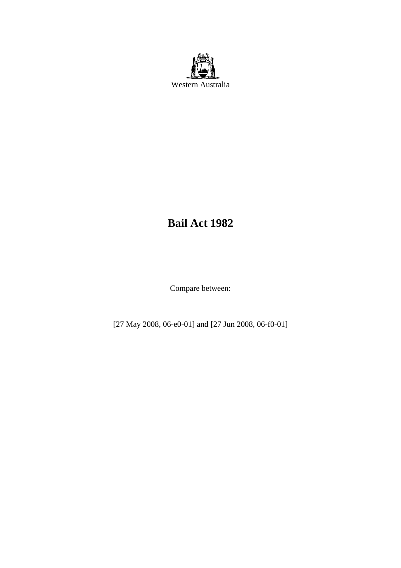

# **Bail Act 1982**

Compare between:

[27 May 2008, 06-e0-01] and [27 Jun 2008, 06-f0-01]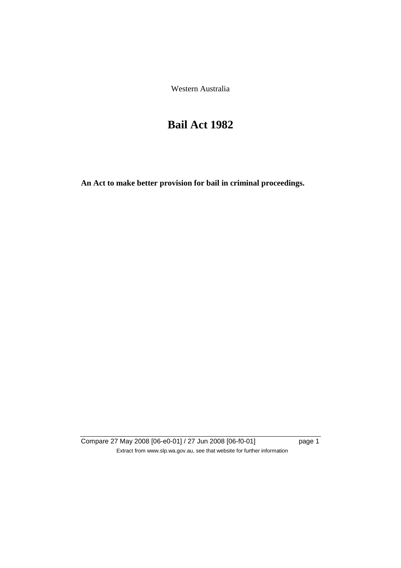Western Australia

# **Bail Act 1982**

**An Act to make better provision for bail in criminal proceedings.** 

Compare 27 May 2008 [06-e0-01] / 27 Jun 2008 [06-f0-01] page 1 Extract from www.slp.wa.gov.au, see that website for further information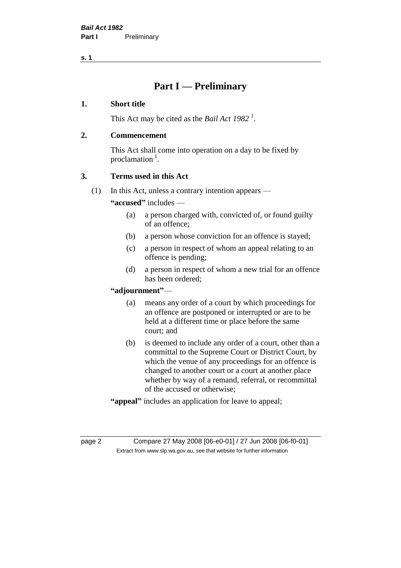# **Part I — Preliminary**

#### **1. Short title**

This Act may be cited as the *Bail Act* 1982<sup>1</sup>.

### **2. Commencement**

This Act shall come into operation on a day to be fixed by proclamation  $<sup>1</sup>$ .</sup>

# **3. Terms used in this Act**

(1) In this Act, unless a contrary intention appears —

**"accused"** includes —

- (a) a person charged with, convicted of, or found guilty of an offence;
- (b) a person whose conviction for an offence is stayed;
- (c) a person in respect of whom an appeal relating to an offence is pending;
- (d) a person in respect of whom a new trial for an offence has been ordered;

#### **"adjournment"**—

- (a) means any order of a court by which proceedings for an offence are postponed or interrupted or are to be held at a different time or place before the same court; and
- (b) is deemed to include any order of a court, other than a committal to the Supreme Court or District Court, by which the venue of any proceedings for an offence is changed to another court or a court at another place whether by way of a remand, referral, or recommittal of the accused or otherwise;
- **"appeal"** includes an application for leave to appeal;

page 2 Compare 27 May 2008 [06-e0-01] / 27 Jun 2008 [06-f0-01] Extract from www.slp.wa.gov.au, see that website for further information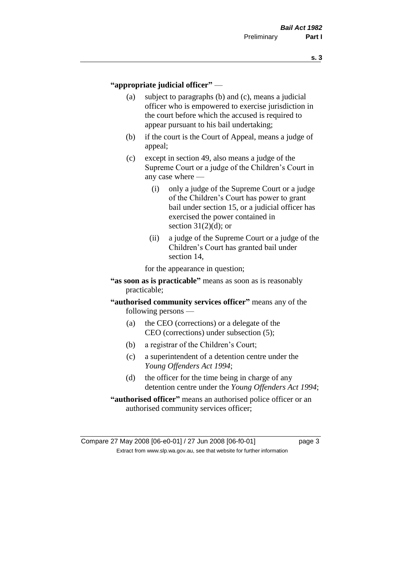#### **"appropriate judicial officer"** —

- (a) subject to paragraphs (b) and (c), means a judicial officer who is empowered to exercise jurisdiction in the court before which the accused is required to appear pursuant to his bail undertaking;
- (b) if the court is the Court of Appeal, means a judge of appeal;
- (c) except in section 49, also means a judge of the Supreme Court or a judge of the Children's Court in any case where —
	- (i) only a judge of the Supreme Court or a judge of the Children's Court has power to grant bail under section 15, or a judicial officer has exercised the power contained in section  $31(2)(d)$ ; or
	- (ii) a judge of the Supreme Court or a judge of the Children's Court has granted bail under section 14,

for the appearance in question;

- **"as soon as is practicable"** means as soon as is reasonably practicable;
- **"authorised community services officer"** means any of the following persons —
	- (a) the CEO (corrections) or a delegate of the CEO (corrections) under subsection (5);
	- (b) a registrar of the Children's Court;
	- (c) a superintendent of a detention centre under the *Young Offenders Act 1994*;
	- (d) the officer for the time being in charge of any detention centre under the *Young Offenders Act 1994*;
- **"authorised officer"** means an authorised police officer or an authorised community services officer;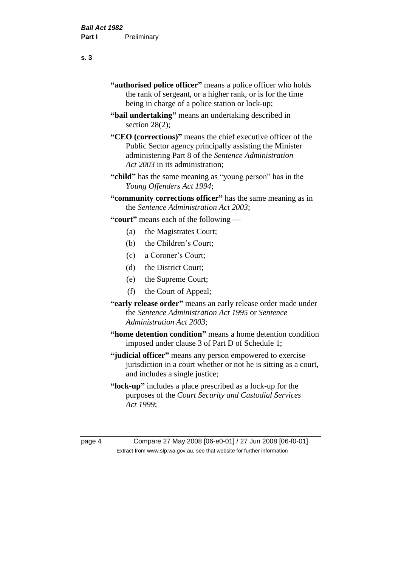- **"authorised police officer"** means a police officer who holds the rank of sergeant, or a higher rank, or is for the time being in charge of a police station or lock-up;
- **"bail undertaking"** means an undertaking described in section 28(2);
- **"CEO (corrections)"** means the chief executive officer of the Public Sector agency principally assisting the Minister administering Part 8 of the *Sentence Administration Act 2003* in its administration;
- **"child"** has the same meaning as "young person" has in the *Young Offenders Act 1994*;
- **"community corrections officer"** has the same meaning as in the *Sentence Administration Act 2003*;

**"court"** means each of the following —

- (a) the Magistrates Court;
- (b) the Children's Court;
- (c) a Coroner's Court;
- (d) the District Court;
- (e) the Supreme Court;
- (f) the Court of Appeal;
- **"early release order"** means an early release order made under the *Sentence Administration Act 1995* or *Sentence Administration Act 2003*;
- **"home detention condition"** means a home detention condition imposed under clause 3 of Part D of Schedule 1;
- **"judicial officer"** means any person empowered to exercise jurisdiction in a court whether or not he is sitting as a court, and includes a single justice;
- **"lock-up"** includes a place prescribed as a lock-up for the purposes of the *Court Security and Custodial Services Act 1999*;

page 4 Compare 27 May 2008 [06-e0-01] / 27 Jun 2008 [06-f0-01] Extract from www.slp.wa.gov.au, see that website for further information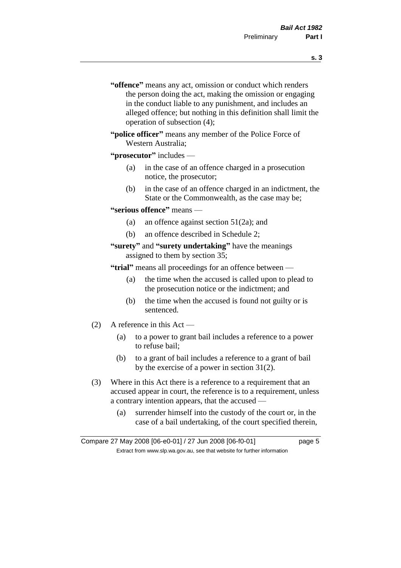- **s. 3**
- **"offence"** means any act, omission or conduct which renders the person doing the act, making the omission or engaging in the conduct liable to any punishment, and includes an alleged offence; but nothing in this definition shall limit the operation of subsection (4);
- **"police officer"** means any member of the Police Force of Western Australia;
- **"prosecutor"** includes
	- (a) in the case of an offence charged in a prosecution notice, the prosecutor;
	- (b) in the case of an offence charged in an indictment, the State or the Commonwealth, as the case may be;
- **"serious offence"** means
	- (a) an offence against section 51(2a); and
	- (b) an offence described in Schedule 2;
- **"surety"** and **"surety undertaking"** have the meanings assigned to them by section 35;

**"trial"** means all proceedings for an offence between —

- (a) the time when the accused is called upon to plead to the prosecution notice or the indictment; and
- (b) the time when the accused is found not guilty or is sentenced.
- (2) A reference in this Act
	- (a) to a power to grant bail includes a reference to a power to refuse bail;
	- (b) to a grant of bail includes a reference to a grant of bail by the exercise of a power in section 31(2).
- (3) Where in this Act there is a reference to a requirement that an accused appear in court, the reference is to a requirement, unless a contrary intention appears, that the accused —
	- (a) surrender himself into the custody of the court or, in the case of a bail undertaking, of the court specified therein,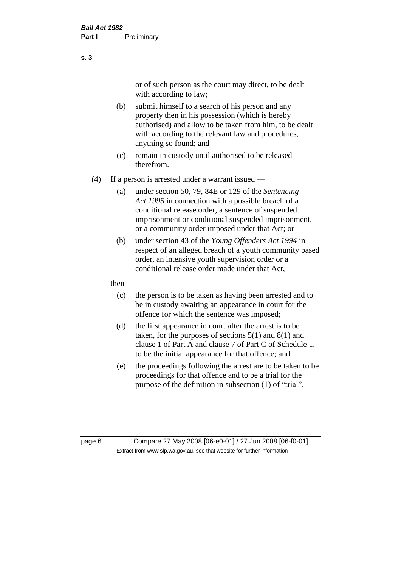or of such person as the court may direct, to be dealt with according to law;

(b) submit himself to a search of his person and any property then in his possession (which is hereby authorised) and allow to be taken from him, to be dealt with according to the relevant law and procedures, anything so found; and

- (c) remain in custody until authorised to be released therefrom.
- (4) If a person is arrested under a warrant issued
	- (a) under section 50, 79, 84E or 129 of the *Sentencing Act 1995* in connection with a possible breach of a conditional release order, a sentence of suspended imprisonment or conditional suspended imprisonment, or a community order imposed under that Act; or
	- (b) under section 43 of the *Young Offenders Act 1994* in respect of an alleged breach of a youth community based order, an intensive youth supervision order or a conditional release order made under that Act,
	- then
		- (c) the person is to be taken as having been arrested and to be in custody awaiting an appearance in court for the offence for which the sentence was imposed;
		- (d) the first appearance in court after the arrest is to be taken, for the purposes of sections  $5(1)$  and  $8(1)$  and clause 1 of Part A and clause 7 of Part C of Schedule 1, to be the initial appearance for that offence; and
		- (e) the proceedings following the arrest are to be taken to be proceedings for that offence and to be a trial for the purpose of the definition in subsection (1) of "trial".

page 6 Compare 27 May 2008 [06-e0-01] / 27 Jun 2008 [06-f0-01] Extract from www.slp.wa.gov.au, see that website for further information

**s. 3**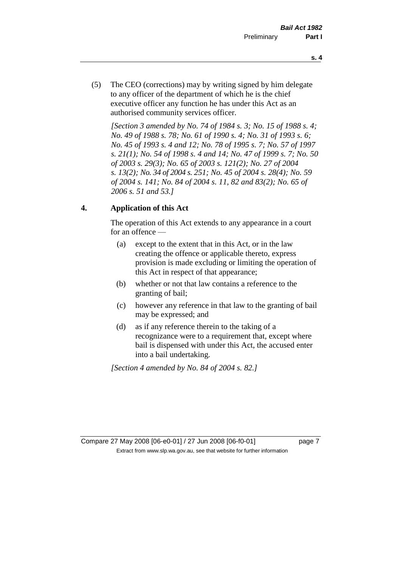- **s. 4**
- (5) The CEO (corrections) may by writing signed by him delegate to any officer of the department of which he is the chief executive officer any function he has under this Act as an authorised community services officer.

*[Section 3 amended by No. 74 of 1984 s. 3; No. 15 of 1988 s. 4; No. 49 of 1988 s. 78; No. 61 of 1990 s. 4; No. 31 of 1993 s. 6; No. 45 of 1993 s. 4 and 12; No. 78 of 1995 s. 7; No. 57 of 1997 s. 21(1); No. 54 of 1998 s. 4 and 14; No. 47 of 1999 s. 7; No. 50 of 2003 s. 29(3); No. 65 of 2003 s. 121(2); No. 27 of 2004 s. 13(2); No. 34 of 2004 s. 251; No. 45 of 2004 s. 28(4); No. 59 of 2004 s. 141; No. 84 of 2004 s. 11, 82 and 83(2); No. 65 of 2006 s. 51 and 53.]* 

# **4. Application of this Act**

The operation of this Act extends to any appearance in a court for an offence —

- (a) except to the extent that in this Act, or in the law creating the offence or applicable thereto, express provision is made excluding or limiting the operation of this Act in respect of that appearance;
- (b) whether or not that law contains a reference to the granting of bail;
- (c) however any reference in that law to the granting of bail may be expressed; and
- (d) as if any reference therein to the taking of a recognizance were to a requirement that, except where bail is dispensed with under this Act, the accused enter into a bail undertaking.

*[Section 4 amended by No. 84 of 2004 s. 82.]*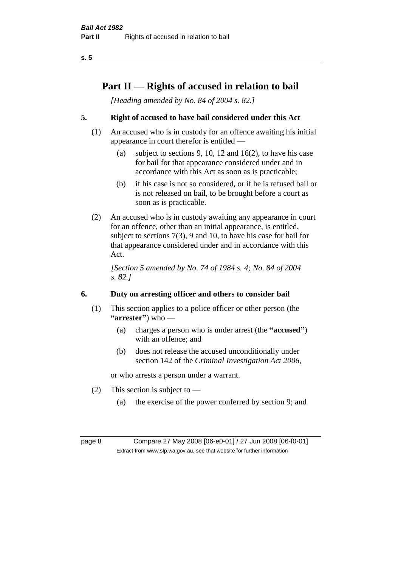# **Part II — Rights of accused in relation to bail**

*[Heading amended by No. 84 of 2004 s. 82.]* 

# **5. Right of accused to have bail considered under this Act**

- (1) An accused who is in custody for an offence awaiting his initial appearance in court therefor is entitled —
	- (a) subject to sections 9, 10, 12 and 16(2), to have his case for bail for that appearance considered under and in accordance with this Act as soon as is practicable;
	- (b) if his case is not so considered, or if he is refused bail or is not released on bail, to be brought before a court as soon as is practicable.
- (2) An accused who is in custody awaiting any appearance in court for an offence, other than an initial appearance, is entitled, subject to sections 7(3), 9 and 10, to have his case for bail for that appearance considered under and in accordance with this Act.

*[Section 5 amended by No. 74 of 1984 s. 4; No. 84 of 2004 s. 82.]* 

# **6. Duty on arresting officer and others to consider bail**

- (1) This section applies to a police officer or other person (the **"arrester"**) who —
	- (a) charges a person who is under arrest (the **"accused"**) with an offence; and
	- (b) does not release the accused unconditionally under section 142 of the *Criminal Investigation Act 2006*,

or who arrests a person under a warrant.

- (2) This section is subject to  $-$ 
	- (a) the exercise of the power conferred by section 9; and

page 8 Compare 27 May 2008 [06-e0-01] / 27 Jun 2008 [06-f0-01] Extract from www.slp.wa.gov.au, see that website for further information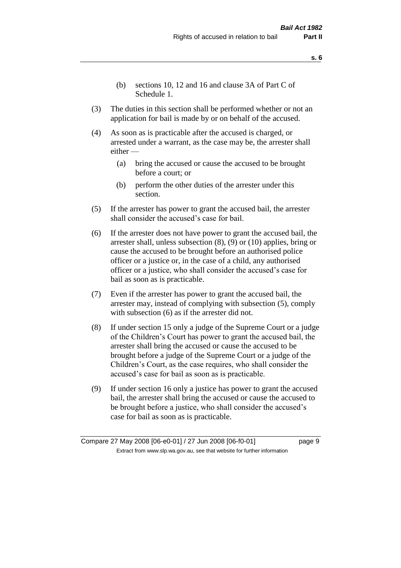- **s. 6**
- (b) sections 10, 12 and 16 and clause 3A of Part C of Schedule 1.
- (3) The duties in this section shall be performed whether or not an application for bail is made by or on behalf of the accused.
- (4) As soon as is practicable after the accused is charged, or arrested under a warrant, as the case may be, the arrester shall either —
	- (a) bring the accused or cause the accused to be brought before a court; or
	- (b) perform the other duties of the arrester under this section.
- (5) If the arrester has power to grant the accused bail, the arrester shall consider the accused's case for bail.
- (6) If the arrester does not have power to grant the accused bail, the arrester shall, unless subsection (8), (9) or (10) applies, bring or cause the accused to be brought before an authorised police officer or a justice or, in the case of a child, any authorised officer or a justice, who shall consider the accused's case for bail as soon as is practicable.
- (7) Even if the arrester has power to grant the accused bail, the arrester may, instead of complying with subsection (5), comply with subsection  $(6)$  as if the arrester did not.
- (8) If under section 15 only a judge of the Supreme Court or a judge of the Children's Court has power to grant the accused bail, the arrester shall bring the accused or cause the accused to be brought before a judge of the Supreme Court or a judge of the Children's Court, as the case requires, who shall consider the accused's case for bail as soon as is practicable.
- (9) If under section 16 only a justice has power to grant the accused bail, the arrester shall bring the accused or cause the accused to be brought before a justice, who shall consider the accused's case for bail as soon as is practicable.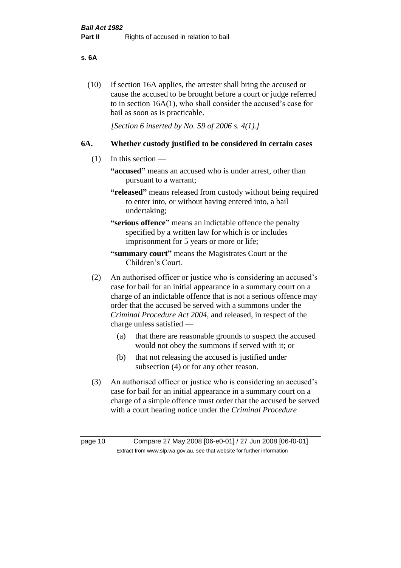#### **s. 6A**

(10) If section 16A applies, the arrester shall bring the accused or cause the accused to be brought before a court or judge referred to in section 16A(1), who shall consider the accused's case for bail as soon as is practicable.

*[Section 6 inserted by No. 59 of 2006 s. 4(1).]* 

#### **6A. Whether custody justified to be considered in certain cases**

- (1) In this section
	- **"accused"** means an accused who is under arrest, other than pursuant to a warrant;
	- **"released"** means released from custody without being required to enter into, or without having entered into, a bail undertaking;

**"serious offence"** means an indictable offence the penalty specified by a written law for which is or includes imprisonment for 5 years or more or life;

- **"summary court"** means the Magistrates Court or the Children's Court.
- (2) An authorised officer or justice who is considering an accused's case for bail for an initial appearance in a summary court on a charge of an indictable offence that is not a serious offence may order that the accused be served with a summons under the *Criminal Procedure Act 2004*, and released, in respect of the charge unless satisfied —
	- (a) that there are reasonable grounds to suspect the accused would not obey the summons if served with it; or
	- (b) that not releasing the accused is justified under subsection (4) or for any other reason.
- (3) An authorised officer or justice who is considering an accused's case for bail for an initial appearance in a summary court on a charge of a simple offence must order that the accused be served with a court hearing notice under the *Criminal Procedure*

page 10 Compare 27 May 2008 [06-e0-01] / 27 Jun 2008 [06-f0-01] Extract from www.slp.wa.gov.au, see that website for further information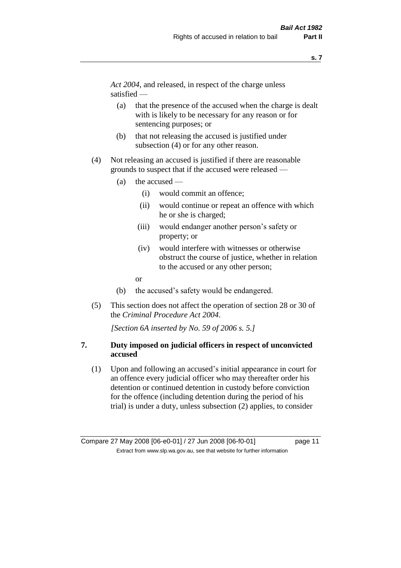*Act 2004*, and released, in respect of the charge unless satisfied —

- (a) that the presence of the accused when the charge is dealt with is likely to be necessary for any reason or for sentencing purposes; or
- (b) that not releasing the accused is justified under subsection (4) or for any other reason.
- (4) Not releasing an accused is justified if there are reasonable grounds to suspect that if the accused were released —
	- (a) the accused
		- (i) would commit an offence;
		- (ii) would continue or repeat an offence with which he or she is charged;
		- (iii) would endanger another person's safety or property; or
		- (iv) would interfere with witnesses or otherwise obstruct the course of justice, whether in relation to the accused or any other person;
		- or
	- (b) the accused's safety would be endangered.
- (5) This section does not affect the operation of section 28 or 30 of the *Criminal Procedure Act 2004*.

*[Section 6A inserted by No. 59 of 2006 s. 5.]* 

### **7. Duty imposed on judicial officers in respect of unconvicted accused**

(1) Upon and following an accused's initial appearance in court for an offence every judicial officer who may thereafter order his detention or continued detention in custody before conviction for the offence (including detention during the period of his trial) is under a duty, unless subsection (2) applies, to consider

Compare 27 May 2008 [06-e0-01] / 27 Jun 2008 [06-f0-01] page 11 Extract from www.slp.wa.gov.au, see that website for further information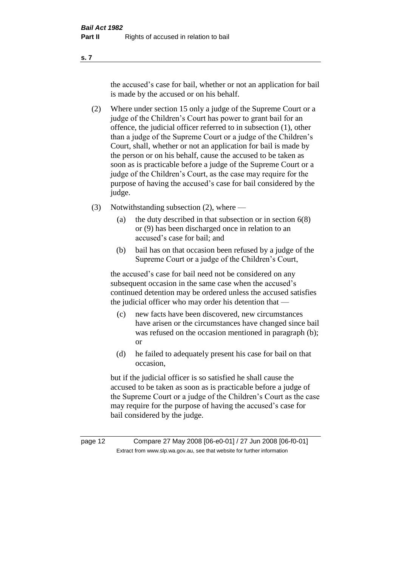the accused's case for bail, whether or not an application for bail is made by the accused or on his behalf.

- (2) Where under section 15 only a judge of the Supreme Court or a judge of the Children's Court has power to grant bail for an offence, the judicial officer referred to in subsection (1), other than a judge of the Supreme Court or a judge of the Children's Court, shall, whether or not an application for bail is made by the person or on his behalf, cause the accused to be taken as soon as is practicable before a judge of the Supreme Court or a judge of the Children's Court, as the case may require for the purpose of having the accused's case for bail considered by the judge.
- (3) Notwithstanding subsection (2), where
	- (a) the duty described in that subsection or in section 6(8) or (9) has been discharged once in relation to an accused's case for bail; and
	- (b) bail has on that occasion been refused by a judge of the Supreme Court or a judge of the Children's Court,

the accused's case for bail need not be considered on any subsequent occasion in the same case when the accused's continued detention may be ordered unless the accused satisfies the judicial officer who may order his detention that —

- (c) new facts have been discovered, new circumstances have arisen or the circumstances have changed since bail was refused on the occasion mentioned in paragraph (b); or
- (d) he failed to adequately present his case for bail on that occasion,

but if the judicial officer is so satisfied he shall cause the accused to be taken as soon as is practicable before a judge of the Supreme Court or a judge of the Children's Court as the case may require for the purpose of having the accused's case for bail considered by the judge.

page 12 Compare 27 May 2008 [06-e0-01] / 27 Jun 2008 [06-f0-01] Extract from www.slp.wa.gov.au, see that website for further information

**s. 7**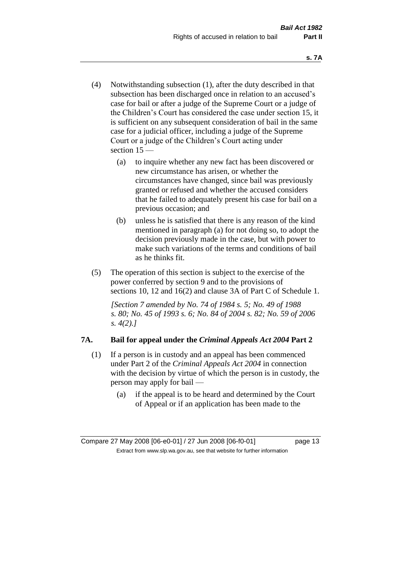- (4) Notwithstanding subsection (1), after the duty described in that subsection has been discharged once in relation to an accused's case for bail or after a judge of the Supreme Court or a judge of the Children's Court has considered the case under section 15, it is sufficient on any subsequent consideration of bail in the same case for a judicial officer, including a judge of the Supreme Court or a judge of the Children's Court acting under section 15 —
	- (a) to inquire whether any new fact has been discovered or new circumstance has arisen, or whether the circumstances have changed, since bail was previously granted or refused and whether the accused considers that he failed to adequately present his case for bail on a previous occasion; and
	- (b) unless he is satisfied that there is any reason of the kind mentioned in paragraph (a) for not doing so, to adopt the decision previously made in the case, but with power to make such variations of the terms and conditions of bail as he thinks fit.
- (5) The operation of this section is subject to the exercise of the power conferred by section 9 and to the provisions of sections 10, 12 and 16(2) and clause 3A of Part C of Schedule 1.

*[Section 7 amended by No. 74 of 1984 s. 5; No. 49 of 1988 s. 80; No. 45 of 1993 s. 6; No. 84 of 2004 s. 82; No. 59 of 2006 s. 4(2).]* 

# **7A. Bail for appeal under the** *Criminal Appeals Act 2004* **Part 2**

- (1) If a person is in custody and an appeal has been commenced under Part 2 of the *Criminal Appeals Act 2004* in connection with the decision by virtue of which the person is in custody, the person may apply for bail —
	- (a) if the appeal is to be heard and determined by the Court of Appeal or if an application has been made to the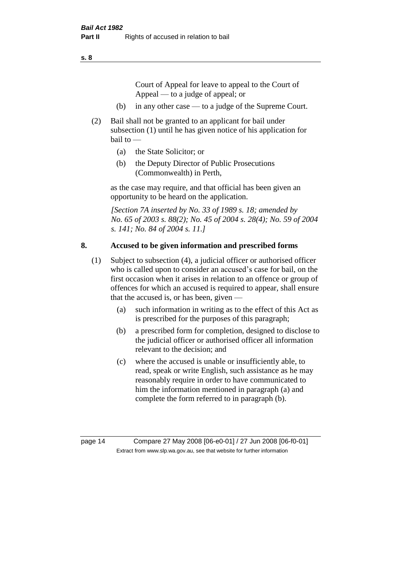Court of Appeal for leave to appeal to the Court of Appeal — to a judge of appeal; or

- (b) in any other case to a judge of the Supreme Court.
- (2) Bail shall not be granted to an applicant for bail under subsection (1) until he has given notice of his application for bail to —
	- (a) the State Solicitor; or
	- (b) the Deputy Director of Public Prosecutions (Commonwealth) in Perth,

as the case may require, and that official has been given an opportunity to be heard on the application.

*[Section 7A inserted by No. 33 of 1989 s. 18; amended by No. 65 of 2003 s. 88(2); No. 45 of 2004 s. 28(4); No. 59 of 2004 s. 141; No. 84 of 2004 s. 11.]* 

### **8. Accused to be given information and prescribed forms**

- (1) Subject to subsection (4), a judicial officer or authorised officer who is called upon to consider an accused's case for bail, on the first occasion when it arises in relation to an offence or group of offences for which an accused is required to appear, shall ensure that the accused is, or has been, given —
	- (a) such information in writing as to the effect of this Act as is prescribed for the purposes of this paragraph;
	- (b) a prescribed form for completion, designed to disclose to the judicial officer or authorised officer all information relevant to the decision; and
	- (c) where the accused is unable or insufficiently able, to read, speak or write English, such assistance as he may reasonably require in order to have communicated to him the information mentioned in paragraph (a) and complete the form referred to in paragraph (b).

page 14 Compare 27 May 2008 [06-e0-01] / 27 Jun 2008 [06-f0-01] Extract from www.slp.wa.gov.au, see that website for further information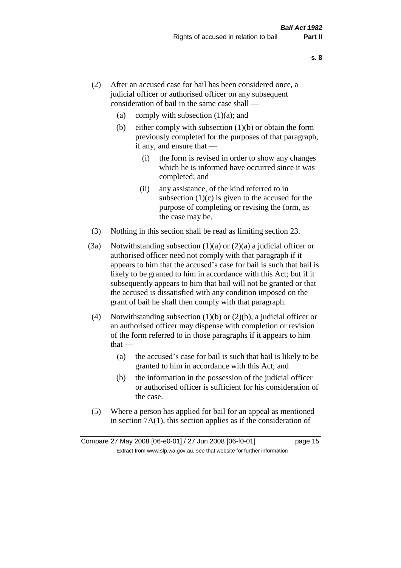- (2) After an accused case for bail has been considered once, a judicial officer or authorised officer on any subsequent consideration of bail in the same case shall —
	- (a) comply with subsection  $(1)(a)$ ; and
	- (b) either comply with subsection  $(1)(b)$  or obtain the form previously completed for the purposes of that paragraph, if any, and ensure that —
		- (i) the form is revised in order to show any changes which he is informed have occurred since it was completed; and
		- (ii) any assistance, of the kind referred to in subsection  $(1)(c)$  is given to the accused for the purpose of completing or revising the form, as the case may be.
- (3) Nothing in this section shall be read as limiting section 23.
- (3a) Notwithstanding subsection  $(1)(a)$  or  $(2)(a)$  a judicial officer or authorised officer need not comply with that paragraph if it appears to him that the accused's case for bail is such that bail is likely to be granted to him in accordance with this Act; but if it subsequently appears to him that bail will not be granted or that the accused is dissatisfied with any condition imposed on the grant of bail he shall then comply with that paragraph.
- (4) Notwithstanding subsection (1)(b) or (2)(b), a judicial officer or an authorised officer may dispense with completion or revision of the form referred to in those paragraphs if it appears to him  $that -$ 
	- (a) the accused's case for bail is such that bail is likely to be granted to him in accordance with this Act; and
	- (b) the information in the possession of the judicial officer or authorised officer is sufficient for his consideration of the case.
- (5) Where a person has applied for bail for an appeal as mentioned in section 7A(1), this section applies as if the consideration of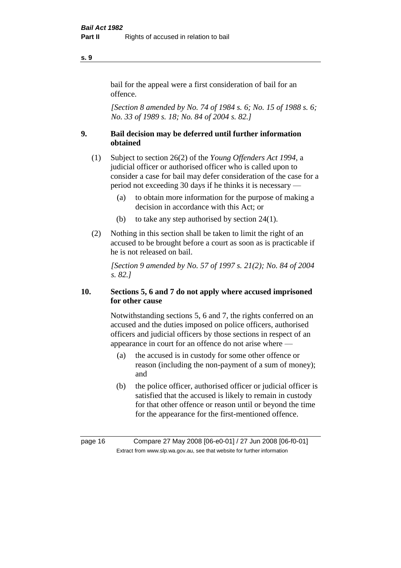### bail for the appeal were a first consideration of bail for an offence.

*[Section 8 amended by No. 74 of 1984 s. 6; No. 15 of 1988 s. 6; No. 33 of 1989 s. 18; No. 84 of 2004 s. 82.]* 

# **9. Bail decision may be deferred until further information obtained**

- (1) Subject to section 26(2) of the *Young Offenders Act 1994*, a judicial officer or authorised officer who is called upon to consider a case for bail may defer consideration of the case for a period not exceeding 30 days if he thinks it is necessary —
	- (a) to obtain more information for the purpose of making a decision in accordance with this Act; or
	- (b) to take any step authorised by section 24(1).
- (2) Nothing in this section shall be taken to limit the right of an accused to be brought before a court as soon as is practicable if he is not released on bail.

*[Section 9 amended by No. 57 of 1997 s. 21(2); No. 84 of 2004 s. 82.]*

# **10. Sections 5, 6 and 7 do not apply where accused imprisoned for other cause**

Notwithstanding sections 5, 6 and 7, the rights conferred on an accused and the duties imposed on police officers, authorised officers and judicial officers by those sections in respect of an appearance in court for an offence do not arise where —

- (a) the accused is in custody for some other offence or reason (including the non-payment of a sum of money); and
- (b) the police officer, authorised officer or judicial officer is satisfied that the accused is likely to remain in custody for that other offence or reason until or beyond the time for the appearance for the first-mentioned offence.

#### **s. 9**

page 16 Compare 27 May 2008 [06-e0-01] / 27 Jun 2008 [06-f0-01] Extract from www.slp.wa.gov.au, see that website for further information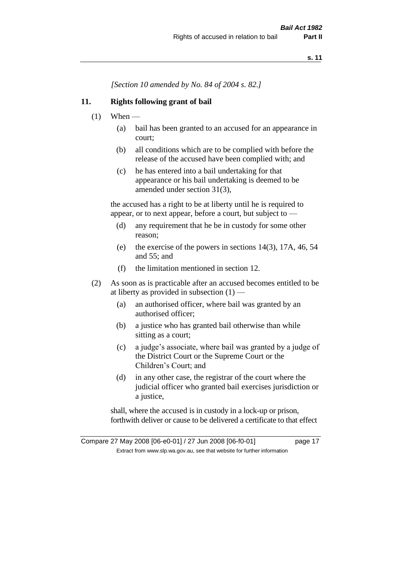*[Section 10 amended by No. 84 of 2004 s. 82.]*

### **11. Rights following grant of bail**

- $(1)$  When
	- (a) bail has been granted to an accused for an appearance in court;
	- (b) all conditions which are to be complied with before the release of the accused have been complied with; and
	- (c) he has entered into a bail undertaking for that appearance or his bail undertaking is deemed to be amended under section 31(3),

the accused has a right to be at liberty until he is required to appear, or to next appear, before a court, but subject to —

- (d) any requirement that he be in custody for some other reason;
- (e) the exercise of the powers in sections 14(3), 17A, 46, 54 and 55; and
- (f) the limitation mentioned in section 12.
- (2) As soon as is practicable after an accused becomes entitled to be at liberty as provided in subsection  $(1)$  —
	- (a) an authorised officer, where bail was granted by an authorised officer;
	- (b) a justice who has granted bail otherwise than while sitting as a court;
	- (c) a judge's associate, where bail was granted by a judge of the District Court or the Supreme Court or the Children's Court; and
	- (d) in any other case, the registrar of the court where the judicial officer who granted bail exercises jurisdiction or a justice,

shall, where the accused is in custody in a lock-up or prison, forthwith deliver or cause to be delivered a certificate to that effect

Compare 27 May 2008 [06-e0-01] / 27 Jun 2008 [06-f0-01] page 17 Extract from www.slp.wa.gov.au, see that website for further information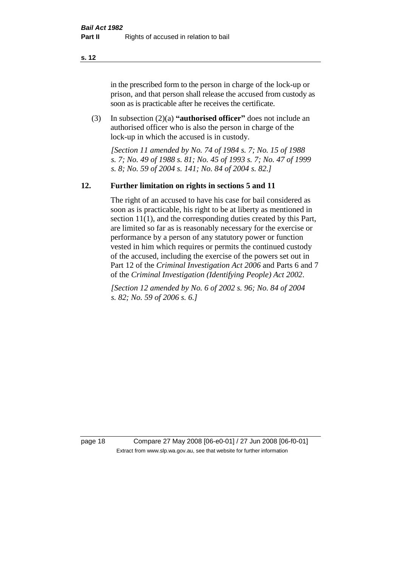in the prescribed form to the person in charge of the lock-up or prison, and that person shall release the accused from custody as soon as is practicable after he receives the certificate.

(3) In subsection (2)(a) **"authorised officer"** does not include an authorised officer who is also the person in charge of the lock-up in which the accused is in custody.

*[Section 11 amended by No. 74 of 1984 s. 7; No. 15 of 1988 s. 7; No. 49 of 1988 s. 81; No. 45 of 1993 s. 7; No. 47 of 1999 s. 8; No. 59 of 2004 s. 141; No. 84 of 2004 s. 82.]* 

#### **12. Further limitation on rights in sections 5 and 11**

The right of an accused to have his case for bail considered as soon as is practicable, his right to be at liberty as mentioned in section 11(1), and the corresponding duties created by this Part, are limited so far as is reasonably necessary for the exercise or performance by a person of any statutory power or function vested in him which requires or permits the continued custody of the accused, including the exercise of the powers set out in Part 12 of the *Criminal Investigation Act 2006* and Parts 6 and 7 of the *Criminal Investigation (Identifying People) Act 2002*.

*[Section 12 amended by No. 6 of 2002 s. 96; No. 84 of 2004 s. 82; No. 59 of 2006 s. 6.]*

page 18 Compare 27 May 2008 [06-e0-01] / 27 Jun 2008 [06-f0-01] Extract from www.slp.wa.gov.au, see that website for further information

**s. 12**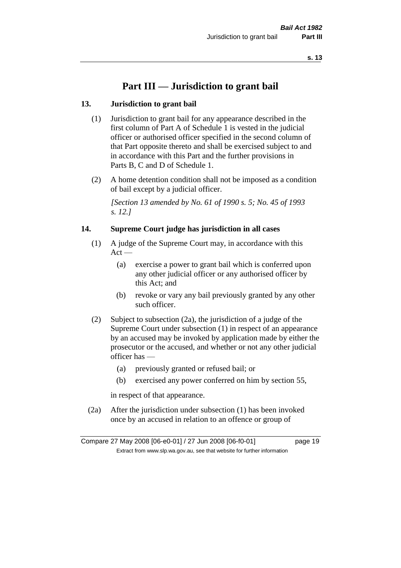# **Part III — Jurisdiction to grant bail**

### **13. Jurisdiction to grant bail**

- (1) Jurisdiction to grant bail for any appearance described in the first column of Part A of Schedule 1 is vested in the judicial officer or authorised officer specified in the second column of that Part opposite thereto and shall be exercised subject to and in accordance with this Part and the further provisions in Parts B, C and D of Schedule 1.
- (2) A home detention condition shall not be imposed as a condition of bail except by a judicial officer.

*[Section 13 amended by No. 61 of 1990 s. 5; No. 45 of 1993 s. 12.]* 

#### **14. Supreme Court judge has jurisdiction in all cases**

- (1) A judge of the Supreme Court may, in accordance with this  $Act -$ 
	- (a) exercise a power to grant bail which is conferred upon any other judicial officer or any authorised officer by this Act; and
	- (b) revoke or vary any bail previously granted by any other such officer.
- (2) Subject to subsection (2a), the jurisdiction of a judge of the Supreme Court under subsection (1) in respect of an appearance by an accused may be invoked by application made by either the prosecutor or the accused, and whether or not any other judicial officer has —
	- (a) previously granted or refused bail; or
	- (b) exercised any power conferred on him by section 55,

in respect of that appearance.

(2a) After the jurisdiction under subsection (1) has been invoked once by an accused in relation to an offence or group of

Compare 27 May 2008 [06-e0-01] / 27 Jun 2008 [06-f0-01] page 19 Extract from www.slp.wa.gov.au, see that website for further information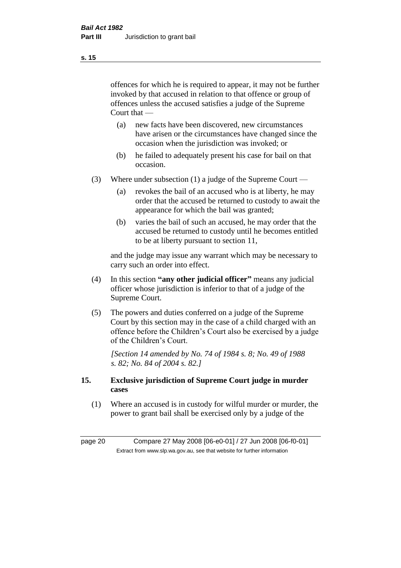offences for which he is required to appear, it may not be further invoked by that accused in relation to that offence or group of offences unless the accused satisfies a judge of the Supreme Court that —

- (a) new facts have been discovered, new circumstances have arisen or the circumstances have changed since the occasion when the jurisdiction was invoked; or
- (b) he failed to adequately present his case for bail on that occasion.
- (3) Where under subsection (1) a judge of the Supreme Court
	- (a) revokes the bail of an accused who is at liberty, he may order that the accused be returned to custody to await the appearance for which the bail was granted;
	- (b) varies the bail of such an accused, he may order that the accused be returned to custody until he becomes entitled to be at liberty pursuant to section 11,

and the judge may issue any warrant which may be necessary to carry such an order into effect.

- (4) In this section **"any other judicial officer"** means any judicial officer whose jurisdiction is inferior to that of a judge of the Supreme Court.
- (5) The powers and duties conferred on a judge of the Supreme Court by this section may in the case of a child charged with an offence before the Children's Court also be exercised by a judge of the Children's Court.

*[Section 14 amended by No. 74 of 1984 s. 8; No. 49 of 1988 s. 82; No. 84 of 2004 s. 82.]* 

#### **15. Exclusive jurisdiction of Supreme Court judge in murder cases**

(1) Where an accused is in custody for wilful murder or murder, the power to grant bail shall be exercised only by a judge of the

page 20 Compare 27 May 2008 [06-e0-01] / 27 Jun 2008 [06-f0-01] Extract from www.slp.wa.gov.au, see that website for further information

**s. 15**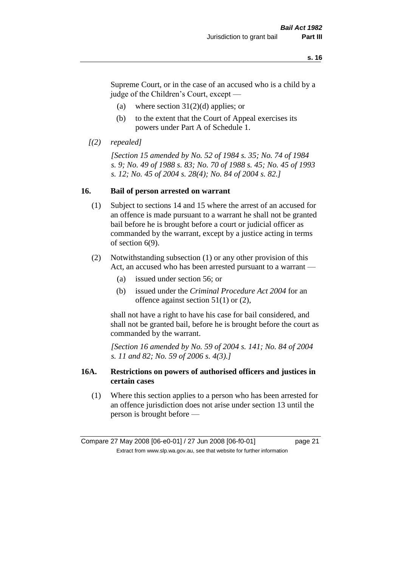Supreme Court, or in the case of an accused who is a child by a judge of the Children's Court, except —

- (a) where section  $31(2)(d)$  applies; or
- (b) to the extent that the Court of Appeal exercises its powers under Part A of Schedule 1.
- *[(2) repealed]*

*[Section 15 amended by No. 52 of 1984 s. 35; No. 74 of 1984 s. 9; No. 49 of 1988 s. 83; No. 70 of 1988 s. 45; No. 45 of 1993 s. 12; No. 45 of 2004 s. 28(4); No. 84 of 2004 s. 82.]* 

#### **16. Bail of person arrested on warrant**

- (1) Subject to sections 14 and 15 where the arrest of an accused for an offence is made pursuant to a warrant he shall not be granted bail before he is brought before a court or judicial officer as commanded by the warrant, except by a justice acting in terms of section 6(9).
- (2) Notwithstanding subsection (1) or any other provision of this Act, an accused who has been arrested pursuant to a warrant —
	- (a) issued under section 56; or
	- (b) issued under the *Criminal Procedure Act 2004* for an offence against section 51(1) or (2),

shall not have a right to have his case for bail considered, and shall not be granted bail, before he is brought before the court as commanded by the warrant.

*[Section 16 amended by No. 59 of 2004 s. 141; No. 84 of 2004 s. 11 and 82; No. 59 of 2006 s. 4(3).]*

#### **16A. Restrictions on powers of authorised officers and justices in certain cases**

(1) Where this section applies to a person who has been arrested for an offence jurisdiction does not arise under section 13 until the person is brought before —

Compare 27 May 2008 [06-e0-01] / 27 Jun 2008 [06-f0-01] page 21 Extract from www.slp.wa.gov.au, see that website for further information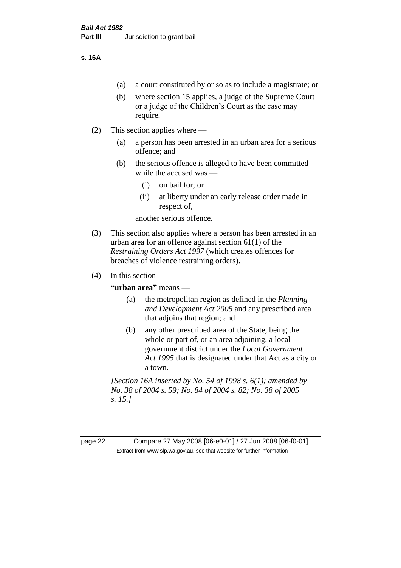#### **s. 16A**

- (a) a court constituted by or so as to include a magistrate; or
- (b) where section 15 applies, a judge of the Supreme Court or a judge of the Children's Court as the case may require.
- (2) This section applies where
	- (a) a person has been arrested in an urban area for a serious offence; and
	- (b) the serious offence is alleged to have been committed while the accused was —
		- (i) on bail for; or
		- (ii) at liberty under an early release order made in respect of,

another serious offence.

- (3) This section also applies where a person has been arrested in an urban area for an offence against section 61(1) of the *Restraining Orders Act 1997* (which creates offences for breaches of violence restraining orders).
- $(4)$  In this section —

**"urban area"** means —

- (a) the metropolitan region as defined in the *Planning and Development Act 2005* and any prescribed area that adjoins that region; and
- (b) any other prescribed area of the State, being the whole or part of, or an area adjoining, a local government district under the *Local Government Act 1995* that is designated under that Act as a city or a town.

*[Section 16A inserted by No. 54 of 1998 s. 6(1); amended by No. 38 of 2004 s. 59; No. 84 of 2004 s. 82; No. 38 of 2005 s. 15.]*

page 22 Compare 27 May 2008 [06-e0-01] / 27 Jun 2008 [06-f0-01] Extract from www.slp.wa.gov.au, see that website for further information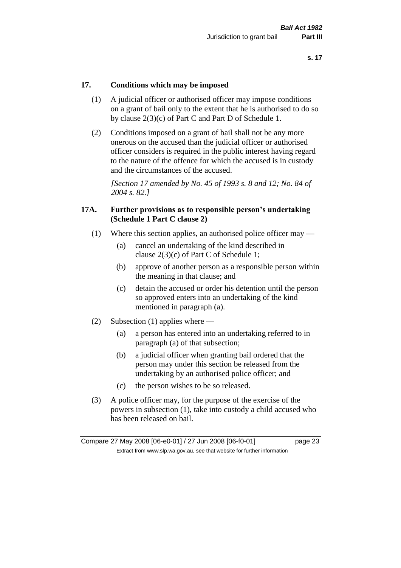#### **17. Conditions which may be imposed**

- (1) A judicial officer or authorised officer may impose conditions on a grant of bail only to the extent that he is authorised to do so by clause 2(3)(c) of Part C and Part D of Schedule 1.
- (2) Conditions imposed on a grant of bail shall not be any more onerous on the accused than the judicial officer or authorised officer considers is required in the public interest having regard to the nature of the offence for which the accused is in custody and the circumstances of the accused.

*[Section 17 amended by No. 45 of 1993 s. 8 and 12; No. 84 of 2004 s. 82.]* 

#### **17A. Further provisions as to responsible person's undertaking (Schedule 1 Part C clause 2)**

- (1) Where this section applies, an authorised police officer may
	- (a) cancel an undertaking of the kind described in clause 2(3)(c) of Part C of Schedule 1;
	- (b) approve of another person as a responsible person within the meaning in that clause; and
	- (c) detain the accused or order his detention until the person so approved enters into an undertaking of the kind mentioned in paragraph (a).
- (2) Subsection (1) applies where
	- (a) a person has entered into an undertaking referred to in paragraph (a) of that subsection;
	- (b) a judicial officer when granting bail ordered that the person may under this section be released from the undertaking by an authorised police officer; and
	- (c) the person wishes to be so released.
- (3) A police officer may, for the purpose of the exercise of the powers in subsection (1), take into custody a child accused who has been released on bail.

Compare 27 May 2008 [06-e0-01] / 27 Jun 2008 [06-f0-01] page 23 Extract from www.slp.wa.gov.au, see that website for further information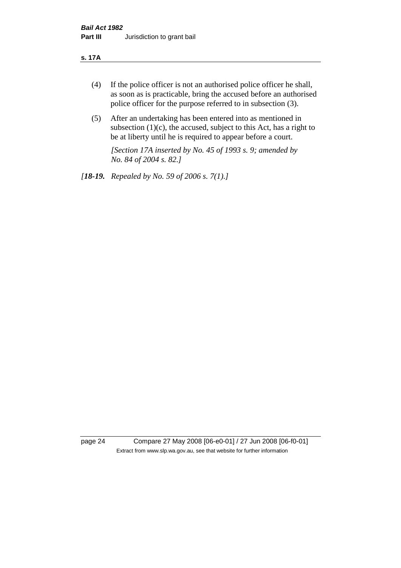#### **s. 17A**

- (4) If the police officer is not an authorised police officer he shall, as soon as is practicable, bring the accused before an authorised police officer for the purpose referred to in subsection (3).
- (5) After an undertaking has been entered into as mentioned in subsection  $(1)(c)$ , the accused, subject to this Act, has a right to be at liberty until he is required to appear before a court.

*[Section 17A inserted by No. 45 of 1993 s. 9; amended by No. 84 of 2004 s. 82.]* 

*[18-19. Repealed by No. 59 of 2006 s. 7(1).]*

page 24 Compare 27 May 2008 [06-e0-01] / 27 Jun 2008 [06-f0-01] Extract from www.slp.wa.gov.au, see that website for further information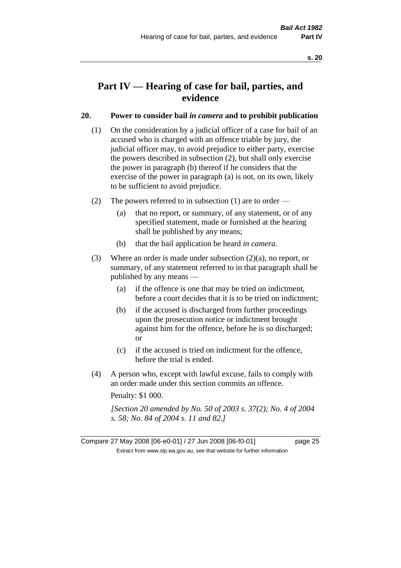# **Part IV — Hearing of case for bail, parties, and evidence**

#### **20. Power to consider bail** *in camera* **and to prohibit publication**

- (1) On the consideration by a judicial officer of a case for bail of an accused who is charged with an offence triable by jury, the judicial officer may, to avoid prejudice to either party, exercise the powers described in subsection (2), but shall only exercise the power in paragraph (b) thereof if he considers that the exercise of the power in paragraph (a) is not, on its own, likely to be sufficient to avoid prejudice.
- (2) The powers referred to in subsection (1) are to order
	- (a) that no report, or summary, of any statement, or of any specified statement, made or furnished at the hearing shall be published by any means;
	- (b) that the bail application be heard *in camera*.
- (3) Where an order is made under subsection (2)(a), no report, or summary, of any statement referred to in that paragraph shall be published by any means —
	- (a) if the offence is one that may be tried on indictment, before a court decides that it is to be tried on indictment;
	- (b) if the accused is discharged from further proceedings upon the prosecution notice or indictment brought against him for the offence, before he is so discharged; or
	- (c) if the accused is tried on indictment for the offence, before the trial is ended.
- (4) A person who, except with lawful excuse, fails to comply with an order made under this section commits an offence.

Penalty: \$1 000.

*[Section 20 amended by No. 50 of 2003 s. 37(2); No. 4 of 2004 s. 58; No. 84 of 2004 s. 11 and 82.]*

Compare 27 May 2008 [06-e0-01] / 27 Jun 2008 [06-f0-01] page 25 Extract from www.slp.wa.gov.au, see that website for further information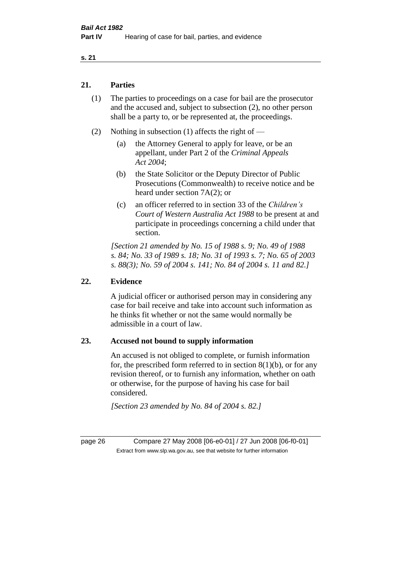#### **21. Parties**

- (1) The parties to proceedings on a case for bail are the prosecutor and the accused and, subject to subsection (2), no other person shall be a party to, or be represented at, the proceedings.
- (2) Nothing in subsection (1) affects the right of
	- (a) the Attorney General to apply for leave, or be an appellant, under Part 2 of the *Criminal Appeals Act 2004*;
	- (b) the State Solicitor or the Deputy Director of Public Prosecutions (Commonwealth) to receive notice and be heard under section 7A(2); or
	- (c) an officer referred to in section 33 of the *Children's Court of Western Australia Act 1988* to be present at and participate in proceedings concerning a child under that section.

*[Section 21 amended by No. 15 of 1988 s. 9; No. 49 of 1988 s. 84; No. 33 of 1989 s. 18; No. 31 of 1993 s. 7; No. 65 of 2003 s. 88(3); No. 59 of 2004 s. 141; No. 84 of 2004 s. 11 and 82.]* 

#### **22. Evidence**

A judicial officer or authorised person may in considering any case for bail receive and take into account such information as he thinks fit whether or not the same would normally be admissible in a court of law.

#### **23. Accused not bound to supply information**

An accused is not obliged to complete, or furnish information for, the prescribed form referred to in section  $8(1)(b)$ , or for any revision thereof, or to furnish any information, whether on oath or otherwise, for the purpose of having his case for bail considered.

*[Section 23 amended by No. 84 of 2004 s. 82.]* 

page 26 Compare 27 May 2008 [06-e0-01] / 27 Jun 2008 [06-f0-01] Extract from www.slp.wa.gov.au, see that website for further information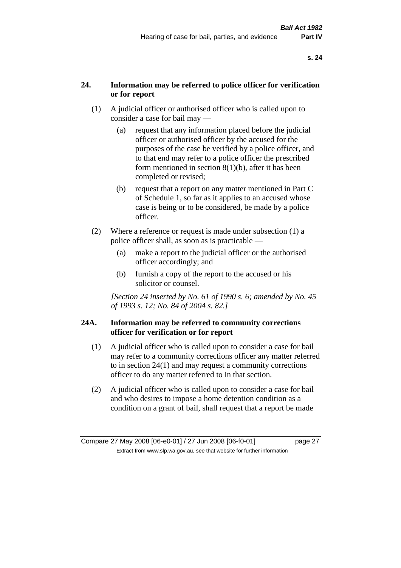### **24. Information may be referred to police officer for verification or for report**

- (1) A judicial officer or authorised officer who is called upon to consider a case for bail may —
	- (a) request that any information placed before the judicial officer or authorised officer by the accused for the purposes of the case be verified by a police officer, and to that end may refer to a police officer the prescribed form mentioned in section 8(1)(b), after it has been completed or revised;
	- (b) request that a report on any matter mentioned in Part C of Schedule 1, so far as it applies to an accused whose case is being or to be considered, be made by a police officer.
- (2) Where a reference or request is made under subsection (1) a police officer shall, as soon as is practicable —
	- (a) make a report to the judicial officer or the authorised officer accordingly; and
	- (b) furnish a copy of the report to the accused or his solicitor or counsel.

*[Section 24 inserted by No. 61 of 1990 s. 6; amended by No. 45 of 1993 s. 12; No. 84 of 2004 s. 82.]* 

### **24A. Information may be referred to community corrections officer for verification or for report**

- (1) A judicial officer who is called upon to consider a case for bail may refer to a community corrections officer any matter referred to in section 24(1) and may request a community corrections officer to do any matter referred to in that section.
- (2) A judicial officer who is called upon to consider a case for bail and who desires to impose a home detention condition as a condition on a grant of bail, shall request that a report be made

Compare 27 May 2008 [06-e0-01] / 27 Jun 2008 [06-f0-01] page 27 Extract from www.slp.wa.gov.au, see that website for further information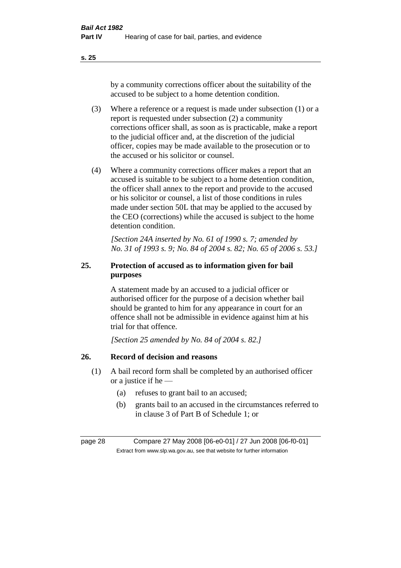by a community corrections officer about the suitability of the accused to be subject to a home detention condition.

- (3) Where a reference or a request is made under subsection (1) or a report is requested under subsection (2) a community corrections officer shall, as soon as is practicable, make a report to the judicial officer and, at the discretion of the judicial officer, copies may be made available to the prosecution or to the accused or his solicitor or counsel.
- (4) Where a community corrections officer makes a report that an accused is suitable to be subject to a home detention condition, the officer shall annex to the report and provide to the accused or his solicitor or counsel, a list of those conditions in rules made under section 50L that may be applied to the accused by the CEO (corrections) while the accused is subject to the home detention condition.

*[Section 24A inserted by No. 61 of 1990 s. 7; amended by No. 31 of 1993 s. 9; No. 84 of 2004 s. 82; No. 65 of 2006 s. 53.]* 

# **25. Protection of accused as to information given for bail purposes**

A statement made by an accused to a judicial officer or authorised officer for the purpose of a decision whether bail should be granted to him for any appearance in court for an offence shall not be admissible in evidence against him at his trial for that offence.

*[Section 25 amended by No. 84 of 2004 s. 82.]* 

# **26. Record of decision and reasons**

- (1) A bail record form shall be completed by an authorised officer or a justice if he —
	- (a) refuses to grant bail to an accused;
	- (b) grants bail to an accused in the circumstances referred to in clause 3 of Part B of Schedule 1; or

page 28 Compare 27 May 2008 [06-e0-01] / 27 Jun 2008 [06-f0-01] Extract from www.slp.wa.gov.au, see that website for further information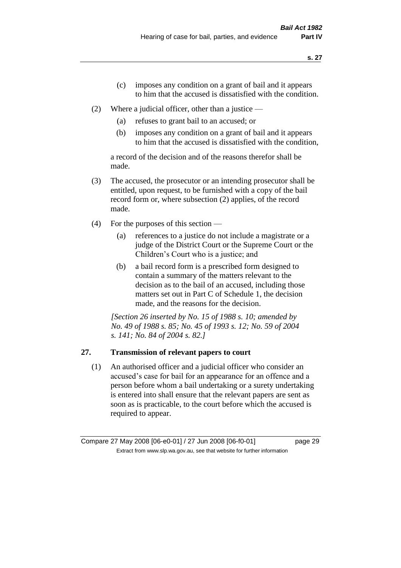- (c) imposes any condition on a grant of bail and it appears to him that the accused is dissatisfied with the condition.
- (2) Where a judicial officer, other than a justice
	- (a) refuses to grant bail to an accused; or
	- (b) imposes any condition on a grant of bail and it appears to him that the accused is dissatisfied with the condition,

a record of the decision and of the reasons therefor shall be made.

- (3) The accused, the prosecutor or an intending prosecutor shall be entitled, upon request, to be furnished with a copy of the bail record form or, where subsection (2) applies, of the record made.
- (4) For the purposes of this section
	- (a) references to a justice do not include a magistrate or a judge of the District Court or the Supreme Court or the Children's Court who is a justice; and
	- (b) a bail record form is a prescribed form designed to contain a summary of the matters relevant to the decision as to the bail of an accused, including those matters set out in Part C of Schedule 1, the decision made, and the reasons for the decision.

*[Section 26 inserted by No. 15 of 1988 s. 10; amended by No. 49 of 1988 s. 85; No. 45 of 1993 s. 12; No. 59 of 2004 s. 141; No. 84 of 2004 s. 82.]* 

# **27. Transmission of relevant papers to court**

(1) An authorised officer and a judicial officer who consider an accused's case for bail for an appearance for an offence and a person before whom a bail undertaking or a surety undertaking is entered into shall ensure that the relevant papers are sent as soon as is practicable, to the court before which the accused is required to appear.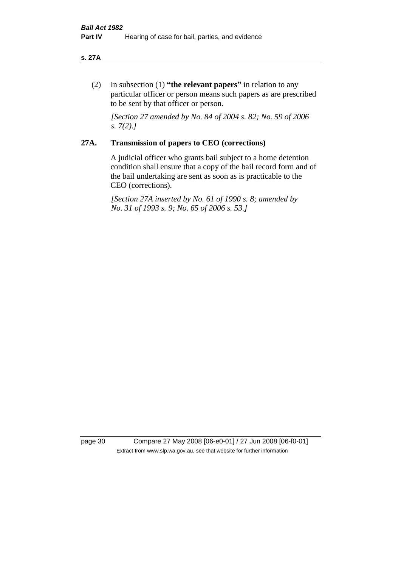#### **s. 27A**

(2) In subsection (1) **"the relevant papers"** in relation to any particular officer or person means such papers as are prescribed to be sent by that officer or person.

*[Section 27 amended by No. 84 of 2004 s. 82; No. 59 of 2006 s. 7(2).]* 

### **27A. Transmission of papers to CEO (corrections)**

A judicial officer who grants bail subject to a home detention condition shall ensure that a copy of the bail record form and of the bail undertaking are sent as soon as is practicable to the CEO (corrections).

*[Section 27A inserted by No. 61 of 1990 s. 8; amended by No. 31 of 1993 s. 9; No. 65 of 2006 s. 53.]* 

page 30 Compare 27 May 2008 [06-e0-01] / 27 Jun 2008 [06-f0-01] Extract from www.slp.wa.gov.au, see that website for further information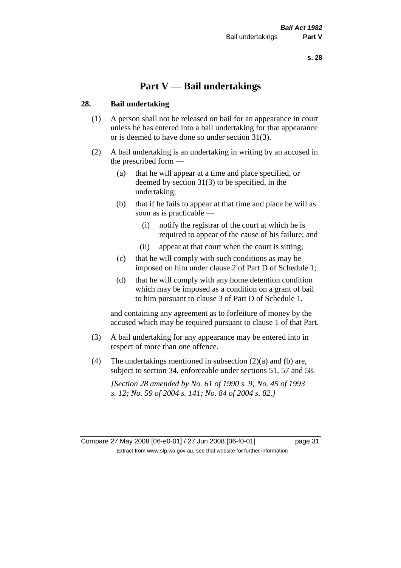# **Part V — Bail undertakings**

#### **28. Bail undertaking**

- (1) A person shall not be released on bail for an appearance in court unless he has entered into a bail undertaking for that appearance or is deemed to have done so under section 31(3).
- (2) A bail undertaking is an undertaking in writing by an accused in the prescribed form —
	- (a) that he will appear at a time and place specified, or deemed by section 31(3) to be specified, in the undertaking;
	- (b) that if he fails to appear at that time and place he will as soon as is practicable —
		- (i) notify the registrar of the court at which he is required to appear of the cause of his failure; and
		- (ii) appear at that court when the court is sitting;
	- (c) that he will comply with such conditions as may be imposed on him under clause 2 of Part D of Schedule 1;
	- (d) that he will comply with any home detention condition which may be imposed as a condition on a grant of bail to him pursuant to clause 3 of Part D of Schedule 1,

and containing any agreement as to forfeiture of money by the accused which may be required pursuant to clause 1 of that Part.

- (3) A bail undertaking for any appearance may be entered into in respect of more than one offence.
- (4) The undertakings mentioned in subsection  $(2)(a)$  and (b) are, subject to section 34, enforceable under sections 51, 57 and 58.

*[Section 28 amended by No. 61 of 1990 s. 9; No. 45 of 1993 s. 12; No. 59 of 2004 s. 141; No. 84 of 2004 s. 82.]* 

Compare 27 May 2008 [06-e0-01] / 27 Jun 2008 [06-f0-01] page 31 Extract from www.slp.wa.gov.au, see that website for further information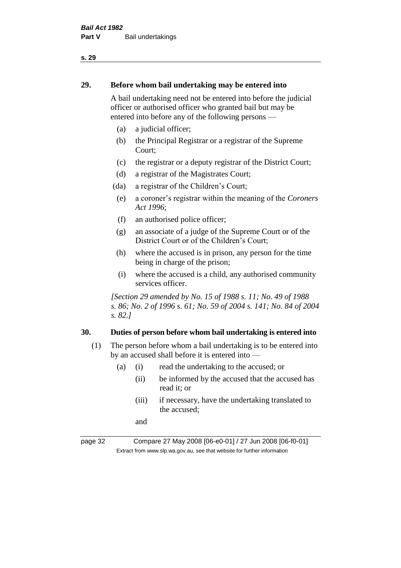#### **29. Before whom bail undertaking may be entered into**

A bail undertaking need not be entered into before the judicial officer or authorised officer who granted bail but may be entered into before any of the following persons —

- (a) a judicial officer;
- (b) the Principal Registrar or a registrar of the Supreme Court;
- (c) the registrar or a deputy registrar of the District Court;
- (d) a registrar of the Magistrates Court;
- (da) a registrar of the Children's Court;
- (e) a coroner's registrar within the meaning of the *Coroners Act 1996*;
- (f) an authorised police officer;
- (g) an associate of a judge of the Supreme Court or of the District Court or of the Children's Court;
- (h) where the accused is in prison, any person for the time being in charge of the prison;
- (i) where the accused is a child, any authorised community services officer.

*[Section 29 amended by No. 15 of 1988 s. 11; No. 49 of 1988 s. 86; No. 2 of 1996 s. 61; No. 59 of 2004 s. 141; No. 84 of 2004 s. 82.]* 

#### **30. Duties of person before whom bail undertaking is entered into**

- (1) The person before whom a bail undertaking is to be entered into by an accused shall before it is entered into —
	- (a) (i) read the undertaking to the accused; or
		- (ii) be informed by the accused that the accused has read it; or
		- (iii) if necessary, have the undertaking translated to the accused;

and

page 32 Compare 27 May 2008 [06-e0-01] / 27 Jun 2008 [06-f0-01] Extract from www.slp.wa.gov.au, see that website for further information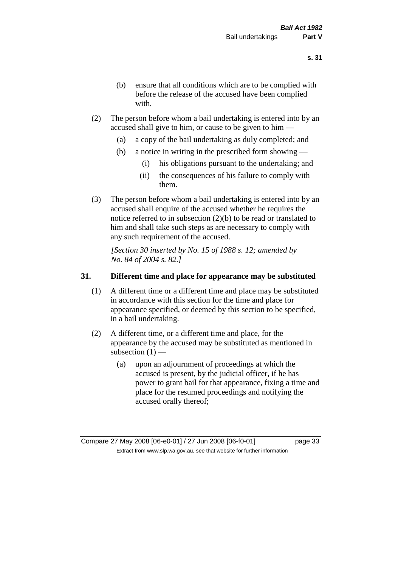- (b) ensure that all conditions which are to be complied with before the release of the accused have been complied with.
- (2) The person before whom a bail undertaking is entered into by an accused shall give to him, or cause to be given to him —
	- (a) a copy of the bail undertaking as duly completed; and
	- (b) a notice in writing in the prescribed form showing
		- (i) his obligations pursuant to the undertaking; and
		- (ii) the consequences of his failure to comply with them.
- (3) The person before whom a bail undertaking is entered into by an accused shall enquire of the accused whether he requires the notice referred to in subsection (2)(b) to be read or translated to him and shall take such steps as are necessary to comply with any such requirement of the accused.

*[Section 30 inserted by No. 15 of 1988 s. 12; amended by No. 84 of 2004 s. 82.]* 

#### **31. Different time and place for appearance may be substituted**

- (1) A different time or a different time and place may be substituted in accordance with this section for the time and place for appearance specified, or deemed by this section to be specified, in a bail undertaking.
- (2) A different time, or a different time and place, for the appearance by the accused may be substituted as mentioned in subsection  $(1)$  —
	- (a) upon an adjournment of proceedings at which the accused is present, by the judicial officer, if he has power to grant bail for that appearance, fixing a time and place for the resumed proceedings and notifying the accused orally thereof;

Compare 27 May 2008 [06-e0-01] / 27 Jun 2008 [06-f0-01] page 33 Extract from www.slp.wa.gov.au, see that website for further information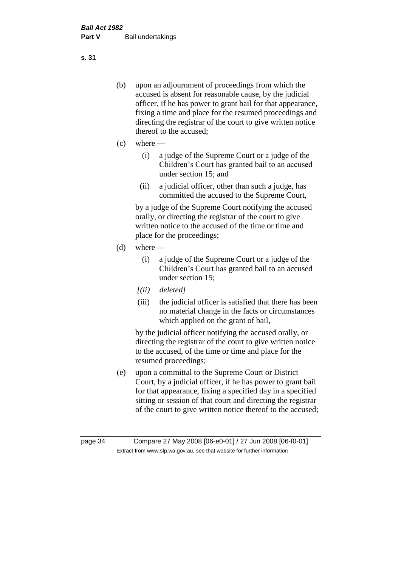- (b) upon an adjournment of proceedings from which the accused is absent for reasonable cause, by the judicial officer, if he has power to grant bail for that appearance, fixing a time and place for the resumed proceedings and directing the registrar of the court to give written notice thereof to the accused;
- $(c)$  where
	- (i) a judge of the Supreme Court or a judge of the Children's Court has granted bail to an accused under section 15; and
	- (ii) a judicial officer, other than such a judge, has committed the accused to the Supreme Court,

by a judge of the Supreme Court notifying the accused orally, or directing the registrar of the court to give written notice to the accused of the time or time and place for the proceedings;

- $(d)$  where
	- (i) a judge of the Supreme Court or a judge of the Children's Court has granted bail to an accused under section 15;
	- *[(ii) deleted]*
	- (iii) the judicial officer is satisfied that there has been no material change in the facts or circumstances which applied on the grant of bail,

by the judicial officer notifying the accused orally, or directing the registrar of the court to give written notice to the accused, of the time or time and place for the resumed proceedings;

(e) upon a committal to the Supreme Court or District Court, by a judicial officer, if he has power to grant bail for that appearance, fixing a specified day in a specified sitting or session of that court and directing the registrar of the court to give written notice thereof to the accused;

**s. 31**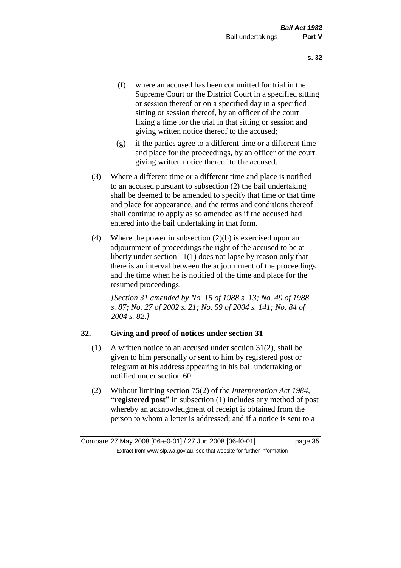- (f) where an accused has been committed for trial in the Supreme Court or the District Court in a specified sitting or session thereof or on a specified day in a specified sitting or session thereof, by an officer of the court fixing a time for the trial in that sitting or session and giving written notice thereof to the accused;
- (g) if the parties agree to a different time or a different time and place for the proceedings, by an officer of the court giving written notice thereof to the accused.
- (3) Where a different time or a different time and place is notified to an accused pursuant to subsection (2) the bail undertaking shall be deemed to be amended to specify that time or that time and place for appearance, and the terms and conditions thereof shall continue to apply as so amended as if the accused had entered into the bail undertaking in that form.
- (4) Where the power in subsection  $(2)(b)$  is exercised upon an adjournment of proceedings the right of the accused to be at liberty under section 11(1) does not lapse by reason only that there is an interval between the adjournment of the proceedings and the time when he is notified of the time and place for the resumed proceedings.

*[Section 31 amended by No. 15 of 1988 s. 13; No. 49 of 1988 s. 87; No. 27 of 2002 s. 21; No. 59 of 2004 s. 141; No. 84 of 2004 s. 82.]* 

## **32. Giving and proof of notices under section 31**

- (1) A written notice to an accused under section 31(2), shall be given to him personally or sent to him by registered post or telegram at his address appearing in his bail undertaking or notified under section 60.
- (2) Without limiting section 75(2) of the *Interpretation Act 1984*, **"registered post"** in subsection (1) includes any method of post whereby an acknowledgment of receipt is obtained from the person to whom a letter is addressed; and if a notice is sent to a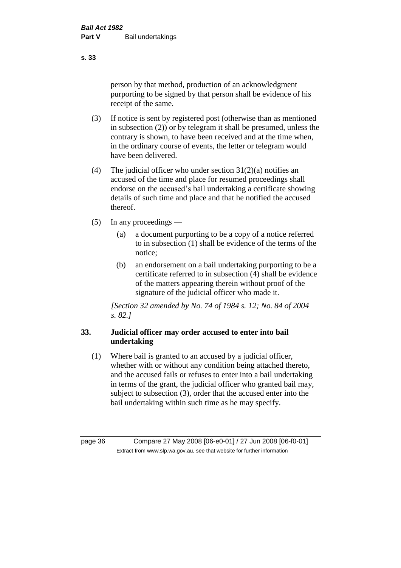person by that method, production of an acknowledgment purporting to be signed by that person shall be evidence of his receipt of the same.

- (3) If notice is sent by registered post (otherwise than as mentioned in subsection (2)) or by telegram it shall be presumed, unless the contrary is shown, to have been received and at the time when, in the ordinary course of events, the letter or telegram would have been delivered.
- (4) The judicial officer who under section  $31(2)(a)$  notifies an accused of the time and place for resumed proceedings shall endorse on the accused's bail undertaking a certificate showing details of such time and place and that he notified the accused thereof.
- (5) In any proceedings
	- (a) a document purporting to be a copy of a notice referred to in subsection (1) shall be evidence of the terms of the notice;
	- (b) an endorsement on a bail undertaking purporting to be a certificate referred to in subsection (4) shall be evidence of the matters appearing therein without proof of the signature of the judicial officer who made it.

*[Section 32 amended by No. 74 of 1984 s. 12; No. 84 of 2004 s. 82.]* 

## **33. Judicial officer may order accused to enter into bail undertaking**

(1) Where bail is granted to an accused by a judicial officer, whether with or without any condition being attached thereto, and the accused fails or refuses to enter into a bail undertaking in terms of the grant, the judicial officer who granted bail may, subject to subsection (3), order that the accused enter into the bail undertaking within such time as he may specify.

page 36 Compare 27 May 2008 [06-e0-01] / 27 Jun 2008 [06-f0-01] Extract from www.slp.wa.gov.au, see that website for further information

**s. 33**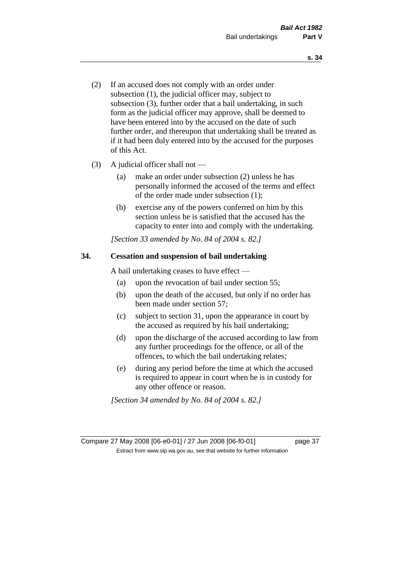- (2) If an accused does not comply with an order under subsection (1), the judicial officer may, subject to subsection (3), further order that a bail undertaking, in such form as the judicial officer may approve, shall be deemed to have been entered into by the accused on the date of such further order, and thereupon that undertaking shall be treated as if it had been duly entered into by the accused for the purposes of this Act.
- (3) A judicial officer shall not
	- (a) make an order under subsection (2) unless he has personally informed the accused of the terms and effect of the order made under subsection (1);
	- (b) exercise any of the powers conferred on him by this section unless he is satisfied that the accused has the capacity to enter into and comply with the undertaking.

*[Section 33 amended by No. 84 of 2004 s. 82.]* 

## **34. Cessation and suspension of bail undertaking**

A bail undertaking ceases to have effect —

- (a) upon the revocation of bail under section 55;
- (b) upon the death of the accused, but only if no order has been made under section 57;
- (c) subject to section 31, upon the appearance in court by the accused as required by his bail undertaking;
- (d) upon the discharge of the accused according to law from any further proceedings for the offence, or all of the offences, to which the bail undertaking relates;
- (e) during any period before the time at which the accused is required to appear in court when he is in custody for any other offence or reason.

*[Section 34 amended by No. 84 of 2004 s. 82.]* 

Compare 27 May 2008 [06-e0-01] / 27 Jun 2008 [06-f0-01] page 37 Extract from www.slp.wa.gov.au, see that website for further information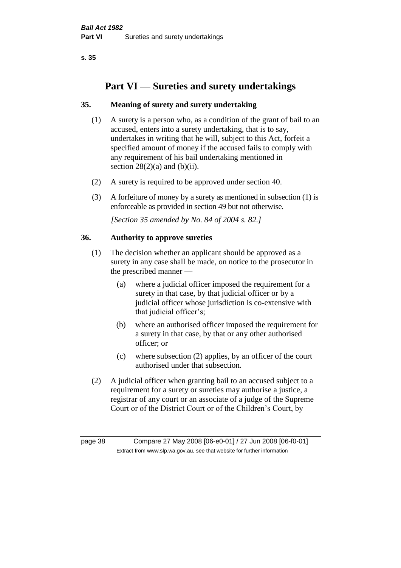# **Part VI — Sureties and surety undertakings**

## **35. Meaning of surety and surety undertaking**

- (1) A surety is a person who, as a condition of the grant of bail to an accused, enters into a surety undertaking, that is to say, undertakes in writing that he will, subject to this Act, forfeit a specified amount of money if the accused fails to comply with any requirement of his bail undertaking mentioned in section  $28(2)(a)$  and  $(b)(ii)$ .
- (2) A surety is required to be approved under section 40.
- (3) A forfeiture of money by a surety as mentioned in subsection (1) is enforceable as provided in section 49 but not otherwise.

*[Section 35 amended by No. 84 of 2004 s. 82.]* 

## **36. Authority to approve sureties**

- (1) The decision whether an applicant should be approved as a surety in any case shall be made, on notice to the prosecutor in the prescribed manner —
	- (a) where a judicial officer imposed the requirement for a surety in that case, by that judicial officer or by a judicial officer whose jurisdiction is co-extensive with that judicial officer's;
	- (b) where an authorised officer imposed the requirement for a surety in that case, by that or any other authorised officer; or
	- (c) where subsection (2) applies, by an officer of the court authorised under that subsection.
- (2) A judicial officer when granting bail to an accused subject to a requirement for a surety or sureties may authorise a justice, a registrar of any court or an associate of a judge of the Supreme Court or of the District Court or of the Children's Court, by

page 38 Compare 27 May 2008 [06-e0-01] / 27 Jun 2008 [06-f0-01] Extract from www.slp.wa.gov.au, see that website for further information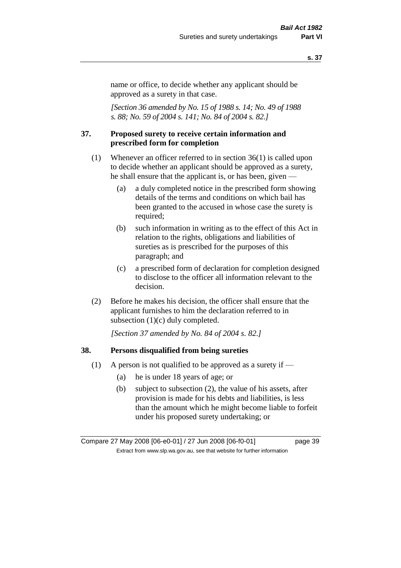name or office, to decide whether any applicant should be approved as a surety in that case.

*[Section 36 amended by No. 15 of 1988 s. 14; No. 49 of 1988 s. 88; No. 59 of 2004 s. 141; No. 84 of 2004 s. 82.]* 

### **37. Proposed surety to receive certain information and prescribed form for completion**

- (1) Whenever an officer referred to in section 36(1) is called upon to decide whether an applicant should be approved as a surety, he shall ensure that the applicant is, or has been, given —
	- (a) a duly completed notice in the prescribed form showing details of the terms and conditions on which bail has been granted to the accused in whose case the surety is required;
	- (b) such information in writing as to the effect of this Act in relation to the rights, obligations and liabilities of sureties as is prescribed for the purposes of this paragraph; and
	- (c) a prescribed form of declaration for completion designed to disclose to the officer all information relevant to the decision.
- (2) Before he makes his decision, the officer shall ensure that the applicant furnishes to him the declaration referred to in subsection (1)(c) duly completed.

*[Section 37 amended by No. 84 of 2004 s. 82.]* 

#### **38. Persons disqualified from being sureties**

- (1) A person is not qualified to be approved as a surety if  $-$ 
	- (a) he is under 18 years of age; or
	- (b) subject to subsection (2), the value of his assets, after provision is made for his debts and liabilities, is less than the amount which he might become liable to forfeit under his proposed surety undertaking; or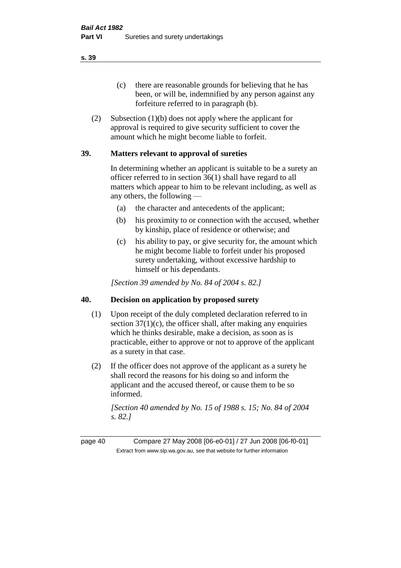(c) there are reasonable grounds for believing that he has been, or will be, indemnified by any person against any forfeiture referred to in paragraph (b).

(2) Subsection (1)(b) does not apply where the applicant for approval is required to give security sufficient to cover the amount which he might become liable to forfeit.

## **39. Matters relevant to approval of sureties**

In determining whether an applicant is suitable to be a surety an officer referred to in section 36(1) shall have regard to all matters which appear to him to be relevant including, as well as any others, the following —

- (a) the character and antecedents of the applicant;
- (b) his proximity to or connection with the accused, whether by kinship, place of residence or otherwise; and
- (c) his ability to pay, or give security for, the amount which he might become liable to forfeit under his proposed surety undertaking, without excessive hardship to himself or his dependants.

*[Section 39 amended by No. 84 of 2004 s. 82.]* 

## **40. Decision on application by proposed surety**

- (1) Upon receipt of the duly completed declaration referred to in section  $37(1)(c)$ , the officer shall, after making any enquiries which he thinks desirable, make a decision, as soon as is practicable, either to approve or not to approve of the applicant as a surety in that case.
- (2) If the officer does not approve of the applicant as a surety he shall record the reasons for his doing so and inform the applicant and the accused thereof, or cause them to be so informed.

*[Section 40 amended by No. 15 of 1988 s. 15; No. 84 of 2004 s. 82.]* 

page 40 Compare 27 May 2008 [06-e0-01] / 27 Jun 2008 [06-f0-01] Extract from www.slp.wa.gov.au, see that website for further information

**s. 39**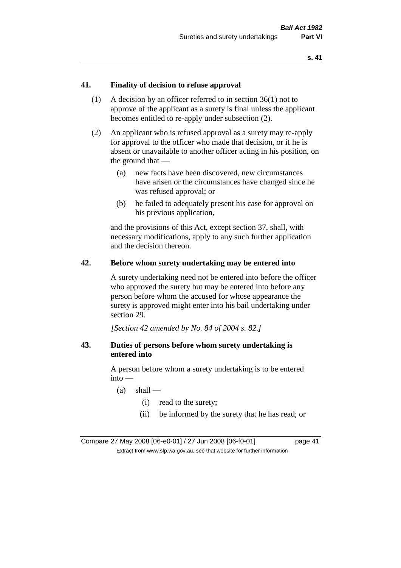## **41. Finality of decision to refuse approval**

- (1) A decision by an officer referred to in section 36(1) not to approve of the applicant as a surety is final unless the applicant becomes entitled to re-apply under subsection (2).
- (2) An applicant who is refused approval as a surety may re-apply for approval to the officer who made that decision, or if he is absent or unavailable to another officer acting in his position, on the ground that —
	- (a) new facts have been discovered, new circumstances have arisen or the circumstances have changed since he was refused approval; or
	- (b) he failed to adequately present his case for approval on his previous application,

and the provisions of this Act, except section 37, shall, with necessary modifications, apply to any such further application and the decision thereon.

### **42. Before whom surety undertaking may be entered into**

A surety undertaking need not be entered into before the officer who approved the surety but may be entered into before any person before whom the accused for whose appearance the surety is approved might enter into his bail undertaking under section 29.

*[Section 42 amended by No. 84 of 2004 s. 82.]* 

## **43. Duties of persons before whom surety undertaking is entered into**

A person before whom a surety undertaking is to be entered into —

- $(a)$  shall
	- (i) read to the surety;
	- (ii) be informed by the surety that he has read; or

Compare 27 May 2008 [06-e0-01] / 27 Jun 2008 [06-f0-01] page 41 Extract from www.slp.wa.gov.au, see that website for further information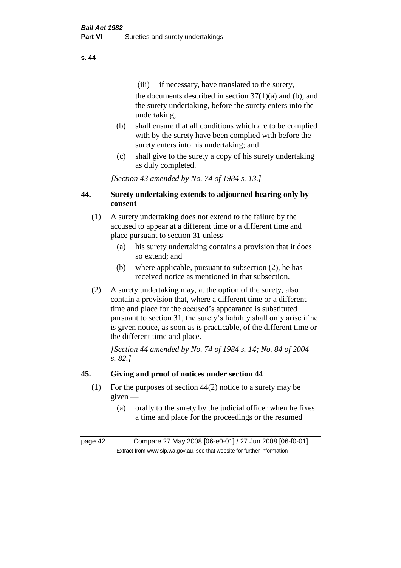(iii) if necessary, have translated to the surety, the documents described in section  $37(1)(a)$  and (b), and the surety undertaking, before the surety enters into the undertaking;

- (b) shall ensure that all conditions which are to be complied with by the surety have been complied with before the surety enters into his undertaking; and
- (c) shall give to the surety a copy of his surety undertaking as duly completed.

*[Section 43 amended by No. 74 of 1984 s. 13.]* 

## **44. Surety undertaking extends to adjourned hearing only by consent**

- (1) A surety undertaking does not extend to the failure by the accused to appear at a different time or a different time and place pursuant to section 31 unless —
	- (a) his surety undertaking contains a provision that it does so extend; and
	- (b) where applicable, pursuant to subsection (2), he has received notice as mentioned in that subsection.
- (2) A surety undertaking may, at the option of the surety, also contain a provision that, where a different time or a different time and place for the accused's appearance is substituted pursuant to section 31, the surety's liability shall only arise if he is given notice, as soon as is practicable, of the different time or the different time and place.

*[Section 44 amended by No. 74 of 1984 s. 14; No. 84 of 2004 s. 82.]* 

## **45. Giving and proof of notices under section 44**

- (1) For the purposes of section 44(2) notice to a surety may be given —
	- (a) orally to the surety by the judicial officer when he fixes a time and place for the proceedings or the resumed

page 42 Compare 27 May 2008 [06-e0-01] / 27 Jun 2008 [06-f0-01] Extract from www.slp.wa.gov.au, see that website for further information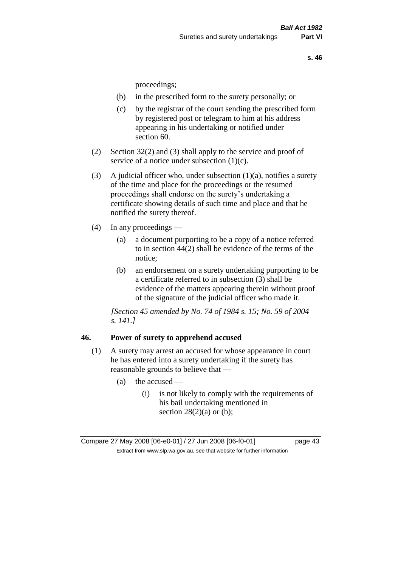proceedings;

- (b) in the prescribed form to the surety personally; or
- (c) by the registrar of the court sending the prescribed form by registered post or telegram to him at his address appearing in his undertaking or notified under section 60.
- (2) Section 32(2) and (3) shall apply to the service and proof of service of a notice under subsection (1)(c).
- (3) A judicial officer who, under subsection  $(1)(a)$ , notifies a surety of the time and place for the proceedings or the resumed proceedings shall endorse on the surety's undertaking a certificate showing details of such time and place and that he notified the surety thereof.
- (4) In any proceedings
	- (a) a document purporting to be a copy of a notice referred to in section 44(2) shall be evidence of the terms of the notice;
	- (b) an endorsement on a surety undertaking purporting to be a certificate referred to in subsection (3) shall be evidence of the matters appearing therein without proof of the signature of the judicial officer who made it.

*[Section 45 amended by No. 74 of 1984 s. 15; No. 59 of 2004 s. 141.]* 

### **46. Power of surety to apprehend accused**

- (1) A surety may arrest an accused for whose appearance in court he has entered into a surety undertaking if the surety has reasonable grounds to believe that —
	- $(a)$  the accused
		- (i) is not likely to comply with the requirements of his bail undertaking mentioned in section  $28(2)(a)$  or (b);

Compare 27 May 2008 [06-e0-01] / 27 Jun 2008 [06-f0-01] page 43 Extract from www.slp.wa.gov.au, see that website for further information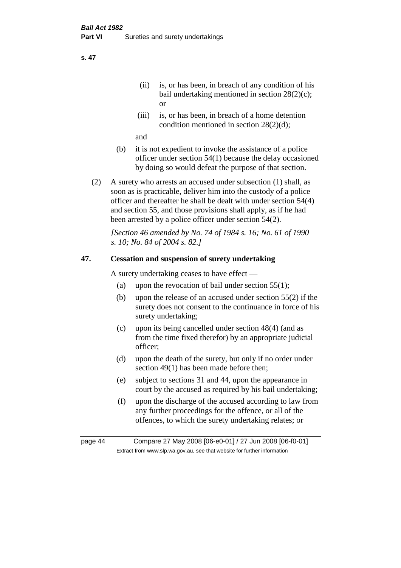- (ii) is, or has been, in breach of any condition of his bail undertaking mentioned in section 28(2)(c); or
- (iii) is, or has been, in breach of a home detention condition mentioned in section 28(2)(d);

and

- (b) it is not expedient to invoke the assistance of a police officer under section 54(1) because the delay occasioned by doing so would defeat the purpose of that section.
- (2) A surety who arrests an accused under subsection (1) shall, as soon as is practicable, deliver him into the custody of a police officer and thereafter he shall be dealt with under section 54(4) and section 55, and those provisions shall apply, as if he had been arrested by a police officer under section 54(2).

*[Section 46 amended by No. 74 of 1984 s. 16; No. 61 of 1990 s. 10; No. 84 of 2004 s. 82.]* 

## **47. Cessation and suspension of surety undertaking**

A surety undertaking ceases to have effect —

- (a) upon the revocation of bail under section  $55(1)$ ;
- (b) upon the release of an accused under section 55(2) if the surety does not consent to the continuance in force of his surety undertaking;
- (c) upon its being cancelled under section 48(4) (and as from the time fixed therefor) by an appropriate judicial officer;
- (d) upon the death of the surety, but only if no order under section 49(1) has been made before then;
- (e) subject to sections 31 and 44, upon the appearance in court by the accused as required by his bail undertaking;
- (f) upon the discharge of the accused according to law from any further proceedings for the offence, or all of the offences, to which the surety undertaking relates; or

page 44 Compare 27 May 2008 [06-e0-01] / 27 Jun 2008 [06-f0-01] Extract from www.slp.wa.gov.au, see that website for further information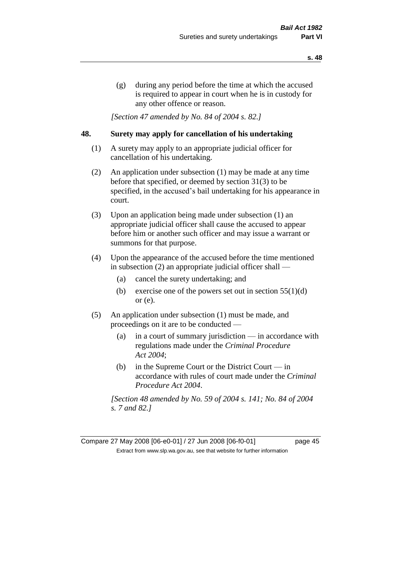(g) during any period before the time at which the accused is required to appear in court when he is in custody for any other offence or reason.

*[Section 47 amended by No. 84 of 2004 s. 82.]* 

## **48. Surety may apply for cancellation of his undertaking**

- (1) A surety may apply to an appropriate judicial officer for cancellation of his undertaking.
- (2) An application under subsection (1) may be made at any time before that specified, or deemed by section 31(3) to be specified, in the accused's bail undertaking for his appearance in court.
- (3) Upon an application being made under subsection (1) an appropriate judicial officer shall cause the accused to appear before him or another such officer and may issue a warrant or summons for that purpose.
- (4) Upon the appearance of the accused before the time mentioned in subsection (2) an appropriate judicial officer shall —
	- (a) cancel the surety undertaking; and
	- (b) exercise one of the powers set out in section  $55(1)(d)$ or (e).
- (5) An application under subsection (1) must be made, and proceedings on it are to be conducted —
	- (a) in a court of summary jurisdiction in accordance with regulations made under the *Criminal Procedure Act 2004*;
	- (b) in the Supreme Court or the District Court  $-\text{in}$ accordance with rules of court made under the *Criminal Procedure Act 2004*.

*[Section 48 amended by No. 59 of 2004 s. 141; No. 84 of 2004 s. 7 and 82.]* 

Compare 27 May 2008 [06-e0-01] / 27 Jun 2008 [06-f0-01] page 45 Extract from www.slp.wa.gov.au, see that website for further information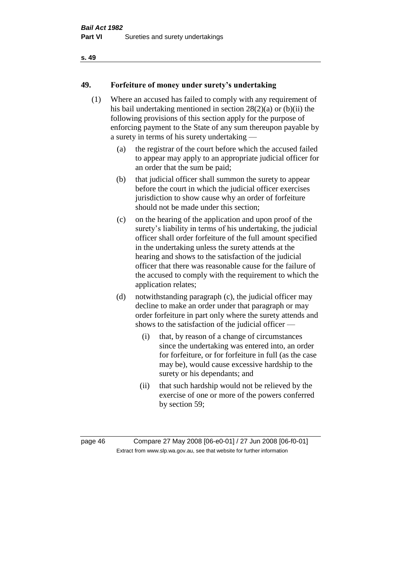## **49. Forfeiture of money under surety's undertaking**

- (1) Where an accused has failed to comply with any requirement of his bail undertaking mentioned in section 28(2)(a) or (b)(ii) the following provisions of this section apply for the purpose of enforcing payment to the State of any sum thereupon payable by a surety in terms of his surety undertaking —
	- (a) the registrar of the court before which the accused failed to appear may apply to an appropriate judicial officer for an order that the sum be paid;
	- (b) that judicial officer shall summon the surety to appear before the court in which the judicial officer exercises jurisdiction to show cause why an order of forfeiture should not be made under this section;
	- (c) on the hearing of the application and upon proof of the surety's liability in terms of his undertaking, the judicial officer shall order forfeiture of the full amount specified in the undertaking unless the surety attends at the hearing and shows to the satisfaction of the judicial officer that there was reasonable cause for the failure of the accused to comply with the requirement to which the application relates;
	- (d) notwithstanding paragraph (c), the judicial officer may decline to make an order under that paragraph or may order forfeiture in part only where the surety attends and shows to the satisfaction of the judicial officer —
		- (i) that, by reason of a change of circumstances since the undertaking was entered into, an order for forfeiture, or for forfeiture in full (as the case may be), would cause excessive hardship to the surety or his dependants; and
		- (ii) that such hardship would not be relieved by the exercise of one or more of the powers conferred by section 59;

page 46 Compare 27 May 2008 [06-e0-01] / 27 Jun 2008 [06-f0-01] Extract from www.slp.wa.gov.au, see that website for further information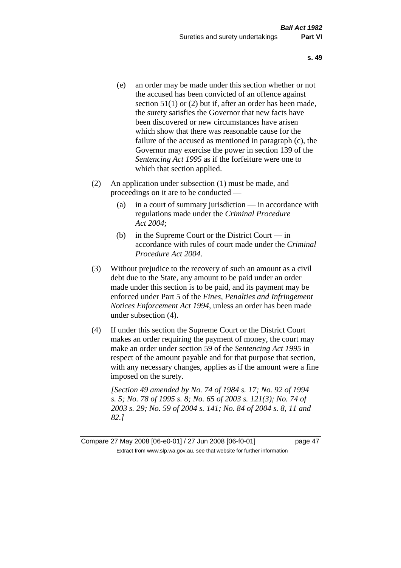- (e) an order may be made under this section whether or not the accused has been convicted of an offence against section 51(1) or (2) but if, after an order has been made, the surety satisfies the Governor that new facts have been discovered or new circumstances have arisen which show that there was reasonable cause for the failure of the accused as mentioned in paragraph (c), the Governor may exercise the power in section 139 of the *Sentencing Act 1995* as if the forfeiture were one to which that section applied.
- (2) An application under subsection (1) must be made, and proceedings on it are to be conducted —
	- (a) in a court of summary jurisdiction in accordance with regulations made under the *Criminal Procedure Act 2004*;
	- (b) in the Supreme Court or the District Court in accordance with rules of court made under the *Criminal Procedure Act 2004*.
- (3) Without prejudice to the recovery of such an amount as a civil debt due to the State, any amount to be paid under an order made under this section is to be paid, and its payment may be enforced under Part 5 of the *Fines, Penalties and Infringement Notices Enforcement Act 1994*, unless an order has been made under subsection (4).
- (4) If under this section the Supreme Court or the District Court makes an order requiring the payment of money, the court may make an order under section 59 of the *Sentencing Act 1995* in respect of the amount payable and for that purpose that section, with any necessary changes, applies as if the amount were a fine imposed on the surety.

*[Section 49 amended by No. 74 of 1984 s. 17; No. 92 of 1994 s. 5; No. 78 of 1995 s. 8; No. 65 of 2003 s. 121(3); No. 74 of 2003 s. 29; No. 59 of 2004 s. 141; No. 84 of 2004 s. 8, 11 and 82.]* 

Compare 27 May 2008 [06-e0-01] / 27 Jun 2008 [06-f0-01] page 47 Extract from www.slp.wa.gov.au, see that website for further information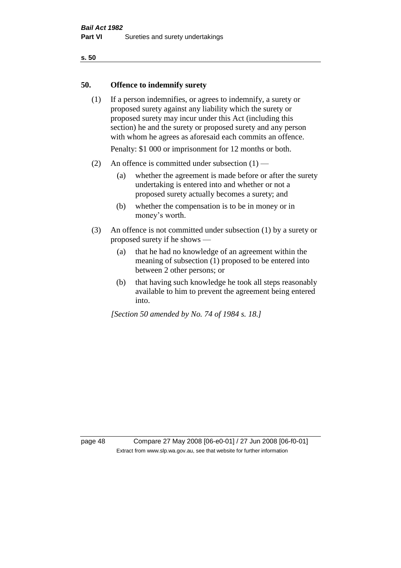### **50. Offence to indemnify surety**

(1) If a person indemnifies, or agrees to indemnify, a surety or proposed surety against any liability which the surety or proposed surety may incur under this Act (including this section) he and the surety or proposed surety and any person with whom he agrees as aforesaid each commits an offence.

Penalty: \$1 000 or imprisonment for 12 months or both.

- (2) An offence is committed under subsection  $(1)$ 
	- (a) whether the agreement is made before or after the surety undertaking is entered into and whether or not a proposed surety actually becomes a surety; and
	- (b) whether the compensation is to be in money or in money's worth.
- (3) An offence is not committed under subsection (1) by a surety or proposed surety if he shows —
	- (a) that he had no knowledge of an agreement within the meaning of subsection (1) proposed to be entered into between 2 other persons; or
	- (b) that having such knowledge he took all steps reasonably available to him to prevent the agreement being entered into.

*[Section 50 amended by No. 74 of 1984 s. 18.]* 

page 48 Compare 27 May 2008 [06-e0-01] / 27 Jun 2008 [06-f0-01] Extract from www.slp.wa.gov.au, see that website for further information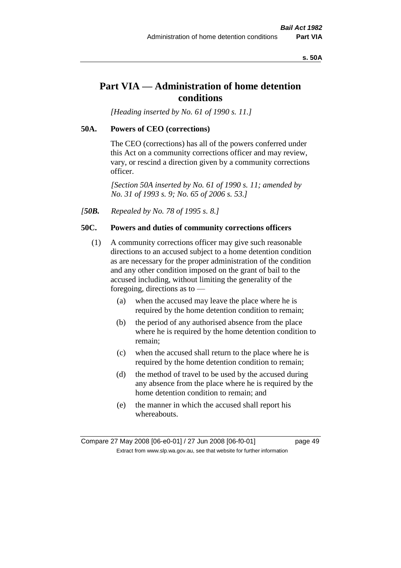#### **s. 50A**

# **Part VIA — Administration of home detention conditions**

*[Heading inserted by No. 61 of 1990 s. 11.]* 

### **50A. Powers of CEO (corrections)**

The CEO (corrections) has all of the powers conferred under this Act on a community corrections officer and may review, vary, or rescind a direction given by a community corrections officer.

*[Section 50A inserted by No. 61 of 1990 s. 11; amended by No. 31 of 1993 s. 9; No. 65 of 2006 s. 53.]* 

*[50B. Repealed by No. 78 of 1995 s. 8.]* 

## **50C. Powers and duties of community corrections officers**

- (1) A community corrections officer may give such reasonable directions to an accused subject to a home detention condition as are necessary for the proper administration of the condition and any other condition imposed on the grant of bail to the accused including, without limiting the generality of the foregoing, directions as to —
	- (a) when the accused may leave the place where he is required by the home detention condition to remain;
	- (b) the period of any authorised absence from the place where he is required by the home detention condition to remain;
	- (c) when the accused shall return to the place where he is required by the home detention condition to remain;
	- (d) the method of travel to be used by the accused during any absence from the place where he is required by the home detention condition to remain; and
	- (e) the manner in which the accused shall report his whereabouts.

Compare 27 May 2008 [06-e0-01] / 27 Jun 2008 [06-f0-01] page 49 Extract from www.slp.wa.gov.au, see that website for further information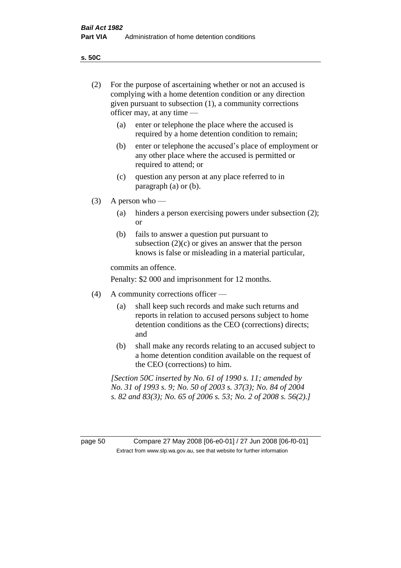**s. 50C**

| (2)     | For the purpose of ascertaining whether or not an accused is<br>complying with a home detention condition or any direction<br>given pursuant to subsection (1), a community corrections<br>officer may, at any time — |                                                                                                                                                                                              |  |  |
|---------|-----------------------------------------------------------------------------------------------------------------------------------------------------------------------------------------------------------------------|----------------------------------------------------------------------------------------------------------------------------------------------------------------------------------------------|--|--|
|         | enter or telephone the place where the accused is<br>(a)<br>required by a home detention condition to remain;                                                                                                         |                                                                                                                                                                                              |  |  |
|         | (b)                                                                                                                                                                                                                   | enter or telephone the accused's place of employment or<br>any other place where the accused is permitted or<br>required to attend; or                                                       |  |  |
|         | (c)                                                                                                                                                                                                                   | question any person at any place referred to in<br>paragraph $(a)$ or $(b)$ .                                                                                                                |  |  |
| (3)     |                                                                                                                                                                                                                       | A person who $-$                                                                                                                                                                             |  |  |
|         | (a)                                                                                                                                                                                                                   | hinders a person exercising powers under subsection (2);<br><sub>or</sub>                                                                                                                    |  |  |
|         | (b)                                                                                                                                                                                                                   | fails to answer a question put pursuant to<br>subsection $(2)(c)$ or gives an answer that the person<br>knows is false or misleading in a material particular,                               |  |  |
|         | commits an offence.                                                                                                                                                                                                   |                                                                                                                                                                                              |  |  |
|         | Penalty: \$2 000 and imprisonment for 12 months.                                                                                                                                                                      |                                                                                                                                                                                              |  |  |
| (4)     | A community corrections officer —                                                                                                                                                                                     |                                                                                                                                                                                              |  |  |
|         | (a)                                                                                                                                                                                                                   | shall keep such records and make such returns and<br>reports in relation to accused persons subject to home<br>detention conditions as the CEO (corrections) directs;<br>and                 |  |  |
|         | (b)                                                                                                                                                                                                                   | shall make any records relating to an accused subject to<br>a home detention condition available on the request of<br>the CEO (corrections) to him.                                          |  |  |
|         |                                                                                                                                                                                                                       | [Section 50C inserted by No. 61 of 1990 s. 11; amended by<br>No. 31 of 1993 s. 9; No. 50 of 2003 s. 37(3); No. 84 of 2004<br>s. 82 and 83(3); No. 65 of 2006 s. 53; No. 2 of 2008 s. 56(2).] |  |  |
|         |                                                                                                                                                                                                                       |                                                                                                                                                                                              |  |  |
| page 50 |                                                                                                                                                                                                                       | Compare 27 May 2008 [06-e0-01] / 27 Jun 2008 [06-f0-01]<br>Extract from www.slp.wa.gov.au, see that website for further information                                                          |  |  |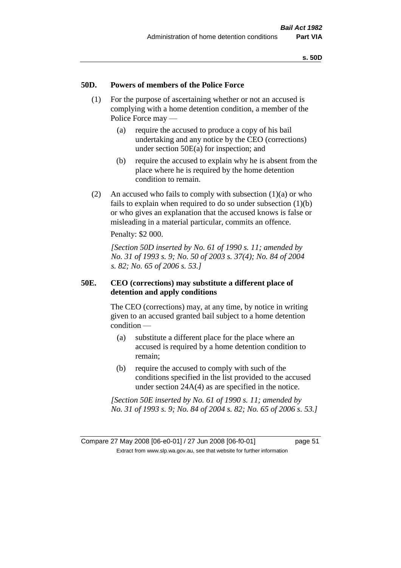## **50D. Powers of members of the Police Force**

- (1) For the purpose of ascertaining whether or not an accused is complying with a home detention condition, a member of the Police Force may —
	- (a) require the accused to produce a copy of his bail undertaking and any notice by the CEO (corrections) under section 50E(a) for inspection; and
	- (b) require the accused to explain why he is absent from the place where he is required by the home detention condition to remain.
- (2) An accused who fails to comply with subsection  $(1)(a)$  or who fails to explain when required to do so under subsection (1)(b) or who gives an explanation that the accused knows is false or misleading in a material particular, commits an offence.

Penalty: \$2 000.

*[Section 50D inserted by No. 61 of 1990 s. 11; amended by No. 31 of 1993 s. 9; No. 50 of 2003 s. 37(4); No. 84 of 2004 s. 82; No. 65 of 2006 s. 53.]* 

## **50E. CEO (corrections) may substitute a different place of detention and apply conditions**

The CEO (corrections) may, at any time, by notice in writing given to an accused granted bail subject to a home detention condition —

- (a) substitute a different place for the place where an accused is required by a home detention condition to remain;
- (b) require the accused to comply with such of the conditions specified in the list provided to the accused under section 24A(4) as are specified in the notice.

*[Section 50E inserted by No. 61 of 1990 s. 11; amended by No. 31 of 1993 s. 9; No. 84 of 2004 s. 82; No. 65 of 2006 s. 53.]*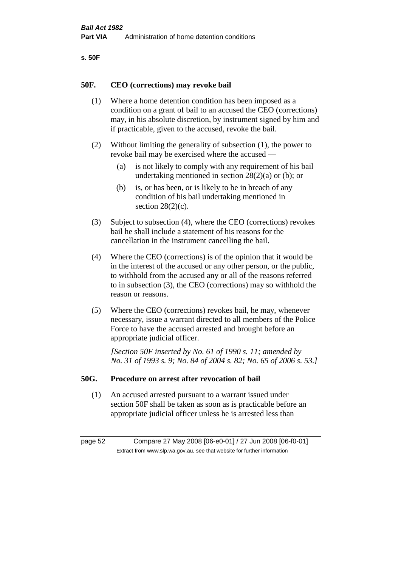| ۰.<br>×<br>-<br>۰.<br>× |  |
|-------------------------|--|
|-------------------------|--|

### **50F. CEO (corrections) may revoke bail**

- (1) Where a home detention condition has been imposed as a condition on a grant of bail to an accused the CEO (corrections) may, in his absolute discretion, by instrument signed by him and if practicable, given to the accused, revoke the bail.
- (2) Without limiting the generality of subsection (1), the power to revoke bail may be exercised where the accused —
	- (a) is not likely to comply with any requirement of his bail undertaking mentioned in section  $28(2)(a)$  or (b); or
	- (b) is, or has been, or is likely to be in breach of any condition of his bail undertaking mentioned in section  $28(2)(c)$ .
- (3) Subject to subsection (4), where the CEO (corrections) revokes bail he shall include a statement of his reasons for the cancellation in the instrument cancelling the bail.
- (4) Where the CEO (corrections) is of the opinion that it would be in the interest of the accused or any other person, or the public, to withhold from the accused any or all of the reasons referred to in subsection (3), the CEO (corrections) may so withhold the reason or reasons.
- (5) Where the CEO (corrections) revokes bail, he may, whenever necessary, issue a warrant directed to all members of the Police Force to have the accused arrested and brought before an appropriate judicial officer.

*[Section 50F inserted by No. 61 of 1990 s. 11; amended by No. 31 of 1993 s. 9; No. 84 of 2004 s. 82; No. 65 of 2006 s. 53.]* 

#### **50G. Procedure on arrest after revocation of bail**

(1) An accused arrested pursuant to a warrant issued under section 50F shall be taken as soon as is practicable before an appropriate judicial officer unless he is arrested less than

page 52 Compare 27 May 2008 [06-e0-01] / 27 Jun 2008 [06-f0-01] Extract from www.slp.wa.gov.au, see that website for further information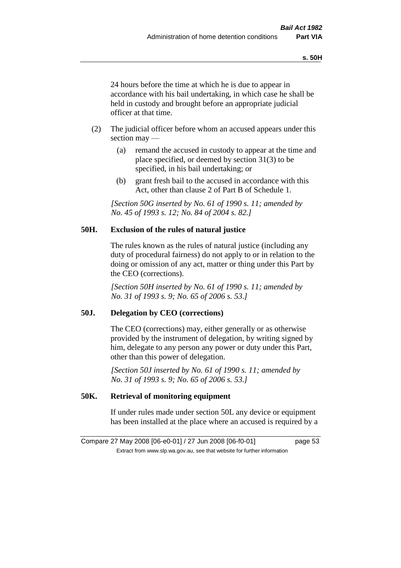24 hours before the time at which he is due to appear in accordance with his bail undertaking, in which case he shall be held in custody and brought before an appropriate judicial officer at that time.

- (2) The judicial officer before whom an accused appears under this section may —
	- (a) remand the accused in custody to appear at the time and place specified, or deemed by section 31(3) to be specified, in his bail undertaking; or
	- (b) grant fresh bail to the accused in accordance with this Act, other than clause 2 of Part B of Schedule 1.

*[Section 50G inserted by No. 61 of 1990 s. 11; amended by No. 45 of 1993 s. 12; No. 84 of 2004 s. 82.]* 

## **50H. Exclusion of the rules of natural justice**

The rules known as the rules of natural justice (including any duty of procedural fairness) do not apply to or in relation to the doing or omission of any act, matter or thing under this Part by the CEO (corrections).

*[Section 50H inserted by No. 61 of 1990 s. 11; amended by No. 31 of 1993 s. 9; No. 65 of 2006 s. 53.]* 

## **50J. Delegation by CEO (corrections)**

The CEO (corrections) may, either generally or as otherwise provided by the instrument of delegation, by writing signed by him, delegate to any person any power or duty under this Part, other than this power of delegation.

*[Section 50J inserted by No. 61 of 1990 s. 11; amended by No. 31 of 1993 s. 9; No. 65 of 2006 s. 53.]* 

## **50K. Retrieval of monitoring equipment**

If under rules made under section 50L any device or equipment has been installed at the place where an accused is required by a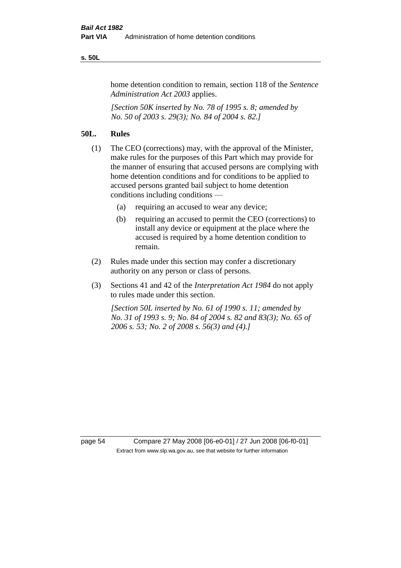#### **s. 50L**

home detention condition to remain, section 118 of the *Sentence Administration Act 2003* applies.

*[Section 50K inserted by No. 78 of 1995 s. 8; amended by No. 50 of 2003 s. 29(3); No. 84 of 2004 s. 82.]* 

## **50L. Rules**

- (1) The CEO (corrections) may, with the approval of the Minister, make rules for the purposes of this Part which may provide for the manner of ensuring that accused persons are complying with home detention conditions and for conditions to be applied to accused persons granted bail subject to home detention conditions including conditions —
	- (a) requiring an accused to wear any device;
	- (b) requiring an accused to permit the CEO (corrections) to install any device or equipment at the place where the accused is required by a home detention condition to remain.
- (2) Rules made under this section may confer a discretionary authority on any person or class of persons.
- (3) Sections 41 and 42 of the *Interpretation Act 1984* do not apply to rules made under this section.

*[Section 50L inserted by No. 61 of 1990 s. 11; amended by No. 31 of 1993 s. 9; No. 84 of 2004 s. 82 and 83(3); No. 65 of 2006 s. 53; No. 2 of 2008 s. 56(3) and (4).]* 

page 54 Compare 27 May 2008 [06-e0-01] / 27 Jun 2008 [06-f0-01] Extract from www.slp.wa.gov.au, see that website for further information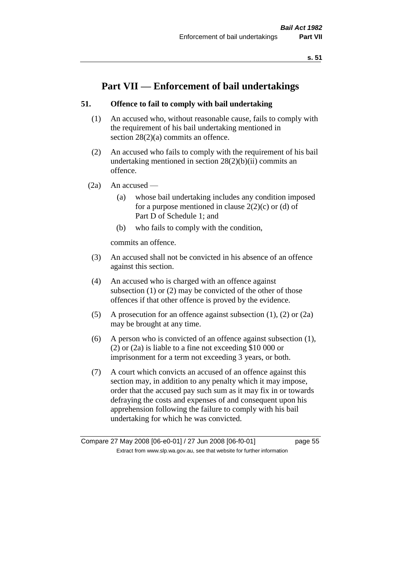# **Part VII — Enforcement of bail undertakings**

## **51. Offence to fail to comply with bail undertaking**

- (1) An accused who, without reasonable cause, fails to comply with the requirement of his bail undertaking mentioned in section 28(2)(a) commits an offence.
- (2) An accused who fails to comply with the requirement of his bail undertaking mentioned in section  $28(2)(b)(ii)$  commits an offence.
- $(2a)$  An accused
	- (a) whose bail undertaking includes any condition imposed for a purpose mentioned in clause  $2(2)(c)$  or (d) of Part D of Schedule 1; and
	- (b) who fails to comply with the condition,

commits an offence.

- (3) An accused shall not be convicted in his absence of an offence against this section.
- (4) An accused who is charged with an offence against subsection (1) or (2) may be convicted of the other of those offences if that other offence is proved by the evidence.
- (5) A prosecution for an offence against subsection (1), (2) or (2a) may be brought at any time.
- (6) A person who is convicted of an offence against subsection (1), (2) or (2a) is liable to a fine not exceeding \$10 000 or imprisonment for a term not exceeding 3 years, or both.
- (7) A court which convicts an accused of an offence against this section may, in addition to any penalty which it may impose, order that the accused pay such sum as it may fix in or towards defraying the costs and expenses of and consequent upon his apprehension following the failure to comply with his bail undertaking for which he was convicted.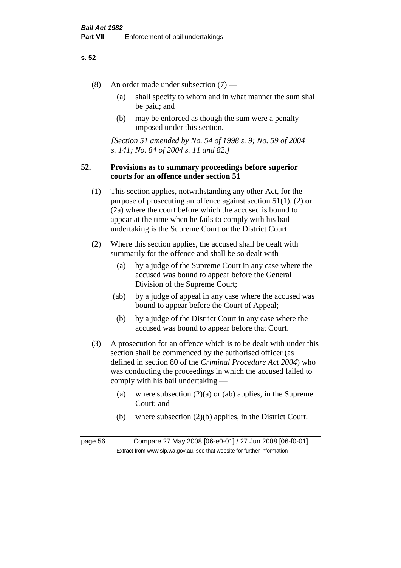- (8) An order made under subsection (7)
	- (a) shall specify to whom and in what manner the sum shall be paid; and
	- (b) may be enforced as though the sum were a penalty imposed under this section.

*[Section 51 amended by No. 54 of 1998 s. 9; No. 59 of 2004 s. 141; No. 84 of 2004 s. 11 and 82.]*

## **52. Provisions as to summary proceedings before superior courts for an offence under section 51**

- (1) This section applies, notwithstanding any other Act, for the purpose of prosecuting an offence against section 51(1), (2) or (2a) where the court before which the accused is bound to appear at the time when he fails to comply with his bail undertaking is the Supreme Court or the District Court.
- (2) Where this section applies, the accused shall be dealt with summarily for the offence and shall be so dealt with —
	- (a) by a judge of the Supreme Court in any case where the accused was bound to appear before the General Division of the Supreme Court;
	- (ab) by a judge of appeal in any case where the accused was bound to appear before the Court of Appeal;
	- (b) by a judge of the District Court in any case where the accused was bound to appear before that Court.
- (3) A prosecution for an offence which is to be dealt with under this section shall be commenced by the authorised officer (as defined in section 80 of the *Criminal Procedure Act 2004*) who was conducting the proceedings in which the accused failed to comply with his bail undertaking —
	- (a) where subsection  $(2)(a)$  or (ab) applies, in the Supreme Court; and
	- (b) where subsection (2)(b) applies, in the District Court.

page 56 Compare 27 May 2008 [06-e0-01] / 27 Jun 2008 [06-f0-01] Extract from www.slp.wa.gov.au, see that website for further information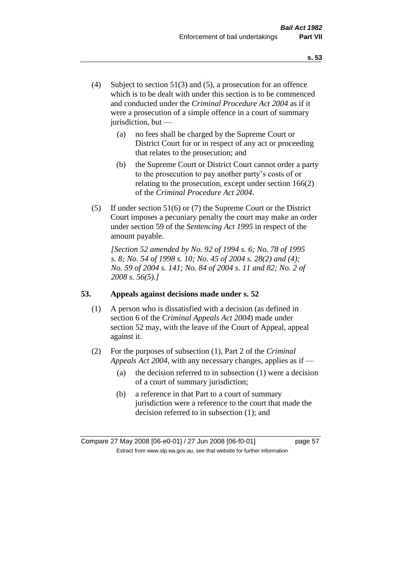- (4) Subject to section 51(3) and (5), a prosecution for an offence which is to be dealt with under this section is to be commenced and conducted under the *Criminal Procedure Act 2004* as if it were a prosecution of a simple offence in a court of summary jurisdiction, but —
	- (a) no fees shall be charged by the Supreme Court or District Court for or in respect of any act or proceeding that relates to the prosecution; and
	- (b) the Supreme Court or District Court cannot order a party to the prosecution to pay another party's costs of or relating to the prosecution, except under section 166(2) of the *Criminal Procedure Act 2004*.
- (5) If under section 51(6) or (7) the Supreme Court or the District Court imposes a pecuniary penalty the court may make an order under section 59 of the *Sentencing Act 1995* in respect of the amount payable.

*[Section 52 amended by No. 92 of 1994 s. 6; No. 78 of 1995 s. 8; No. 54 of 1998 s. 10; No. 45 of 2004 s. 28(2) and (4); No. 59 of 2004 s. 141; No. 84 of 2004 s. 11 and 82; No. 2 of 2008 s. 56(5).]* 

## **53. Appeals against decisions made under s. 52**

- (1) A person who is dissatisfied with a decision (as defined in section 6 of the *Criminal Appeals Act 2004*) made under section 52 may, with the leave of the Court of Appeal, appeal against it.
- (2) For the purposes of subsection (1), Part 2 of the *Criminal Appeals Act 2004*, with any necessary changes, applies as if —
	- (a) the decision referred to in subsection (1) were a decision of a court of summary jurisdiction;
	- (b) a reference in that Part to a court of summary jurisdiction were a reference to the court that made the decision referred to in subsection (1); and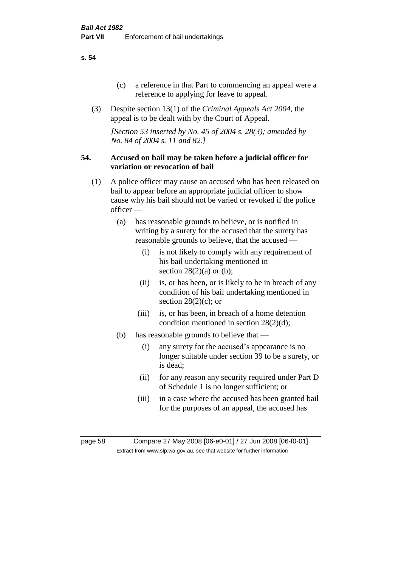- (c) a reference in that Part to commencing an appeal were a reference to applying for leave to appeal.
- (3) Despite section 13(1) of the *Criminal Appeals Act 2004*, the appeal is to be dealt with by the Court of Appeal.

*[Section 53 inserted by No. 45 of 2004 s. 28(3); amended by No. 84 of 2004 s. 11 and 82.]*

### **54. Accused on bail may be taken before a judicial officer for variation or revocation of bail**

- (1) A police officer may cause an accused who has been released on bail to appear before an appropriate judicial officer to show cause why his bail should not be varied or revoked if the police officer —
	- (a) has reasonable grounds to believe, or is notified in writing by a surety for the accused that the surety has reasonable grounds to believe, that the accused —
		- (i) is not likely to comply with any requirement of his bail undertaking mentioned in section  $28(2)(a)$  or (b);
		- (ii) is, or has been, or is likely to be in breach of any condition of his bail undertaking mentioned in section  $28(2)(c)$ ; or
		- (iii) is, or has been, in breach of a home detention condition mentioned in section 28(2)(d);
	- (b) has reasonable grounds to believe that
		- (i) any surety for the accused's appearance is no longer suitable under section 39 to be a surety, or is dead;
		- (ii) for any reason any security required under Part D of Schedule 1 is no longer sufficient; or
		- (iii) in a case where the accused has been granted bail for the purposes of an appeal, the accused has

page 58 Compare 27 May 2008 [06-e0-01] / 27 Jun 2008 [06-f0-01] Extract from www.slp.wa.gov.au, see that website for further information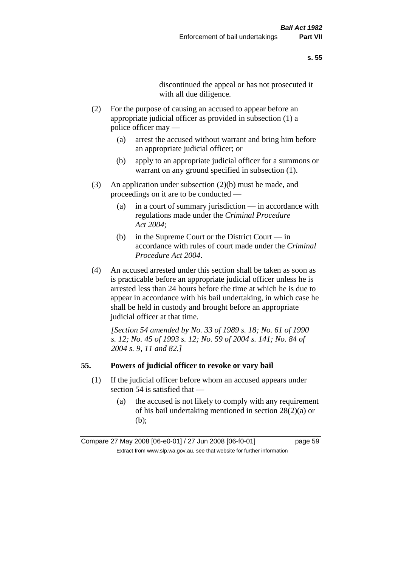discontinued the appeal or has not prosecuted it with all due diligence.

- (2) For the purpose of causing an accused to appear before an appropriate judicial officer as provided in subsection (1) a police officer may —
	- (a) arrest the accused without warrant and bring him before an appropriate judicial officer; or
	- (b) apply to an appropriate judicial officer for a summons or warrant on any ground specified in subsection  $(1)$ .
- (3) An application under subsection (2)(b) must be made, and proceedings on it are to be conducted —
	- (a) in a court of summary jurisdiction in accordance with regulations made under the *Criminal Procedure Act 2004*;
	- (b) in the Supreme Court or the District Court in accordance with rules of court made under the *Criminal Procedure Act 2004*.
- (4) An accused arrested under this section shall be taken as soon as is practicable before an appropriate judicial officer unless he is arrested less than 24 hours before the time at which he is due to appear in accordance with his bail undertaking, in which case he shall be held in custody and brought before an appropriate judicial officer at that time.

*[Section 54 amended by No. 33 of 1989 s. 18; No. 61 of 1990 s. 12; No. 45 of 1993 s. 12; No. 59 of 2004 s. 141; No. 84 of 2004 s. 9, 11 and 82.]* 

#### **55. Powers of judicial officer to revoke or vary bail**

- (1) If the judicial officer before whom an accused appears under section 54 is satisfied that —
	- (a) the accused is not likely to comply with any requirement of his bail undertaking mentioned in section 28(2)(a) or (b);

Compare 27 May 2008 [06-e0-01] / 27 Jun 2008 [06-f0-01] page 59 Extract from www.slp.wa.gov.au, see that website for further information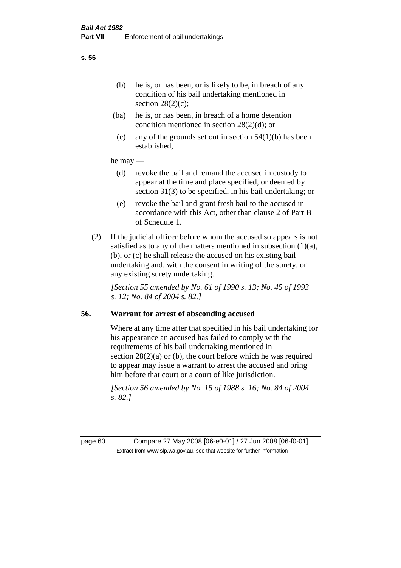- (ba) he is, or has been, in breach of a home detention condition mentioned in section 28(2)(d); or
- (c) any of the grounds set out in section  $54(1)(b)$  has been established,

### he may —

- (d) revoke the bail and remand the accused in custody to appear at the time and place specified, or deemed by section 31(3) to be specified, in his bail undertaking; or
- (e) revoke the bail and grant fresh bail to the accused in accordance with this Act, other than clause 2 of Part B of Schedule 1.
- (2) If the judicial officer before whom the accused so appears is not satisfied as to any of the matters mentioned in subsection  $(1)(a)$ , (b), or (c) he shall release the accused on his existing bail undertaking and, with the consent in writing of the surety, on any existing surety undertaking.

*[Section 55 amended by No. 61 of 1990 s. 13; No. 45 of 1993 s. 12; No. 84 of 2004 s. 82.]* 

## **56. Warrant for arrest of absconding accused**

Where at any time after that specified in his bail undertaking for his appearance an accused has failed to comply with the requirements of his bail undertaking mentioned in section  $28(2)(a)$  or (b), the court before which he was required to appear may issue a warrant to arrest the accused and bring him before that court or a court of like jurisdiction.

*[Section 56 amended by No. 15 of 1988 s. 16; No. 84 of 2004 s. 82.]* 

page 60 Compare 27 May 2008 [06-e0-01] / 27 Jun 2008 [06-f0-01] Extract from www.slp.wa.gov.au, see that website for further information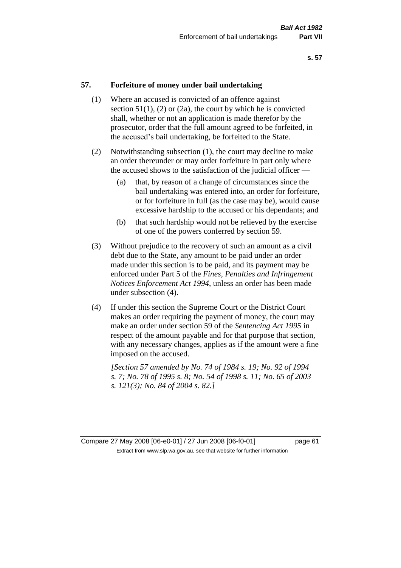### **57. Forfeiture of money under bail undertaking**

- (1) Where an accused is convicted of an offence against section  $51(1)$ ,  $(2)$  or  $(2a)$ , the court by which he is convicted shall, whether or not an application is made therefor by the prosecutor, order that the full amount agreed to be forfeited, in the accused's bail undertaking, be forfeited to the State.
- (2) Notwithstanding subsection (1), the court may decline to make an order thereunder or may order forfeiture in part only where the accused shows to the satisfaction of the judicial officer —
	- (a) that, by reason of a change of circumstances since the bail undertaking was entered into, an order for forfeiture, or for forfeiture in full (as the case may be), would cause excessive hardship to the accused or his dependants; and
	- (b) that such hardship would not be relieved by the exercise of one of the powers conferred by section 59.
- (3) Without prejudice to the recovery of such an amount as a civil debt due to the State, any amount to be paid under an order made under this section is to be paid, and its payment may be enforced under Part 5 of the *Fines, Penalties and Infringement Notices Enforcement Act 1994*, unless an order has been made under subsection (4).
- (4) If under this section the Supreme Court or the District Court makes an order requiring the payment of money, the court may make an order under section 59 of the *Sentencing Act 1995* in respect of the amount payable and for that purpose that section, with any necessary changes, applies as if the amount were a fine imposed on the accused.

*[Section 57 amended by No. 74 of 1984 s. 19; No. 92 of 1994 s. 7; No. 78 of 1995 s. 8; No. 54 of 1998 s. 11; No. 65 of 2003 s. 121(3); No. 84 of 2004 s. 82.]* 

Compare 27 May 2008 [06-e0-01] / 27 Jun 2008 [06-f0-01] page 61 Extract from www.slp.wa.gov.au, see that website for further information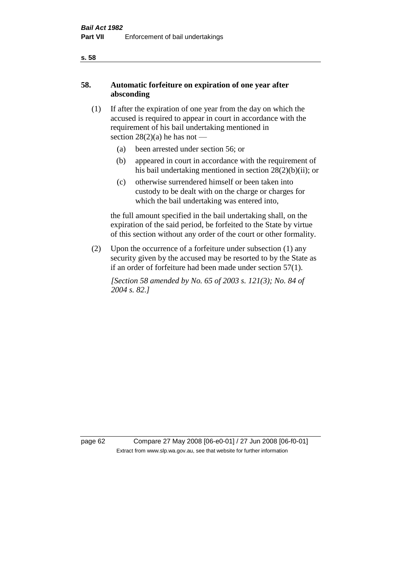## **58. Automatic forfeiture on expiration of one year after absconding**

- (1) If after the expiration of one year from the day on which the accused is required to appear in court in accordance with the requirement of his bail undertaking mentioned in section  $28(2)(a)$  he has not —
	- (a) been arrested under section 56; or
	- (b) appeared in court in accordance with the requirement of his bail undertaking mentioned in section 28(2)(b)(ii); or
	- (c) otherwise surrendered himself or been taken into custody to be dealt with on the charge or charges for which the bail undertaking was entered into,

the full amount specified in the bail undertaking shall, on the expiration of the said period, be forfeited to the State by virtue of this section without any order of the court or other formality.

(2) Upon the occurrence of a forfeiture under subsection (1) any security given by the accused may be resorted to by the State as if an order of forfeiture had been made under section 57(1).

*[Section 58 amended by No. 65 of 2003 s. 121(3); No. 84 of 2004 s. 82.]*

page 62 Compare 27 May 2008 [06-e0-01] / 27 Jun 2008 [06-f0-01] Extract from www.slp.wa.gov.au, see that website for further information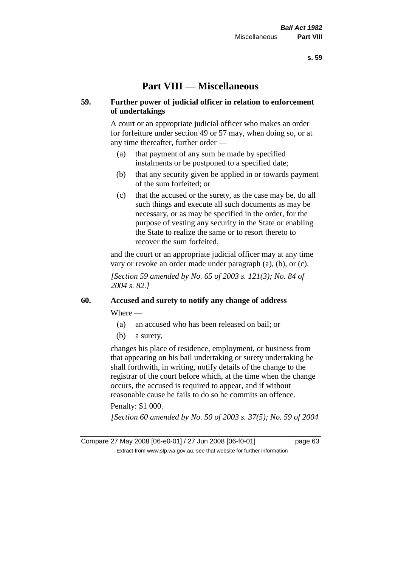# **Part VIII — Miscellaneous**

## **59. Further power of judicial officer in relation to enforcement of undertakings**

A court or an appropriate judicial officer who makes an order for forfeiture under section 49 or 57 may, when doing so, or at any time thereafter, further order —

- (a) that payment of any sum be made by specified instalments or be postponed to a specified date;
- (b) that any security given be applied in or towards payment of the sum forfeited; or
- (c) that the accused or the surety, as the case may be, do all such things and execute all such documents as may be necessary, or as may be specified in the order, for the purpose of vesting any security in the State or enabling the State to realize the same or to resort thereto to recover the sum forfeited,

and the court or an appropriate judicial officer may at any time vary or revoke an order made under paragraph (a), (b), or (c).

*[Section 59 amended by No. 65 of 2003 s. 121(3); No. 84 of 2004 s. 82.]*

## **60. Accused and surety to notify any change of address**

Where —

- (a) an accused who has been released on bail; or
- (b) a surety,

changes his place of residence, employment, or business from that appearing on his bail undertaking or surety undertaking he shall forthwith, in writing, notify details of the change to the registrar of the court before which, at the time when the change occurs, the accused is required to appear, and if without reasonable cause he fails to do so he commits an offence.

## Penalty: \$1 000.

*[Section 60 amended by No. 50 of 2003 s. 37(5); No. 59 of 2004*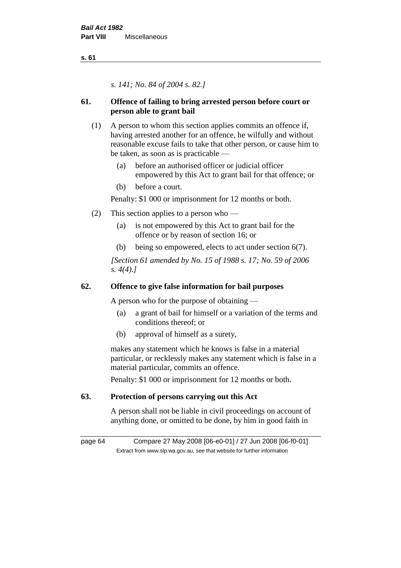*s. 141; No. 84 of 2004 s. 82.]*

## **61. Offence of failing to bring arrested person before court or person able to grant bail**

- (1) A person to whom this section applies commits an offence if, having arrested another for an offence, he wilfully and without reasonable excuse fails to take that other person, or cause him to be taken, as soon as is practicable —
	- (a) before an authorised officer or judicial officer empowered by this Act to grant bail for that offence; or
	- (b) before a court.

Penalty: \$1 000 or imprisonment for 12 months or both.

- (2) This section applies to a person who
	- (a) is not empowered by this Act to grant bail for the offence or by reason of section 16; or
	- (b) being so empowered, elects to act under section 6(7).

*[Section 61 amended by No. 15 of 1988 s. 17; No. 59 of 2006 s. 4(4).]* 

## **62. Offence to give false information for bail purposes**

A person who for the purpose of obtaining —

- (a) a grant of bail for himself or a variation of the terms and conditions thereof; or
- (b) approval of himself as a surety,

makes any statement which he knows is false in a material particular, or recklessly makes any statement which is false in a material particular, commits an offence.

Penalty: \$1 000 or imprisonment for 12 months or both.

## **63. Protection of persons carrying out this Act**

A person shall not be liable in civil proceedings on account of anything done, or omitted to be done, by him in good faith in

page 64 Compare 27 May 2008 [06-e0-01] / 27 Jun 2008 [06-f0-01] Extract from www.slp.wa.gov.au, see that website for further information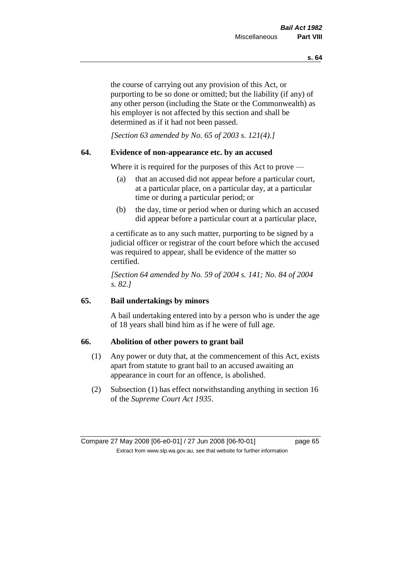the course of carrying out any provision of this Act, or purporting to be so done or omitted; but the liability (if any) of any other person (including the State or the Commonwealth) as his employer is not affected by this section and shall be determined as if it had not been passed.

*[Section 63 amended by No. 65 of 2003 s. 121(4).]*

## **64. Evidence of non-appearance etc. by an accused**

Where it is required for the purposes of this Act to prove —

- (a) that an accused did not appear before a particular court, at a particular place, on a particular day, at a particular time or during a particular period; or
- (b) the day, time or period when or during which an accused did appear before a particular court at a particular place,

a certificate as to any such matter, purporting to be signed by a judicial officer or registrar of the court before which the accused was required to appear, shall be evidence of the matter so certified.

*[Section 64 amended by No. 59 of 2004 s. 141; No. 84 of 2004 s. 82.]* 

## **65. Bail undertakings by minors**

A bail undertaking entered into by a person who is under the age of 18 years shall bind him as if he were of full age.

## **66. Abolition of other powers to grant bail**

- (1) Any power or duty that, at the commencement of this Act, exists apart from statute to grant bail to an accused awaiting an appearance in court for an offence, is abolished.
- (2) Subsection (1) has effect notwithstanding anything in section 16 of the *Supreme Court Act 1935*.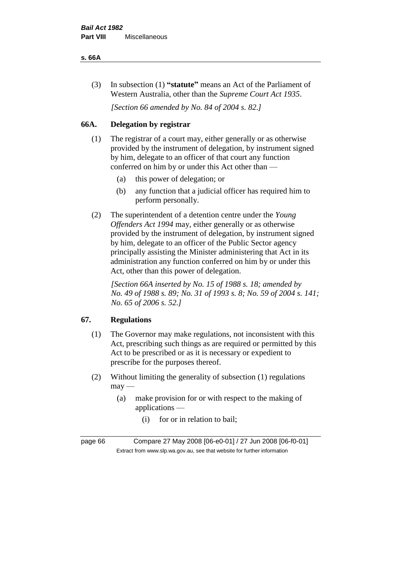#### **s. 66A**

(3) In subsection (1) **"statute"** means an Act of the Parliament of Western Australia, other than the *Supreme Court Act 1935*.

*[Section 66 amended by No. 84 of 2004 s. 82.]*

## **66A. Delegation by registrar**

- (1) The registrar of a court may, either generally or as otherwise provided by the instrument of delegation, by instrument signed by him, delegate to an officer of that court any function conferred on him by or under this Act other than —
	- (a) this power of delegation; or
	- (b) any function that a judicial officer has required him to perform personally.
- (2) The superintendent of a detention centre under the *Young Offenders Act 1994* may, either generally or as otherwise provided by the instrument of delegation, by instrument signed by him, delegate to an officer of the Public Sector agency principally assisting the Minister administering that Act in its administration any function conferred on him by or under this Act, other than this power of delegation.

*[Section 66A inserted by No. 15 of 1988 s. 18; amended by No. 49 of 1988 s. 89; No. 31 of 1993 s. 8; No. 59 of 2004 s. 141; No. 65 of 2006 s. 52.]* 

## **67. Regulations**

- (1) The Governor may make regulations, not inconsistent with this Act, prescribing such things as are required or permitted by this Act to be prescribed or as it is necessary or expedient to prescribe for the purposes thereof.
- (2) Without limiting the generality of subsection (1) regulations  $may$ —
	- (a) make provision for or with respect to the making of applications —
		- (i) for or in relation to bail;

page 66 Compare 27 May 2008 [06-e0-01] / 27 Jun 2008 [06-f0-01] Extract from www.slp.wa.gov.au, see that website for further information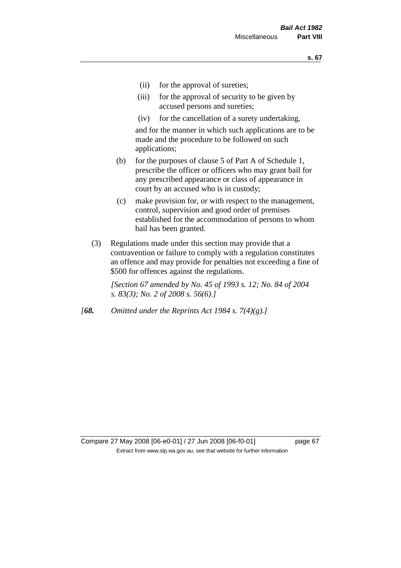- (ii) for the approval of sureties;
- (iii) for the approval of security to be given by accused persons and sureties;
- (iv) for the cancellation of a surety undertaking,

and for the manner in which such applications are to be made and the procedure to be followed on such applications;

- (b) for the purposes of clause 5 of Part A of Schedule 1, prescribe the officer or officers who may grant bail for any prescribed appearance or class of appearance in court by an accused who is in custody;
- (c) make provision for, or with respect to the management, control, supervision and good order of premises established for the accommodation of persons to whom bail has been granted.
- (3) Regulations made under this section may provide that a contravention or failure to comply with a regulation constitutes an offence and may provide for penalties not exceeding a fine of \$500 for offences against the regulations.

*[Section 67 amended by No. 45 of 1993 s. 12; No. 84 of 2004 s. 83(3); No. 2 of 2008 s. 56(6).]* 

*[68. Omitted under the Reprints Act 1984 s. 7(4)(g).]*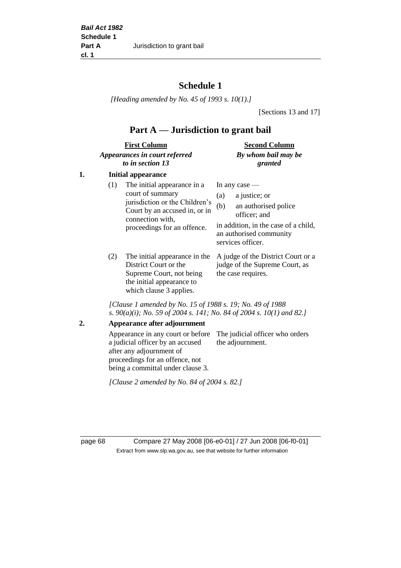# **Schedule 1**

*[Heading amended by No. 45 of 1993 s. 10(1).]*

[Sections 13 and 17]

# **Part A — Jurisdiction to grant bail**

| <b>First Column</b>           | <b>Second Column</b> |  |
|-------------------------------|----------------------|--|
| Appearances in court referred | By whom bail may be  |  |
| to in section 13              | granted              |  |

## **1. Initial appearance**

| (1) | The initial appearance in a<br>court of summary<br>jurisdiction or the Children's<br>Court by an accused in, or in<br>connection with,<br>proceedings for an offence. | In any case $-$<br>a justice; or<br>(a)<br>an authorised police<br>(b)<br>officer; and<br>in addition, in the case of a child,<br>an authorised community<br>services officer. |
|-----|-----------------------------------------------------------------------------------------------------------------------------------------------------------------------|--------------------------------------------------------------------------------------------------------------------------------------------------------------------------------|
|     |                                                                                                                                                                       | The initial appearance in the A judge of the District Court or a                                                                                                               |

District Court or the Supreme Court, not being the initial appearance to which clause 3 applies.

A judge of the District Court or a judge of the Supreme Court, as the case requires.

*[Clause 1 amended by No. 15 of 1988 s. 19; No. 49 of 1988 s. 90(a)(i); No. 59 of 2004 s. 141; No. 84 of 2004 s. 10(1) and 82.]*

**2. Appearance after adjournment**

Appearance in any court or before The judicial officer who orders a judicial officer by an accused after any adjournment of proceedings for an offence, not being a committal under clause 3. the adjournment.

*[Clause 2 amended by No. 84 of 2004 s. 82.]*

page 68 Compare 27 May 2008 [06-e0-01] / 27 Jun 2008 [06-f0-01] Extract from www.slp.wa.gov.au, see that website for further information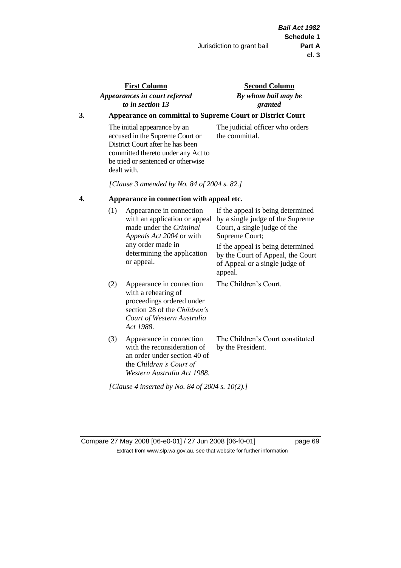## **First Column** *Appearances in court referred to in section 13*

## **Second Column** *By whom bail may be granted*

## **3. Appearance on committal to Supreme Court or District Court**

The initial appearance by an accused in the Supreme Court or District Court after he has been committed thereto under any Act to be tried or sentenced or otherwise dealt with.

The judicial officer who orders the committal.

*[Clause 3 amended by No. 84 of 2004 s. 82.]*

### **4. Appearance in connection with appeal etc.**

| (1) | Appearance in connection<br>with an application or appeal<br>made under the <i>Criminal</i><br><i>Appeals Act 2004</i> or with<br>any order made in<br>determining the application<br>or appeal. | If the appeal is being determined<br>by a single judge of the Supreme<br>Court, a single judge of the<br>Supreme Court;<br>If the appeal is being determined<br>by the Court of Appeal, the Court<br>of Appeal or a single judge of<br>appeal. |
|-----|--------------------------------------------------------------------------------------------------------------------------------------------------------------------------------------------------|------------------------------------------------------------------------------------------------------------------------------------------------------------------------------------------------------------------------------------------------|
| (2) | Appearance in connection<br>with a rehearing of<br>proceedings ordered under<br>section 28 of the <i>Children's</i><br>Court of Western Australia<br>Act 1988.                                   | The Children's Court.                                                                                                                                                                                                                          |
| (3) | Appearance in connection<br>with the reconsideration of<br>an order under section 40 of<br>the Children's Court of<br>Western Australia Act 1988.                                                | The Children's Court constituted<br>by the President.                                                                                                                                                                                          |

*[Clause 4 inserted by No. 84 of 2004 s. 10(2).]*

Compare 27 May 2008 [06-e0-01] / 27 Jun 2008 [06-f0-01] page 69 Extract from www.slp.wa.gov.au, see that website for further information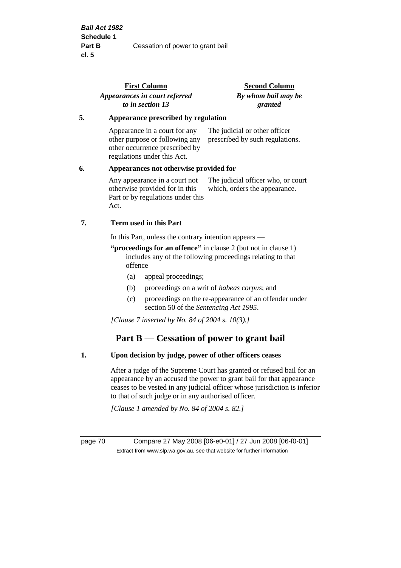|    | <b>First Column</b><br>Appearances in court referred<br>to in section 13                                                                                                                                                      | <b>Second Column</b><br>By whom bail may be<br>granted              |  |
|----|-------------------------------------------------------------------------------------------------------------------------------------------------------------------------------------------------------------------------------|---------------------------------------------------------------------|--|
| 5. | Appearance prescribed by regulation                                                                                                                                                                                           |                                                                     |  |
|    | Appearance in a court for any<br>other purpose or following any<br>other occurrence prescribed by<br>regulations under this Act.                                                                                              | The judicial or other officer<br>prescribed by such regulations.    |  |
| 6. | Appearances not otherwise provided for                                                                                                                                                                                        |                                                                     |  |
|    | Any appearance in a court not<br>otherwise provided for in this<br>Part or by regulations under this<br>Act.                                                                                                                  | The judicial officer who, or court<br>which, orders the appearance. |  |
| 7. | <b>Term used in this Part</b>                                                                                                                                                                                                 |                                                                     |  |
|    | In this Part, unless the contrary intention appears —                                                                                                                                                                         |                                                                     |  |
|    | $(1)$ is a second of $(1)$ and $(1)$ is the $(1)$ and $(1)$ and $(1)$ and $(1)$ and $(1)$ and $(1)$ and $(1)$ and $(1)$ and $(1)$ and $(1)$ and $(1)$ and $(1)$ and $(1)$ and $(1)$ and $(1)$ and $(1)$ and $(1)$ and $(1)$ a |                                                                     |  |

- **"proceedings for an offence"** in clause 2 (but not in clause 1) includes any of the following proceedings relating to that offence —
	- (a) appeal proceedings;
	- (b) proceedings on a writ of *habeas corpus*; and
	- (c) proceedings on the re-appearance of an offender under section 50 of the *Sentencing Act 1995*.

*[Clause 7 inserted by No. 84 of 2004 s. 10(3).]*

# **Part B — Cessation of power to grant bail**

#### **1. Upon decision by judge, power of other officers ceases**

After a judge of the Supreme Court has granted or refused bail for an appearance by an accused the power to grant bail for that appearance ceases to be vested in any judicial officer whose jurisdiction is inferior to that of such judge or in any authorised officer.

*[Clause 1 amended by No. 84 of 2004 s. 82.]*

page 70 Compare 27 May 2008 [06-e0-01] / 27 Jun 2008 [06-f0-01] Extract from www.slp.wa.gov.au, see that website for further information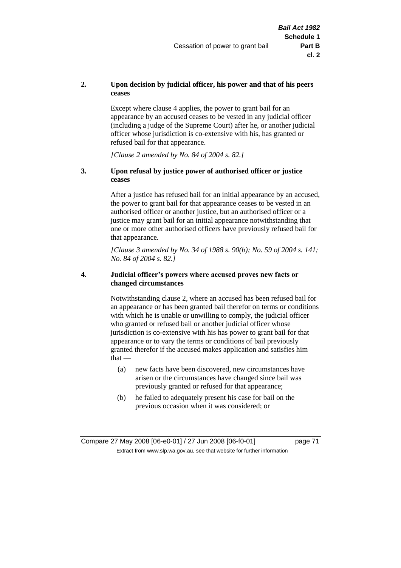# **2. Upon decision by judicial officer, his power and that of his peers ceases**

Except where clause 4 applies, the power to grant bail for an appearance by an accused ceases to be vested in any judicial officer (including a judge of the Supreme Court) after he, or another judicial officer whose jurisdiction is co-extensive with his, has granted or refused bail for that appearance.

*[Clause 2 amended by No. 84 of 2004 s. 82.]*

# **3. Upon refusal by justice power of authorised officer or justice ceases**

After a justice has refused bail for an initial appearance by an accused, the power to grant bail for that appearance ceases to be vested in an authorised officer or another justice, but an authorised officer or a justice may grant bail for an initial appearance notwithstanding that one or more other authorised officers have previously refused bail for that appearance.

*[Clause 3 amended by No. 34 of 1988 s. 90(b); No. 59 of 2004 s. 141; No. 84 of 2004 s. 82.]*

# **4. Judicial officer's powers where accused proves new facts or changed circumstances**

Notwithstanding clause 2, where an accused has been refused bail for an appearance or has been granted bail therefor on terms or conditions with which he is unable or unwilling to comply, the judicial officer who granted or refused bail or another judicial officer whose jurisdiction is co-extensive with his has power to grant bail for that appearance or to vary the terms or conditions of bail previously granted therefor if the accused makes application and satisfies him  $that -$ 

- (a) new facts have been discovered, new circumstances have arisen or the circumstances have changed since bail was previously granted or refused for that appearance;
- (b) he failed to adequately present his case for bail on the previous occasion when it was considered; or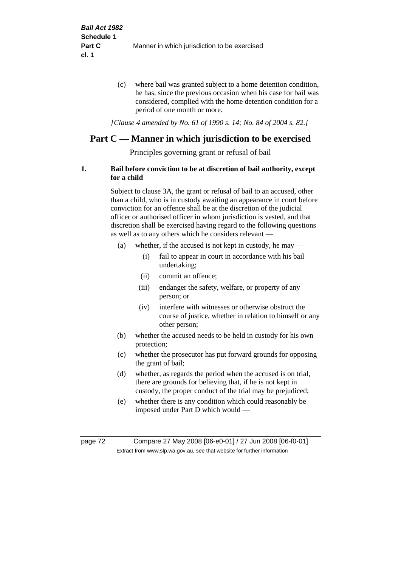(c) where bail was granted subject to a home detention condition, he has, since the previous occasion when his case for bail was considered, complied with the home detention condition for a period of one month or more.

*[Clause 4 amended by No. 61 of 1990 s. 14; No. 84 of 2004 s. 82.]*

# **Part C — Manner in which jurisdiction to be exercised**

Principles governing grant or refusal of bail

# **1. Bail before conviction to be at discretion of bail authority, except for a child**

Subject to clause 3A, the grant or refusal of bail to an accused, other than a child, who is in custody awaiting an appearance in court before conviction for an offence shall be at the discretion of the judicial officer or authorised officer in whom jurisdiction is vested, and that discretion shall be exercised having regard to the following questions as well as to any others which he considers relevant —

- (a) whether, if the accused is not kept in custody, he may
	- (i) fail to appear in court in accordance with his bail undertaking;
	- (ii) commit an offence;
	- (iii) endanger the safety, welfare, or property of any person; or
	- (iv) interfere with witnesses or otherwise obstruct the course of justice, whether in relation to himself or any other person;
- (b) whether the accused needs to be held in custody for his own protection;
- (c) whether the prosecutor has put forward grounds for opposing the grant of bail;
- (d) whether, as regards the period when the accused is on trial, there are grounds for believing that, if he is not kept in custody, the proper conduct of the trial may be prejudiced;
- (e) whether there is any condition which could reasonably be imposed under Part D which would —

page 72 Compare 27 May 2008 [06-e0-01] / 27 Jun 2008 [06-f0-01] Extract from www.slp.wa.gov.au, see that website for further information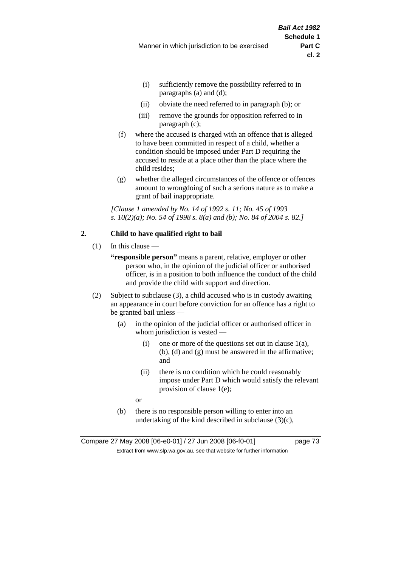- (i) sufficiently remove the possibility referred to in paragraphs (a) and (d);
- (ii) obviate the need referred to in paragraph (b); or
- (iii) remove the grounds for opposition referred to in paragraph (c);
- (f) where the accused is charged with an offence that is alleged to have been committed in respect of a child, whether a condition should be imposed under Part D requiring the accused to reside at a place other than the place where the child resides;
- (g) whether the alleged circumstances of the offence or offences amount to wrongdoing of such a serious nature as to make a grant of bail inappropriate.

*[Clause 1 amended by No. 14 of 1992 s. 11; No. 45 of 1993 s. 10(2)(a); No. 54 of 1998 s. 8(a) and (b); No. 84 of 2004 s. 82.]*

# **2. Child to have qualified right to bail**

- $(1)$  In this clause
	- **"responsible person"** means a parent, relative, employer or other person who, in the opinion of the judicial officer or authorised officer, is in a position to both influence the conduct of the child and provide the child with support and direction.
- (2) Subject to subclause (3), a child accused who is in custody awaiting an appearance in court before conviction for an offence has a right to be granted bail unless —
	- (a) in the opinion of the judicial officer or authorised officer in whom jurisdiction is vested —
		- (i) one or more of the questions set out in clause  $1(a)$ , (b), (d) and (g) must be answered in the affirmative; and
		- (ii) there is no condition which he could reasonably impose under Part D which would satisfy the relevant provision of clause 1(e);
		- or
	- (b) there is no responsible person willing to enter into an undertaking of the kind described in subclause  $(3)(c)$ ,

Compare 27 May 2008 [06-e0-01] / 27 Jun 2008 [06-f0-01] page 73 Extract from www.slp.wa.gov.au, see that website for further information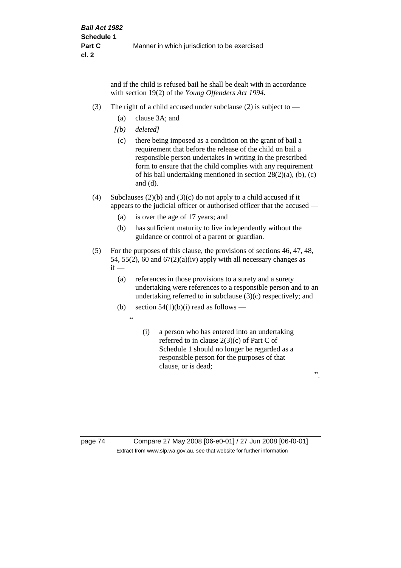and if the child is refused bail he shall be dealt with in accordance with section 19(2) of the *Young Offenders Act 1994*.

- (3) The right of a child accused under subclause (2) is subject to  $-$ 
	- (a) clause 3A; and
	- *[(b) deleted]*
	- (c) there being imposed as a condition on the grant of bail a requirement that before the release of the child on bail a responsible person undertakes in writing in the prescribed form to ensure that the child complies with any requirement of his bail undertaking mentioned in section 28(2)(a), (b), (c) and (d).
- (4) Subclauses (2)(b) and (3)(c) do not apply to a child accused if it appears to the judicial officer or authorised officer that the accused —
	- (a) is over the age of 17 years; and
	- (b) has sufficient maturity to live independently without the guidance or control of a parent or guardian.
- (5) For the purposes of this clause, the provisions of sections 46, 47, 48, 54, 55(2), 60 and  $67(2)(a)(iv)$  apply with all necessary changes as  $if -$ 
	- (a) references in those provisions to a surety and a surety undertaking were references to a responsible person and to an undertaking referred to in subclause (3)(c) respectively; and
	- (b) section  $54(1)(b)(i)$  read as follows
		- $\ddot{a}$
- (i) a person who has entered into an undertaking referred to in clause 2(3)(c) of Part C of Schedule 1 should no longer be regarded as a responsible person for the purposes of that clause, or is dead;

".

page 74 Compare 27 May 2008 [06-e0-01] / 27 Jun 2008 [06-f0-01] Extract from www.slp.wa.gov.au, see that website for further information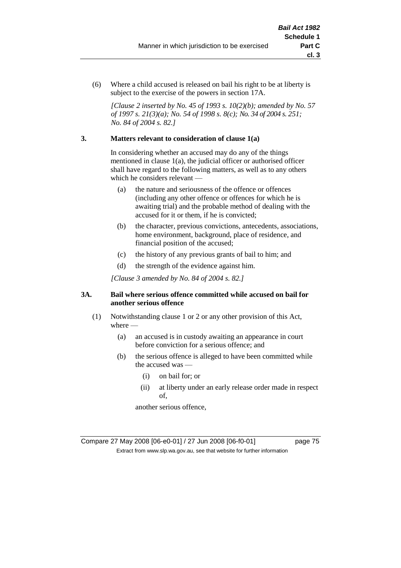(6) Where a child accused is released on bail his right to be at liberty is subject to the exercise of the powers in section 17A.

*[Clause 2 inserted by No. 45 of 1993 s. 10(2)(b); amended by No. 57 of 1997 s. 21(3)(a); No. 54 of 1998 s. 8(c); No. 34 of 2004 s. 251; No. 84 of 2004 s. 82.]*

# **3. Matters relevant to consideration of clause 1(a)**

In considering whether an accused may do any of the things mentioned in clause 1(a), the judicial officer or authorised officer shall have regard to the following matters, as well as to any others which he considers relevant —

- (a) the nature and seriousness of the offence or offences (including any other offence or offences for which he is awaiting trial) and the probable method of dealing with the accused for it or them, if he is convicted;
- (b) the character, previous convictions, antecedents, associations, home environment, background, place of residence, and financial position of the accused;
- (c) the history of any previous grants of bail to him; and
- (d) the strength of the evidence against him.

*[Clause 3 amended by No. 84 of 2004 s. 82.]*

# **3A. Bail where serious offence committed while accused on bail for another serious offence**

- (1) Notwithstanding clause 1 or 2 or any other provision of this Act, where —
	- (a) an accused is in custody awaiting an appearance in court before conviction for a serious offence; and
	- (b) the serious offence is alleged to have been committed while the accused was —
		- (i) on bail for; or
		- (ii) at liberty under an early release order made in respect of,

another serious offence,

Compare 27 May 2008 [06-e0-01] / 27 Jun 2008 [06-f0-01] page 75 Extract from www.slp.wa.gov.au, see that website for further information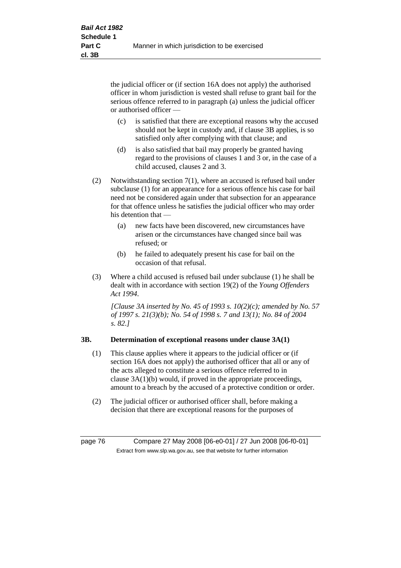the judicial officer or (if section 16A does not apply) the authorised officer in whom jurisdiction is vested shall refuse to grant bail for the serious offence referred to in paragraph (a) unless the judicial officer or authorised officer —

- (c) is satisfied that there are exceptional reasons why the accused should not be kept in custody and, if clause 3B applies, is so satisfied only after complying with that clause; and
- (d) is also satisfied that bail may properly be granted having regard to the provisions of clauses 1 and 3 or, in the case of a child accused, clauses 2 and 3.
- (2) Notwithstanding section 7(1), where an accused is refused bail under subclause (1) for an appearance for a serious offence his case for bail need not be considered again under that subsection for an appearance for that offence unless he satisfies the judicial officer who may order his detention that —
	- (a) new facts have been discovered, new circumstances have arisen or the circumstances have changed since bail was refused; or
	- (b) he failed to adequately present his case for bail on the occasion of that refusal.
- (3) Where a child accused is refused bail under subclause (1) he shall be dealt with in accordance with section 19(2) of the *Young Offenders Act 1994*.

*[Clause 3A inserted by No. 45 of 1993 s. 10(2)(c); amended by No. 57 of 1997 s. 21(3)(b); No. 54 of 1998 s. 7 and 13(1); No. 84 of 2004 s. 82.]*

# **3B. Determination of exceptional reasons under clause 3A(1)**

- (1) This clause applies where it appears to the judicial officer or (if section 16A does not apply) the authorised officer that all or any of the acts alleged to constitute a serious offence referred to in clause 3A(1)(b) would, if proved in the appropriate proceedings, amount to a breach by the accused of a protective condition or order.
- (2) The judicial officer or authorised officer shall, before making a decision that there are exceptional reasons for the purposes of

page 76 Compare 27 May 2008 [06-e0-01] / 27 Jun 2008 [06-f0-01] Extract from www.slp.wa.gov.au, see that website for further information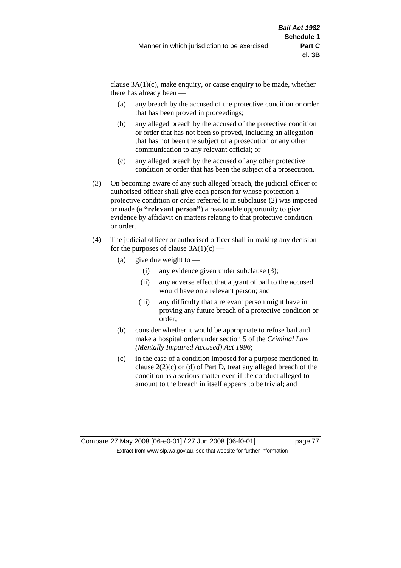clause  $3A(1)(c)$ , make enquiry, or cause enquiry to be made, whether there has already been —

- (a) any breach by the accused of the protective condition or order that has been proved in proceedings;
- (b) any alleged breach by the accused of the protective condition or order that has not been so proved, including an allegation that has not been the subject of a prosecution or any other communication to any relevant official; or
- (c) any alleged breach by the accused of any other protective condition or order that has been the subject of a prosecution.
- (3) On becoming aware of any such alleged breach, the judicial officer or authorised officer shall give each person for whose protection a protective condition or order referred to in subclause (2) was imposed or made (a **"relevant person"**) a reasonable opportunity to give evidence by affidavit on matters relating to that protective condition or order.
- (4) The judicial officer or authorised officer shall in making any decision for the purposes of clause  $3A(1)(c)$  —
	- (a) give due weight to  $-$ 
		- (i) any evidence given under subclause (3);
		- (ii) any adverse effect that a grant of bail to the accused would have on a relevant person; and
		- (iii) any difficulty that a relevant person might have in proving any future breach of a protective condition or order;
	- (b) consider whether it would be appropriate to refuse bail and make a hospital order under section 5 of the *Criminal Law (Mentally Impaired Accused) Act 1996*;
	- (c) in the case of a condition imposed for a purpose mentioned in clause 2(2)(c) or (d) of Part D, treat any alleged breach of the condition as a serious matter even if the conduct alleged to amount to the breach in itself appears to be trivial; and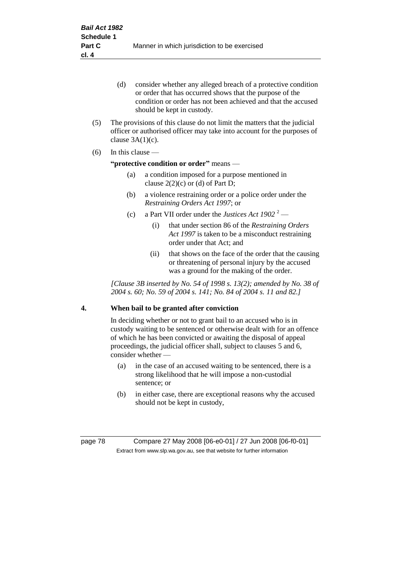- (d) consider whether any alleged breach of a protective condition or order that has occurred shows that the purpose of the condition or order has not been achieved and that the accused should be kept in custody.
- (5) The provisions of this clause do not limit the matters that the judicial officer or authorised officer may take into account for the purposes of clause  $3A(1)(c)$ .
- (6) In this clause —

# **"protective condition or order"** means —

- (a) a condition imposed for a purpose mentioned in clause  $2(2)(c)$  or (d) of Part D;
- (b) a violence restraining order or a police order under the *Restraining Orders Act 1997*; or
- (c) a Part VII order under the *Justices Act*  $1902^2$ 
	- (i) that under section 86 of the *Restraining Orders Act 1997* is taken to be a misconduct restraining order under that Act; and
	- (ii) that shows on the face of the order that the causing or threatening of personal injury by the accused was a ground for the making of the order.

*[Clause 3B inserted by No. 54 of 1998 s. 13(2); amended by No. 38 of 2004 s. 60; No. 59 of 2004 s. 141; No. 84 of 2004 s. 11 and 82.]*

# **4. When bail to be granted after conviction**

In deciding whether or not to grant bail to an accused who is in custody waiting to be sentenced or otherwise dealt with for an offence of which he has been convicted or awaiting the disposal of appeal proceedings, the judicial officer shall, subject to clauses 5 and 6, consider whether -

- (a) in the case of an accused waiting to be sentenced, there is a strong likelihood that he will impose a non-custodial sentence; or
- (b) in either case, there are exceptional reasons why the accused should not be kept in custody,

page 78 Compare 27 May 2008 [06-e0-01] / 27 Jun 2008 [06-f0-01] Extract from www.slp.wa.gov.au, see that website for further information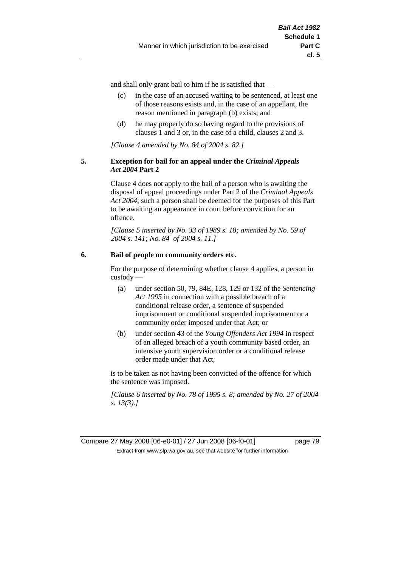and shall only grant bail to him if he is satisfied that —

- (c) in the case of an accused waiting to be sentenced, at least one of those reasons exists and, in the case of an appellant, the reason mentioned in paragraph (b) exists; and
- (d) he may properly do so having regard to the provisions of clauses 1 and 3 or, in the case of a child, clauses 2 and 3.

*[Clause 4 amended by No. 84 of 2004 s. 82.]*

### **5. Exception for bail for an appeal under the** *Criminal Appeals Act 2004* **Part 2**

Clause 4 does not apply to the bail of a person who is awaiting the disposal of appeal proceedings under Part 2 of the *Criminal Appeals Act 2004*; such a person shall be deemed for the purposes of this Part to be awaiting an appearance in court before conviction for an offence.

*[Clause 5 inserted by No. 33 of 1989 s. 18; amended by No. 59 of 2004 s. 141; No. 84 of 2004 s. 11.]*

# **6. Bail of people on community orders etc.**

For the purpose of determining whether clause 4 applies, a person in custody —

- (a) under section 50, 79, 84E, 128, 129 or 132 of the *Sentencing Act 1995* in connection with a possible breach of a conditional release order, a sentence of suspended imprisonment or conditional suspended imprisonment or a community order imposed under that Act; or
- (b) under section 43 of the *Young Offenders Act 1994* in respect of an alleged breach of a youth community based order, an intensive youth supervision order or a conditional release order made under that Act,

is to be taken as not having been convicted of the offence for which the sentence was imposed.

*[Clause 6 inserted by No. 78 of 1995 s. 8; amended by No. 27 of 2004 s. 13(3).]*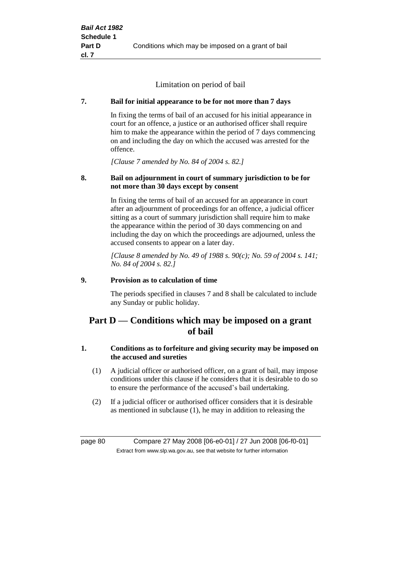Limitation on period of bail

# **7. Bail for initial appearance to be for not more than 7 days**

In fixing the terms of bail of an accused for his initial appearance in court for an offence, a justice or an authorised officer shall require him to make the appearance within the period of 7 days commencing on and including the day on which the accused was arrested for the offence.

*[Clause 7 amended by No. 84 of 2004 s. 82.]*

# **8. Bail on adjournment in court of summary jurisdiction to be for not more than 30 days except by consent**

In fixing the terms of bail of an accused for an appearance in court after an adjournment of proceedings for an offence, a judicial officer sitting as a court of summary jurisdiction shall require him to make the appearance within the period of 30 days commencing on and including the day on which the proceedings are adjourned, unless the accused consents to appear on a later day.

*[Clause 8 amended by No. 49 of 1988 s. 90(c); No. 59 of 2004 s. 141; No. 84 of 2004 s. 82.]*

# **9. Provision as to calculation of time**

The periods specified in clauses 7 and 8 shall be calculated to include any Sunday or public holiday.

# **Part D — Conditions which may be imposed on a grant of bail**

# **1. Conditions as to forfeiture and giving security may be imposed on the accused and sureties**

- (1) A judicial officer or authorised officer, on a grant of bail, may impose conditions under this clause if he considers that it is desirable to do so to ensure the performance of the accused's bail undertaking.
- (2) If a judicial officer or authorised officer considers that it is desirable as mentioned in subclause (1), he may in addition to releasing the

page 80 Compare 27 May 2008 [06-e0-01] / 27 Jun 2008 [06-f0-01] Extract from www.slp.wa.gov.au, see that website for further information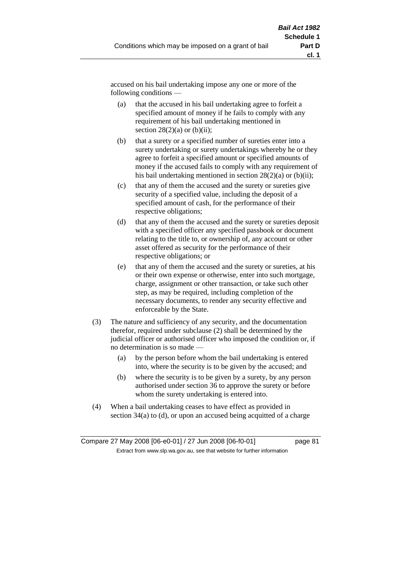accused on his bail undertaking impose any one or more of the following conditions —

- (a) that the accused in his bail undertaking agree to forfeit a specified amount of money if he fails to comply with any requirement of his bail undertaking mentioned in section  $28(2)(a)$  or  $(b)(ii)$ ;
- (b) that a surety or a specified number of sureties enter into a surety undertaking or surety undertakings whereby he or they agree to forfeit a specified amount or specified amounts of money if the accused fails to comply with any requirement of his bail undertaking mentioned in section  $28(2)(a)$  or (b)(ii);
- (c) that any of them the accused and the surety or sureties give security of a specified value, including the deposit of a specified amount of cash, for the performance of their respective obligations;
- (d) that any of them the accused and the surety or sureties deposit with a specified officer any specified passbook or document relating to the title to, or ownership of, any account or other asset offered as security for the performance of their respective obligations; or
- (e) that any of them the accused and the surety or sureties, at his or their own expense or otherwise, enter into such mortgage, charge, assignment or other transaction, or take such other step, as may be required, including completion of the necessary documents, to render any security effective and enforceable by the State.
- (3) The nature and sufficiency of any security, and the documentation therefor, required under subclause (2) shall be determined by the judicial officer or authorised officer who imposed the condition or, if no determination is so made —
	- (a) by the person before whom the bail undertaking is entered into, where the security is to be given by the accused; and
	- (b) where the security is to be given by a surety, by any person authorised under section 36 to approve the surety or before whom the surety undertaking is entered into.
- (4) When a bail undertaking ceases to have effect as provided in section 34(a) to (d), or upon an accused being acquitted of a charge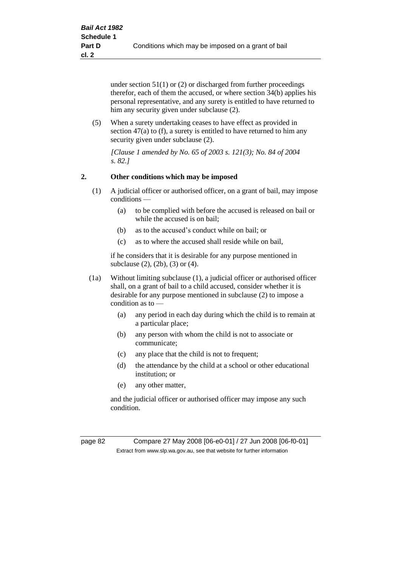under section 51(1) or (2) or discharged from further proceedings therefor, each of them the accused, or where section 34(b) applies his personal representative, and any surety is entitled to have returned to him any security given under subclause (2).

(5) When a surety undertaking ceases to have effect as provided in section 47(a) to (f), a surety is entitled to have returned to him any security given under subclause (2).

*[Clause 1 amended by No. 65 of 2003 s. 121(3); No. 84 of 2004 s. 82.]*

# **2. Other conditions which may be imposed**

- (1) A judicial officer or authorised officer, on a grant of bail, may impose conditions —
	- (a) to be complied with before the accused is released on bail or while the accused is on bail;
	- (b) as to the accused's conduct while on bail; or
	- (c) as to where the accused shall reside while on bail,

if he considers that it is desirable for any purpose mentioned in subclause (2), (2b), (3) or (4).

- (1a) Without limiting subclause (1), a judicial officer or authorised officer shall, on a grant of bail to a child accused, consider whether it is desirable for any purpose mentioned in subclause (2) to impose a condition as to —
	- (a) any period in each day during which the child is to remain at a particular place;
	- (b) any person with whom the child is not to associate or communicate;
	- (c) any place that the child is not to frequent;
	- (d) the attendance by the child at a school or other educational institution; or
	- (e) any other matter,

and the judicial officer or authorised officer may impose any such condition.

page 82 Compare 27 May 2008 [06-e0-01] / 27 Jun 2008 [06-f0-01] Extract from www.slp.wa.gov.au, see that website for further information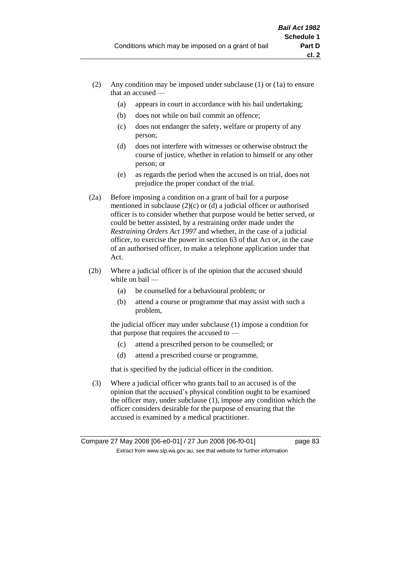- (2) Any condition may be imposed under subclause (1) or (1a) to ensure that an accused —
	- (a) appears in court in accordance with his bail undertaking;
	- (b) does not while on bail commit an offence;
	- (c) does not endanger the safety, welfare or property of any person;
	- (d) does not interfere with witnesses or otherwise obstruct the course of justice, whether in relation to himself or any other person; or
	- (e) as regards the period when the accused is on trial, does not prejudice the proper conduct of the trial.
- (2a) Before imposing a condition on a grant of bail for a purpose mentioned in subclause (2)(c) or (d) a judicial officer or authorised officer is to consider whether that purpose would be better served, or could be better assisted, by a restraining order made under the *Restraining Orders Act 1997* and whether, in the case of a judicial officer, to exercise the power in section 63 of that Act or, in the case of an authorised officer, to make a telephone application under that Act.
- (2b) Where a judicial officer is of the opinion that the accused should while on bail -
	- (a) be counselled for a behavioural problem; or
	- (b) attend a course or programme that may assist with such a problem,

the judicial officer may under subclause (1) impose a condition for that purpose that requires the accused to —

- (c) attend a prescribed person to be counselled; or
- (d) attend a prescribed course or programme,

that is specified by the judicial officer in the condition.

(3) Where a judicial officer who grants bail to an accused is of the opinion that the accused's physical condition ought to be examined the officer may, under subclause (1), impose any condition which the officer considers desirable for the purpose of ensuring that the accused is examined by a medical practitioner.

Compare 27 May 2008 [06-e0-01] / 27 Jun 2008 [06-f0-01] page 83 Extract from www.slp.wa.gov.au, see that website for further information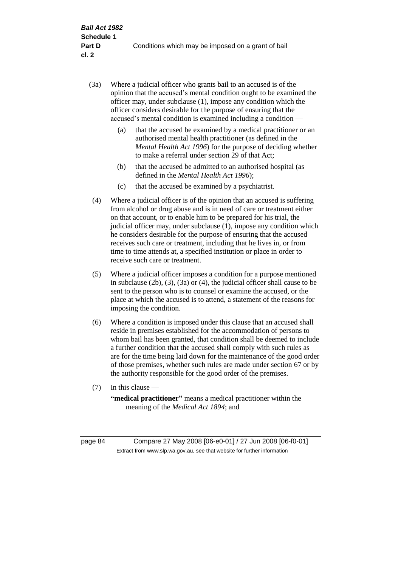- (3a) Where a judicial officer who grants bail to an accused is of the opinion that the accused's mental condition ought to be examined the officer may, under subclause (1), impose any condition which the officer considers desirable for the purpose of ensuring that the accused's mental condition is examined including a condition —
	- (a) that the accused be examined by a medical practitioner or an authorised mental health practitioner (as defined in the *Mental Health Act 1996*) for the purpose of deciding whether to make a referral under section 29 of that Act;
	- (b) that the accused be admitted to an authorised hospital (as defined in the *Mental Health Act 1996*);
	- (c) that the accused be examined by a psychiatrist.
- (4) Where a judicial officer is of the opinion that an accused is suffering from alcohol or drug abuse and is in need of care or treatment either on that account, or to enable him to be prepared for his trial, the judicial officer may, under subclause (1), impose any condition which he considers desirable for the purpose of ensuring that the accused receives such care or treatment, including that he lives in, or from time to time attends at, a specified institution or place in order to receive such care or treatment.
- (5) Where a judicial officer imposes a condition for a purpose mentioned in subclause (2b), (3), (3a) or (4), the judicial officer shall cause to be sent to the person who is to counsel or examine the accused, or the place at which the accused is to attend, a statement of the reasons for imposing the condition.
- (6) Where a condition is imposed under this clause that an accused shall reside in premises established for the accommodation of persons to whom bail has been granted, that condition shall be deemed to include a further condition that the accused shall comply with such rules as are for the time being laid down for the maintenance of the good order of those premises, whether such rules are made under section 67 or by the authority responsible for the good order of the premises.
- (7) In this clause —

**"medical practitioner"** means a medical practitioner within the meaning of the *Medical Act 1894*; and

page 84 Compare 27 May 2008 [06-e0-01] / 27 Jun 2008 [06-f0-01] Extract from www.slp.wa.gov.au, see that website for further information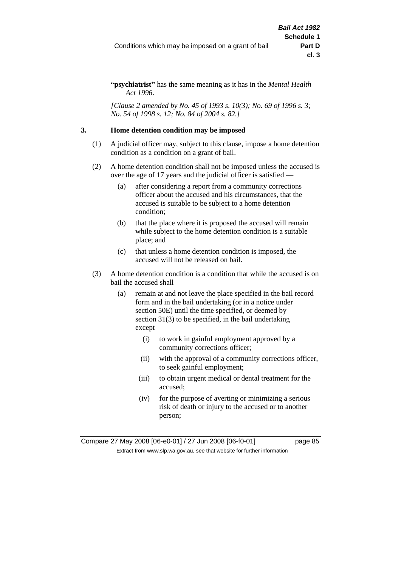**"psychiatrist"** has the same meaning as it has in the *Mental Health Act 1996*.

*[Clause 2 amended by No. 45 of 1993 s. 10(3); No. 69 of 1996 s. 3; No. 54 of 1998 s. 12; No. 84 of 2004 s. 82.]*

# **3. Home detention condition may be imposed**

- (1) A judicial officer may, subject to this clause, impose a home detention condition as a condition on a grant of bail.
- (2) A home detention condition shall not be imposed unless the accused is over the age of 17 years and the judicial officer is satisfied —
	- (a) after considering a report from a community corrections officer about the accused and his circumstances, that the accused is suitable to be subject to a home detention condition;
	- (b) that the place where it is proposed the accused will remain while subject to the home detention condition is a suitable place; and
	- (c) that unless a home detention condition is imposed, the accused will not be released on bail.
- (3) A home detention condition is a condition that while the accused is on bail the accused shall —
	- (a) remain at and not leave the place specified in the bail record form and in the bail undertaking (or in a notice under section 50E) until the time specified, or deemed by section 31(3) to be specified, in the bail undertaking except —
		- (i) to work in gainful employment approved by a community corrections officer;
		- (ii) with the approval of a community corrections officer, to seek gainful employment;
		- (iii) to obtain urgent medical or dental treatment for the accused;
		- (iv) for the purpose of averting or minimizing a serious risk of death or injury to the accused or to another person;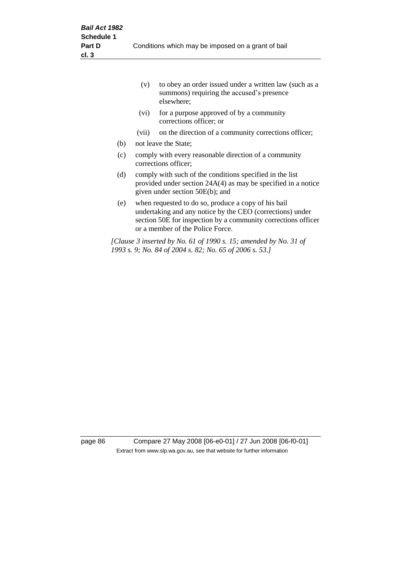|     | (v)                                                                                                                                                            | to obey an order issued under a written law (such as a<br>summons) requiring the accused's presence<br>elsewhere;                                                                                                     |  |
|-----|----------------------------------------------------------------------------------------------------------------------------------------------------------------|-----------------------------------------------------------------------------------------------------------------------------------------------------------------------------------------------------------------------|--|
|     | (vi)                                                                                                                                                           | for a purpose approved of by a community<br>corrections officer; or                                                                                                                                                   |  |
|     | (vii)                                                                                                                                                          | on the direction of a community corrections officer;                                                                                                                                                                  |  |
| (b) |                                                                                                                                                                | not leave the State;                                                                                                                                                                                                  |  |
| (c) | comply with every reasonable direction of a community<br>corrections officer;                                                                                  |                                                                                                                                                                                                                       |  |
| (d) | comply with such of the conditions specified in the list<br>provided under section $24A(4)$ as may be specified in a notice<br>given under section 50E(b); and |                                                                                                                                                                                                                       |  |
| (e) |                                                                                                                                                                | when requested to do so, produce a copy of his bail<br>undertaking and any notice by the CEO (corrections) under<br>section 50E for inspection by a community corrections officer<br>or a member of the Police Force. |  |
|     |                                                                                                                                                                | [Clause 3 inserted by No. 61 of 1990 s. 15; amended by No. 31 of<br>1993 s. 9; No. 84 of 2004 s. 82; No. 65 of 2006 s. 53.]                                                                                           |  |

page 86 Compare 27 May 2008 [06-e0-01] / 27 Jun 2008 [06-f0-01] Extract from www.slp.wa.gov.au, see that website for further information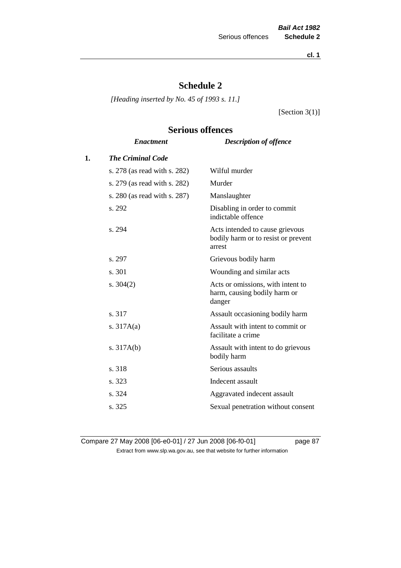**cl. 1**

# **Schedule 2**

*[Heading inserted by No. 45 of 1993 s. 11.]*

[Section 3(1)]

# **Serious offences**

|    | <b>Enactment</b>             | <b>Description of offence</b>                                                    |
|----|------------------------------|----------------------------------------------------------------------------------|
| 1. | <b>The Criminal Code</b>     |                                                                                  |
|    | s. 278 (as read with s. 282) | Wilful murder                                                                    |
|    | s. 279 (as read with s. 282) | Murder                                                                           |
|    | s. 280 (as read with s. 287) | Manslaughter                                                                     |
|    | s. 292                       | Disabling in order to commit<br>indictable offence                               |
|    | s. 294                       | Acts intended to cause grievous<br>bodily harm or to resist or prevent<br>arrest |
|    | s. 297                       | Grievous bodily harm                                                             |
|    | s. 301                       | Wounding and similar acts                                                        |
|    | s. $304(2)$                  | Acts or omissions, with intent to<br>harm, causing bodily harm or<br>danger      |
|    | s. 317                       | Assault occasioning bodily harm                                                  |
|    | s. $317A(a)$                 | Assault with intent to commit or<br>facilitate a crime                           |
|    | s. $317A(b)$                 | Assault with intent to do grievous<br>bodily harm                                |
|    | s. 318                       | Serious assaults                                                                 |
|    | s. 323                       | Indecent assault                                                                 |
|    | s. 324                       | Aggravated indecent assault                                                      |
|    | s. 325                       | Sexual penetration without consent                                               |
|    |                              |                                                                                  |

Compare 27 May 2008 [06-e0-01] / 27 Jun 2008 [06-f0-01] page 87 Extract from www.slp.wa.gov.au, see that website for further information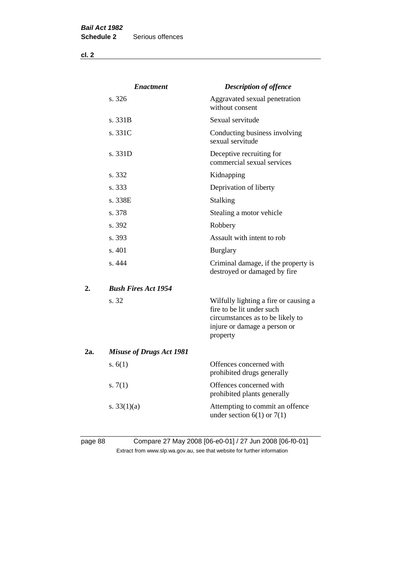**cl. 2**

|     | <b>Enactment</b>                | <b>Description of offence</b>                                                                                                                      |
|-----|---------------------------------|----------------------------------------------------------------------------------------------------------------------------------------------------|
|     | s. 326                          | Aggravated sexual penetration<br>without consent                                                                                                   |
|     | s. 331B                         | Sexual servitude                                                                                                                                   |
|     | s. 331C                         | Conducting business involving<br>sexual servitude                                                                                                  |
|     | s. 331D                         | Deceptive recruiting for<br>commercial sexual services                                                                                             |
|     | s. 332                          | Kidnapping                                                                                                                                         |
|     | s. 333                          | Deprivation of liberty                                                                                                                             |
|     | s. 338E                         | Stalking                                                                                                                                           |
|     | s. 378                          | Stealing a motor vehicle                                                                                                                           |
|     | s. 392                          | Robbery                                                                                                                                            |
|     | s. 393                          | Assault with intent to rob                                                                                                                         |
|     | s. 401                          | <b>Burglary</b>                                                                                                                                    |
|     | s. 444                          | Criminal damage, if the property is<br>destroyed or damaged by fire                                                                                |
| 2.  | <b>Bush Fires Act 1954</b>      |                                                                                                                                                    |
|     | s. 32                           | Wilfully lighting a fire or causing a<br>fire to be lit under such<br>circumstances as to be likely to<br>injure or damage a person or<br>property |
| 2a. | <b>Misuse of Drugs Act 1981</b> |                                                                                                                                                    |
|     | s. $6(1)$                       | Offences concerned with<br>prohibited drugs generally                                                                                              |
|     | s. $7(1)$                       | Offences concerned with<br>prohibited plants generally                                                                                             |
|     | s. $33(1)(a)$                   | Attempting to commit an offence<br>under section $6(1)$ or $7(1)$                                                                                  |
|     |                                 |                                                                                                                                                    |

# page 88 Compare 27 May 2008 [06-e0-01] / 27 Jun 2008 [06-f0-01] Extract from www.slp.wa.gov.au, see that website for further information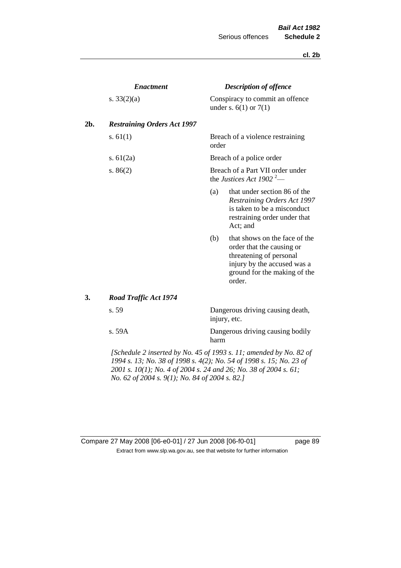#### **cl. 2b**

|     | <b>Enactment</b>                                                                                                                                                                                                                                                                                               |                                                                          | <b>Description of offence</b>                                                                                                                                  |  |  |
|-----|----------------------------------------------------------------------------------------------------------------------------------------------------------------------------------------------------------------------------------------------------------------------------------------------------------------|--------------------------------------------------------------------------|----------------------------------------------------------------------------------------------------------------------------------------------------------------|--|--|
|     | s. $33(2)(a)$                                                                                                                                                                                                                                                                                                  |                                                                          | Conspiracy to commit an offence<br>under s. $6(1)$ or $7(1)$                                                                                                   |  |  |
| 2b. | <b>Restraining Orders Act 1997</b>                                                                                                                                                                                                                                                                             |                                                                          |                                                                                                                                                                |  |  |
|     | s. $61(1)$                                                                                                                                                                                                                                                                                                     | order                                                                    | Breach of a violence restraining                                                                                                                               |  |  |
|     | s. $61(2a)$                                                                                                                                                                                                                                                                                                    |                                                                          | Breach of a police order                                                                                                                                       |  |  |
|     | s. $86(2)$                                                                                                                                                                                                                                                                                                     | Breach of a Part VII order under<br>the Justices Act 1902 <sup>2</sup> — |                                                                                                                                                                |  |  |
|     |                                                                                                                                                                                                                                                                                                                | (a)                                                                      | that under section 86 of the<br><b>Restraining Orders Act 1997</b><br>is taken to be a misconduct<br>restraining order under that<br>Act; and                  |  |  |
|     |                                                                                                                                                                                                                                                                                                                | (b)                                                                      | that shows on the face of the<br>order that the causing or<br>threatening of personal<br>injury by the accused was a<br>ground for the making of the<br>order. |  |  |
| 3.  | Road Traffic Act 1974                                                                                                                                                                                                                                                                                          |                                                                          |                                                                                                                                                                |  |  |
|     | s. 59                                                                                                                                                                                                                                                                                                          |                                                                          | Dangerous driving causing death,<br>injury, etc.                                                                                                               |  |  |
|     | s. 59A                                                                                                                                                                                                                                                                                                         | harm                                                                     | Dangerous driving causing bodily                                                                                                                               |  |  |
|     | $\mathcal{L}$ contains $\mathcal{L}$ is a contradict in $\mathcal{L}$ of $\mathcal{L}$ and $\mathcal{L}$ are in $\mathcal{L}$ and $\mathcal{L}$ and $\mathcal{L}$ and $\mathcal{L}$ and $\mathcal{L}$ and $\mathcal{L}$ and $\mathcal{L}$ and $\mathcal{L}$ and $\mathcal{L}$ and $\mathcal{L}$ and $\mathcal$ |                                                                          |                                                                                                                                                                |  |  |

*[Schedule 2 inserted by No. 45 of 1993 s. 11; amended by No. 82 of 1994 s. 13; No. 38 of 1998 s. 4(2); No. 54 of 1998 s. 15; No. 23 of 2001 s. 10(1); No. 4 of 2004 s. 24 and 26; No. 38 of 2004 s. 61; No. 62 of 2004 s. 9(1); No. 84 of 2004 s. 82.]* 

# Compare 27 May 2008 [06-e0-01] / 27 Jun 2008 [06-f0-01] page 89 Extract from www.slp.wa.gov.au, see that website for further information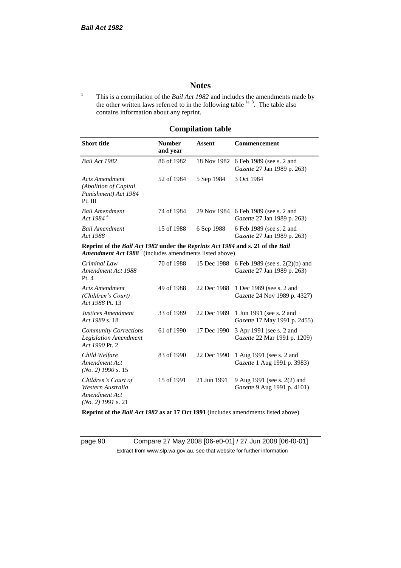# **Notes**

<sup>1</sup> This is a compilation of the *Bail Act 1982* and includes the amendments made by the other written laws referred to in the following table  $\frac{1}{a}$ , The table also contains information about any reprint.

# **Compilation table**

| <b>Short title</b>                                                                                                                                   | <b>Number</b><br>and year | Assent     | Commencement                                                                     |
|------------------------------------------------------------------------------------------------------------------------------------------------------|---------------------------|------------|----------------------------------------------------------------------------------|
| Bail Act 1982                                                                                                                                        | 86 of 1982                |            | 18 Nov 1982 6 Feb 1989 (see s. 2 and<br><i>Gazette</i> 27 Jan 1989 p. 263)       |
| Acts Amendment<br>(Abolition of Capital)<br>Punishment) Act 1984<br>Pt. III                                                                          | 52 of 1984                | 5 Sep 1984 | 3 Oct 1984                                                                       |
| <b>Bail Amendment</b><br>Act 1984 <sup>4</sup>                                                                                                       | 74 of 1984                |            | 29 Nov 1984 6 Feb 1989 (see s. 2 and<br><i>Gazette</i> 27 Jan 1989 p. 263)       |
| <b>Bail Amendment</b><br>Act 1988                                                                                                                    | 15 of 1988                | 6 Sep 1988 | 6 Feb 1989 (see s. 2 and<br><i>Gazette</i> 27 Jan 1989 p. 263)                   |
| Reprint of the Bail Act 1982 under the Reprints Act 1984 and s. 21 of the Bail<br>Amendment Act 1988 <sup>5</sup> (includes amendments listed above) |                           |            |                                                                                  |
| Criminal Law<br>Amendment Act 1988                                                                                                                   | 70 of 1988                |            | 15 Dec 1988 6 Feb 1989 (see s. 2(2)(b) and<br><i>Gazette</i> 27 Jan 1989 p. 263) |

| Amendment Act 1988<br>Pt.4                                                        |            |             | Gazette 27 Jan 1989 p. 263)                                       |
|-----------------------------------------------------------------------------------|------------|-------------|-------------------------------------------------------------------|
| Acts Amendment<br>(Children's Court)<br>Act 1988 Pt. 13                           | 49 of 1988 | 22 Dec 1988 | 1 Dec 1989 (see s. 2 and<br><i>Gazette</i> 24 Nov 1989 p. 4327)   |
| Justices Amendment<br>Act 1989 s. 18                                              | 33 of 1989 | 22 Dec 1989 | 1 Jun 1991 (see s. 2 and<br><i>Gazette</i> 17 May 1991 p. 2455)   |
| <b>Community Corrections</b><br><b>Legislation Amendment</b><br>Act 1990 Pt. 2    | 61 of 1990 | 17 Dec 1990 | 3 Apr 1991 (see s. 2 and<br>Gazette 22 Mar 1991 p. 1209)          |
| Child Welfare<br>Amendment Act<br>$(No. 2)$ 1990 s. 15                            | 83 of 1990 | 22 Dec 1990 | 1 Aug 1991 (see s. 2 and<br><i>Gazette</i> 1 Aug 1991 p. 3983)    |
| Children's Court of<br>Western Australia<br>Amendment Act<br>$(No. 2)$ 1991 s. 21 | 15 of 1991 | 21 Jun 1991 | 9 Aug 1991 (see s. 2(2) and<br><i>Gazette</i> 9 Aug 1991 p. 4101) |

**Reprint of the** *Bail Act 1982* **as at 17 Oct 1991** (includes amendments listed above)

page 90 Compare 27 May 2008 [06-e0-01] / 27 Jun 2008 [06-f0-01] Extract from www.slp.wa.gov.au, see that website for further information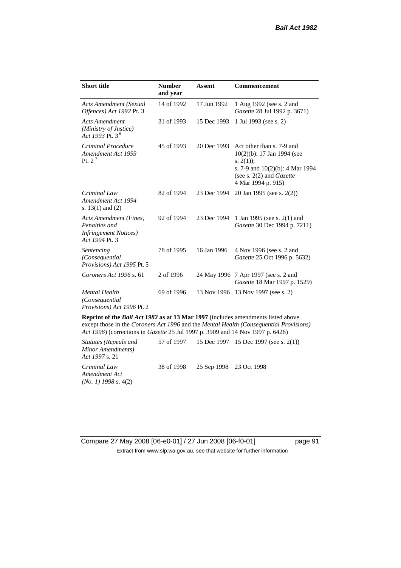| <b>Short title</b>                                                                         | <b>Number</b><br>and year | <b>Assent</b> | <b>Commencement</b>                                                                                                                                                        |
|--------------------------------------------------------------------------------------------|---------------------------|---------------|----------------------------------------------------------------------------------------------------------------------------------------------------------------------------|
| Acts Amendment (Sexual<br>Offences) Act 1992 Pt. 3                                         | 14 of 1992                | 17 Jun 1992   | 1 Aug 1992 (see s. 2 and<br>Gazette 28 Jul 1992 p. 3671)                                                                                                                   |
| <b>Acts Amendment</b><br>(Ministry of Justice)<br>Act 1993 Pt. 3 <sup>6</sup>              | 31 of 1993                | 15 Dec 1993   | 1 Jul 1993 (see s. 2)                                                                                                                                                      |
| Criminal Procedure<br>Amendment Act 1993<br>Pt. $2^7$                                      | 45 of 1993                | 20 Dec 1993   | Act other than s. 7-9 and<br>$10(2)(b)$ : 17 Jan 1994 (see<br>s. $2(1)$ ;<br>s. 7-9 and $10(2)(b)$ : 4 Mar 1994<br>(see s. $2(2)$ and <i>Gazette</i><br>4 Mar 1994 p. 915) |
| Criminal Law<br>Amendment Act 1994<br>s. $13(1)$ and $(2)$                                 | 82 of 1994                | 23 Dec 1994   | 20 Jan 1995 (see s. 2(2))                                                                                                                                                  |
| Acts Amendment (Fines,<br>Penalties and<br><i>Infringement Notices</i> )<br>Act 1994 Pt. 3 | 92 of 1994                | 23 Dec 1994   | 1 Jan 1995 (see s. 2(1) and<br>Gazette 30 Dec 1994 p. 7211)                                                                                                                |
| Sentencing<br>(Consequential<br>Provisions) Act 1995 Pt. 5                                 | 78 of 1995                | 16 Jan 1996   | 4 Nov 1996 (see s. 2 and<br>Gazette 25 Oct 1996 p. 5632)                                                                                                                   |
| Coroners Act 1996 s. 61                                                                    | 2 of 1996                 |               | 24 May 1996 7 Apr 1997 (see s. 2 and<br>Gazette 18 Mar 1997 p. 1529)                                                                                                       |
| <b>Mental Health</b><br>(Consequential<br>Provisions) Act 1996 Pt. 2                       | 69 of 1996                | 13 Nov 1996   | 13 Nov 1997 (see s. 2)                                                                                                                                                     |
|                                                                                            |                           |               |                                                                                                                                                                            |

**Reprint of the** *Bail Act 1982* **as at 13 Mar 1997** (includes amendments listed above except those in the *Coroners Act 1996* and the *Mental Health (Consequential Provisions) Act 1996*) (corrections in *Gazette* 25 Jul 1997 p. 3909 and 14 Nov 1997 p. 6426)

*Statutes (Repeals and Minor Amendments) Act 1997* s. 21 57 of 1997 15 Dec 1997 15 Dec 1997 (see s. 2(1)) *Criminal Law Amendment Act (No. 1) 1998* s. 4(2) 38 of 1998 25 Sep 1998 23 Oct 1998

Compare 27 May 2008 [06-e0-01] / 27 Jun 2008 [06-f0-01] page 91 Extract from www.slp.wa.gov.au, see that website for further information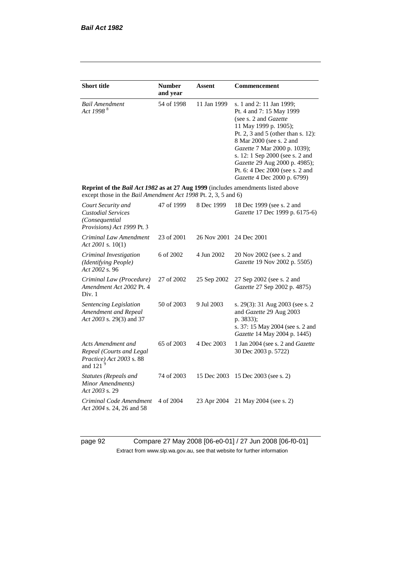| <b>Short title</b>                                                                                                                                 | <b>Number</b> | Assent      | <b>Commencement</b>                                                                                                                                                                                                                                                                                                                            |
|----------------------------------------------------------------------------------------------------------------------------------------------------|---------------|-------------|------------------------------------------------------------------------------------------------------------------------------------------------------------------------------------------------------------------------------------------------------------------------------------------------------------------------------------------------|
|                                                                                                                                                    | and year      |             |                                                                                                                                                                                                                                                                                                                                                |
| <b>Bail Amendment</b><br>Act 1998 <sup>8</sup>                                                                                                     | 54 of 1998    | 11 Jan 1999 | s. 1 and 2: 11 Jan 1999;<br>Pt. 4 and 7: 15 May 1999<br>(see s. 2 and Gazette<br>11 May 1999 p. 1905);<br>Pt. 2, 3 and 5 (other than s. 12):<br>8 Mar 2000 (see s. 2 and<br>Gazette 7 Mar 2000 p. 1039);<br>s. 12: 1 Sep 2000 (see s. 2 and<br>Gazette 29 Aug 2000 p. 4985);<br>Pt. 6: 4 Dec 2000 (see s. 2 and<br>Gazette 4 Dec 2000 p. 6799) |
| Reprint of the Bail Act 1982 as at 27 Aug 1999 (includes amendments listed above<br>except those in the Bail Amendment Act 1998 Pt. 2, 3, 5 and 6) |               |             |                                                                                                                                                                                                                                                                                                                                                |
| Court Security and<br><b>Custodial Services</b><br>(Consequential<br>Provisions) Act 1999 Pt. 3                                                    | 47 of 1999    | 8 Dec 1999  | 18 Dec 1999 (see s. 2 and<br>Gazette 17 Dec 1999 p. 6175-6)                                                                                                                                                                                                                                                                                    |
| Criminal Law Amendment<br>Act 2001 s. $10(1)$                                                                                                      | 23 of 2001    | 26 Nov 2001 | 24 Dec 2001                                                                                                                                                                                                                                                                                                                                    |
| Criminal Investigation<br>(Identifying People)<br>Act 2002 s. 96                                                                                   | 6 of 2002     | 4 Jun 2002  | 20 Nov 2002 (see s. 2 and<br>Gazette 19 Nov 2002 p. 5505)                                                                                                                                                                                                                                                                                      |
| Criminal Law (Procedure)<br>Amendment Act 2002 Pt. 4<br>Div. 1                                                                                     | 27 of 2002    | 25 Sep 2002 | 27 Sep 2002 (see s. 2 and<br>Gazette 27 Sep 2002 p. 4875)                                                                                                                                                                                                                                                                                      |
| Sentencing Legislation<br>Amendment and Repeal<br>Act 2003 s. 29(3) and 37                                                                         | 50 of 2003    | 9 Jul 2003  | s. 29(3): 31 Aug 2003 (see s. 2<br>and Gazette 29 Aug 2003<br>p. 3833);<br>s. 37: 15 May 2004 (see s. 2 and<br>Gazette 14 May 2004 p. 1445)                                                                                                                                                                                                    |
| Acts Amendment and<br>Repeal (Courts and Legal<br>Practice) Act 2003 s. 88<br>and 121 $9$                                                          | 65 of 2003    | 4 Dec 2003  | 1 Jan 2004 (see s. 2 and Gazette<br>30 Dec 2003 p. 5722)                                                                                                                                                                                                                                                                                       |
| <b>Statutes (Repeals and</b><br>Minor Amendments)<br>Act 2003 s. 29                                                                                | 74 of 2003    | 15 Dec 2003 | 15 Dec 2003 (see s. 2)                                                                                                                                                                                                                                                                                                                         |
| Criminal Code Amendment<br>Act 2004 s. 24, 26 and 58                                                                                               | 4 of 2004     | 23 Apr 2004 | 21 May 2004 (see s. 2)                                                                                                                                                                                                                                                                                                                         |

page 92 Compare 27 May 2008 [06-e0-01] / 27 Jun 2008 [06-f0-01] Extract from www.slp.wa.gov.au, see that website for further information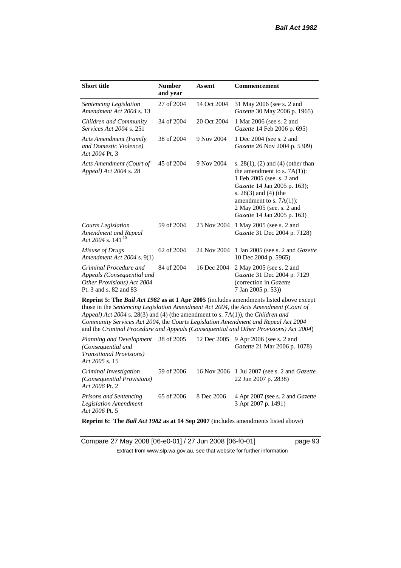| <b>Short title</b>                                                                                           | <b>Number</b><br>and year | <b>Assent</b> | <b>Commencement</b>                                                                                                                                                                                                                                                                                                                                                 |
|--------------------------------------------------------------------------------------------------------------|---------------------------|---------------|---------------------------------------------------------------------------------------------------------------------------------------------------------------------------------------------------------------------------------------------------------------------------------------------------------------------------------------------------------------------|
| Sentencing Legislation<br>Amendment Act 2004 s. 13                                                           | 27 of 2004                | 14 Oct 2004   | 31 May 2006 (see s. 2 and<br>Gazette 30 May 2006 p. 1965)                                                                                                                                                                                                                                                                                                           |
| Children and Community<br><i>Services Act 2004 s. 251</i>                                                    | 34 of 2004                | 20 Oct 2004   | 1 Mar 2006 (see s. 2 and<br>Gazette 14 Feb 2006 p. 695)                                                                                                                                                                                                                                                                                                             |
| <b>Acts Amendment (Family</b><br>and Domestic Violence)<br>Act 2004 Pt. 3                                    | 38 of 2004                | 9 Nov 2004    | 1 Dec 2004 (see s. 2 and<br>Gazette 26 Nov 2004 p. 5309)                                                                                                                                                                                                                                                                                                            |
| Acts Amendment (Court of<br>Appeal) Act 2004 s. 28                                                           | 45 of 2004                | 9 Nov 2004    | s. $28(1)$ , (2) and (4) (other than<br>the amendment to s. $7A(1)$ :<br>1 Feb 2005 (see. s. 2 and<br>Gazette 14 Jan 2005 p. 163);<br>s. $28(3)$ and $(4)$ (the<br>amendment to s. $7A(1)$ :<br>2 May 2005 (see. s. 2 and<br>Gazette 14 Jan 2005 p. 163)                                                                                                            |
| <b>Courts Legislation</b><br>Amendment and Repeal<br>Act 2004 s. 141 <sup>10</sup>                           | 59 of 2004                | 23 Nov 2004   | 1 May 2005 (see s. 2 and<br>Gazette 31 Dec 2004 p. 7128)                                                                                                                                                                                                                                                                                                            |
| Misuse of Drugs<br>Amendment Act 2004 s. 9(1)                                                                | 62 of 2004                | 24 Nov 2004   | 1 Jan 2005 (see s. 2 and <i>Gazette</i><br>10 Dec 2004 p. 5965)                                                                                                                                                                                                                                                                                                     |
| Criminal Procedure and<br>Appeals (Consequential and<br>Other Provisions) Act 2004<br>Pt. 3 and s. 82 and 83 | 84 of 2004                | 16 Dec 2004   | 2 May 2005 (see s. 2 and<br>Gazette 31 Dec 2004 p. 7129<br>(correction in Gazette<br>7 Jan 2005 p. 53))                                                                                                                                                                                                                                                             |
| Appeal) Act 2004 s. 28(3) and (4) (the amendment to s. 7A(1)), the Children and                              |                           |               | <b>Reprint 5: The Bail Act 1982 as at 1 Apr 2005</b> (includes amendments listed above except<br>those in the Sentencing Legislation Amendment Act 2004, the Acts Amendment (Court of<br>Community Services Act 2004, the Courts Legislation Amendment and Repeal Act 2004<br>and the Criminal Procedure and Appeals (Consequential and Other Provisions) Act 2004) |

| Planning and Development<br>(Consequential and<br><i>Transitional Provisions</i> )<br>Act 2005 s. 15 | 38 of 2005 |            | 12 Dec 2005 9 Apr 2006 (see s. 2 and<br><i>Gazette</i> 21 Mar 2006 p. 1078) |
|------------------------------------------------------------------------------------------------------|------------|------------|-----------------------------------------------------------------------------|
| Criminal Investigation<br>(Consequential Provisions)<br>Act 2006 Pt. 2                               | 59 of 2006 |            | 16 Nov 2006 1 Jul 2007 (see s. 2 and <i>Gazette</i><br>22 Jun 2007 p. 2838) |
| Prisons and Sentencing<br><b>Legislation Amendment</b><br>Act 2006 Pt. 5                             | 65 of 2006 | 8 Dec 2006 | 4 Apr 2007 (see s. 2 and Gazette<br>3 Apr 2007 p. 1491)                     |

**Reprint 6: The** *Bail Act 1982* **as at 14 Sep 2007** (includes amendments listed above)

Compare 27 May 2008 [06-e0-01] / 27 Jun 2008 [06-f0-01] page 93 Extract from www.slp.wa.gov.au, see that website for further information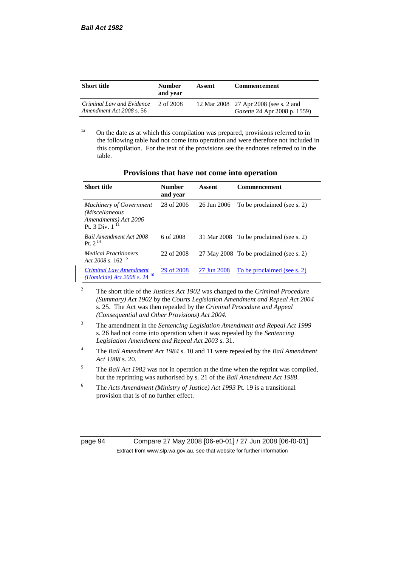| <b>Short title</b>                                    | <b>Number</b><br>and year | Assent | <b>Commencement</b>                                                          |
|-------------------------------------------------------|---------------------------|--------|------------------------------------------------------------------------------|
| Criminal Law and Evidence<br>Amendment Act 2008 s. 56 | 2 of 2008                 |        | 12 Mar 2008 27 Apr 2008 (see s. 2 and<br><i>Gazette</i> 24 Apr 2008 p. 1559) |

<sup>1a</sup> On the date as at which this compilation was prepared, provisions referred to in the following table had not come into operation and were therefore not included in this compilation. For the text of the provisions see the endnotes referred to in the table.

| Provisions that have not come into operation |  |
|----------------------------------------------|--|
|----------------------------------------------|--|

| <b>Short title</b>                                                                              | Number<br>and year | Assent      | <b>Commencement</b>                     |
|-------------------------------------------------------------------------------------------------|--------------------|-------------|-----------------------------------------|
| <b>Machinery of Government</b><br>(Miscellaneous<br>Amendments) Act 2006<br>Pt. 3 Div. $1^{11}$ | 28 of 2006         | 26 Jun 2006 | To be proclaimed (see s. 2)             |
| <b>Bail Amendment Act 2008</b><br><b>Pt</b> $2^{14}$                                            | 6 of 2008          |             | 31 Mar 2008 To be proclaimed (see s. 2) |
| <i>Medical Practitioners</i><br>Act 2008 s. $162^{15}$                                          | 22 of 2008         |             | 27 May 2008 To be proclaimed (see s. 2) |
| <b>Criminal Law Amendment</b><br><i>(Homicide)</i> Act 2008 s. 24 <sup>16</sup>                 | 29 of 2008         | 27 Jun 2008 | To be proclaimed (see s. 2)             |

<sup>2</sup> The short title of the *Justices Act 1902* was changed to the *Criminal Procedure (Summary) Act 1902* by the *Courts Legislation Amendment and Repeal Act 2004*  s. 25. The Act was then repealed by the *Criminal Procedure and Appeal (Consequential and Other Provisions) Act 2004.*

- <sup>3</sup> The amendment in the *Sentencing Legislation Amendment and Repeal Act 1999* s. 26 had not come into operation when it was repealed by the *Sentencing Legislation Amendment and Repeal Act 2003* s. 31.
- <sup>4</sup> The *Bail Amendment Act 1984* s. 10 and 11 were repealed by the *Bail Amendment Act 1988* s. 20.
- <sup>5</sup> The *Bail Act 1982* was not in operation at the time when the reprint was compiled, but the reprinting was authorised by s. 21 of the *Bail Amendment Act 1988*.
- <sup>6</sup> The *Acts Amendment (Ministry of Justice) Act 1993* Pt. 19 is a transitional provision that is of no further effect.

| page | OЛ | ٦ |
|------|----|---|
|      |    |   |

page 94 Compare 27 May 2008 [06-e0-01] / 27 Jun 2008 [06-f0-01] Extract from www.slp.wa.gov.au, see that website for further information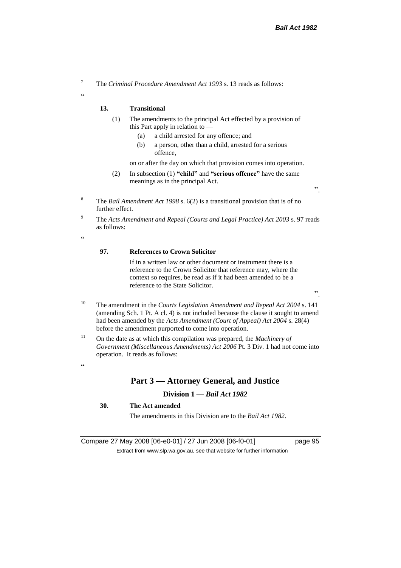<sup>7</sup> The *Criminal Procedure Amendment Act 1993* s. 13 reads as follows:

#### **13. Transitional**

- (1) The amendments to the principal Act effected by a provision of this Part apply in relation to —
	- (a) a child arrested for any offence; and
	- (b) a person, other than a child, arrested for a serious offence,

on or after the day on which that provision comes into operation.

- (2) In subsection (1) **"child"** and **"serious offence"** have the same meanings as in the principal Act.
- <sup>8</sup> The *Bail Amendment Act 1998* s. 6(2) is a transitional provision that is of no further effect.
- <sup>9</sup> The *Acts Amendment and Repeal (Courts and Legal Practice) Act 2003* s. 97 reads as follows:

 $\epsilon$ 

 $\alpha$ 

#### **97. References to Crown Solicitor**

If in a written law or other document or instrument there is a reference to the Crown Solicitor that reference may, where the context so requires, be read as if it had been amended to be a reference to the State Solicitor.

".

".

- <sup>10</sup> The amendment in the *Courts Legislation Amendment and Repeal Act 2004* s. 141 (amending Sch. 1 Pt. A cl. 4) is not included because the clause it sought to amend had been amended by the *Acts Amendment (Court of Appeal) Act 2004* s. 28(4) before the amendment purported to come into operation.
- <sup>11</sup> On the date as at which this compilation was prepared, the *Machinery of Government (Miscellaneous Amendments) Act 2006* Pt. 3 Div. 1 had not come into operation. It reads as follows:

#### $\alpha$

# **Part 3 — Attorney General, and Justice**

# **Division 1 —** *Bail Act 1982*

### **30. The Act amended**

The amendments in this Division are to the *Bail Act 1982*.

Compare 27 May 2008 [06-e0-01] / 27 Jun 2008 [06-f0-01] page 95 Extract from www.slp.wa.gov.au, see that website for further information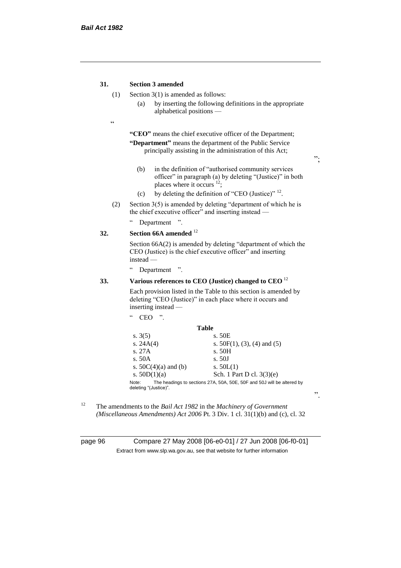### **31. Section 3 amended**

- (1) Section 3(1) is amended as follows:
	- (a) by inserting the following definitions in the appropriate alphabetical positions —
- $\epsilon$

**"CEO"** means the chief executive officer of the Department; **"Department"** means the department of the Public Service principally assisting in the administration of this Act;

";

".

- (b) in the definition of "authorised community services officer" in paragraph (a) by deleting "(Justice)" in both places where it occurs <sup>12</sup>;
- (c) by deleting the definition of "CEO (Justice)"  $^{12}$ .
- (2) Section  $3(5)$  is amended by deleting "department of which he is the chief executive officer" and inserting instead —
	- " Department ".

# **32. Section 66A amended** <sup>12</sup>

Section 66A(2) is amended by deleting "department of which the CEO (Justice) is the chief executive officer" and inserting instead —

" Department ".

 $CEO$  "

### **33. Various references to CEO (Justice) changed to CEO** <sup>12</sup>

Each provision listed in the Table to this section is amended by deleting "CEO (Justice)" in each place where it occurs and inserting instead —

|                                | <b>Table</b>                                                           |
|--------------------------------|------------------------------------------------------------------------|
| s. $3(5)$                      | s. 50E                                                                 |
| s. $24A(4)$                    | s. $50F(1)$ , (3), (4) and (5)                                         |
| s. 27A                         | s. 50H                                                                 |
| s. 50A                         | s. 50J                                                                 |
| s. $50C(4)(a)$ and (b)         | s. $50L(1)$                                                            |
| s. $50D(1)(a)$                 | Sch. 1 Part D cl. 3(3)(e)                                              |
| Note:<br>deleting "(Justice)". | The headings to sections 27A, 50A, 50E, 50F and 50J will be altered by |

<sup>12</sup> The amendments to the *Bail Act 1982* in the *Machinery of Government (Miscellaneous Amendments) Act 2006* Pt. 3 Div. 1 cl. 31(1)(b) and (c), cl. 32

page 96 Compare 27 May 2008 [06-e0-01] / 27 Jun 2008 [06-f0-01] Extract from www.slp.wa.gov.au, see that website for further information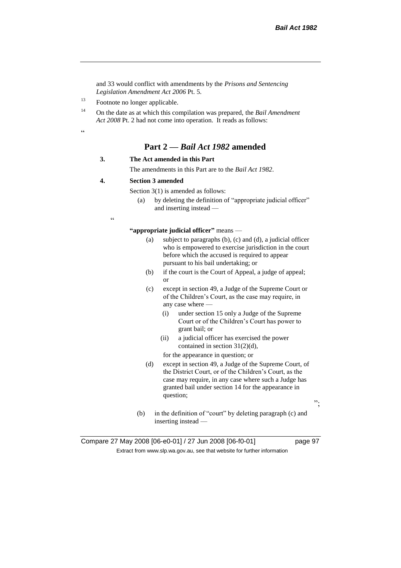and 33 would conflict with amendments by the *Prisons and Sentencing Legislation Amendment Act 2006* Pt. 5.

<sup>13</sup> Footnote no longer applicable.

<sup>14</sup> On the date as at which this compilation was prepared, the *Bail Amendment Act 2008* Pt. 2 had not come into operation. It reads as follows:

.<br>.<br>.

# **Part 2 —** *Bail Act 1982* **amended**

#### **3. The Act amended in this Part**

The amendments in this Part are to the *Bail Act 1982*.

#### **4. Section 3 amended**

Section 3(1) is amended as follows:

(a) by deleting the definition of "appropriate judicial officer" and inserting instead —

.<br>.

**"appropriate judicial officer"** means —

- (a) subject to paragraphs (b), (c) and (d), a judicial officer who is empowered to exercise jurisdiction in the court before which the accused is required to appear pursuant to his bail undertaking; or
- (b) if the court is the Court of Appeal, a judge of appeal; or
- (c) except in section 49, a Judge of the Supreme Court or of the Children's Court, as the case may require, in any case where —
	- (i) under section 15 only a Judge of the Supreme Court or of the Children's Court has power to grant bail; or
	- (ii) a judicial officer has exercised the power contained in section 31(2)(d),

for the appearance in question; or

(d) except in section 49, a Judge of the Supreme Court, of the District Court, or of the Children's Court, as the case may require, in any case where such a Judge has granted bail under section 14 for the appearance in question;

";

(b) in the definition of "court" by deleting paragraph (c) and inserting instead —

Compare 27 May 2008 [06-e0-01] / 27 Jun 2008 [06-f0-01] page 97 Extract from www.slp.wa.gov.au, see that website for further information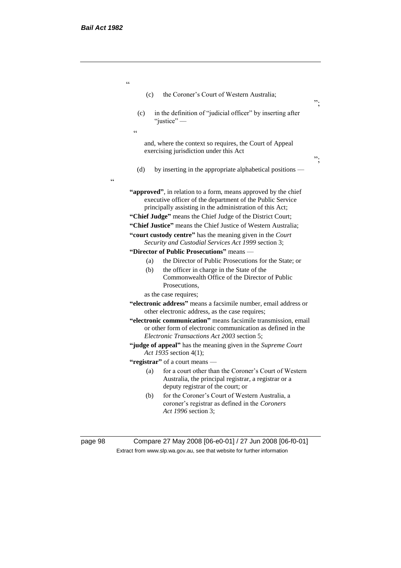$\epsilon\epsilon$ 

| (c)        | the Coroner's Court of Western Australia;                                                                                                                                               |
|------------|-----------------------------------------------------------------------------------------------------------------------------------------------------------------------------------------|
| (c)        | in the definition of "judicial officer" by inserting after<br>"justice"-                                                                                                                |
| $\epsilon$ |                                                                                                                                                                                         |
|            | and, where the context so requires, the Court of Appeal<br>exercising jurisdiction under this Act                                                                                       |
| (d)        | by inserting in the appropriate alphabetical positions —                                                                                                                                |
|            | "approved", in relation to a form, means approved by the chief<br>executive officer of the department of the Public Service<br>principally assisting in the administration of this Act; |
|            | "Chief Judge" means the Chief Judge of the District Court;                                                                                                                              |
|            | "Chief Justice" means the Chief Justice of Western Australia;                                                                                                                           |
|            | "court custody centre" has the meaning given in the Court<br>Security and Custodial Services Act 1999 section 3;                                                                        |
|            | "Director of Public Prosecutions" means -                                                                                                                                               |
| (a)        | the Director of Public Prosecutions for the State; or                                                                                                                                   |
| (b)        | the officer in charge in the State of the<br>Commonwealth Office of the Director of Public<br>Prosecutions.                                                                             |
|            | as the case requires;                                                                                                                                                                   |
|            | "electronic address" means a facsimile number, email address or<br>other electronic address, as the case requires;                                                                      |
|            | "electronic communication" means facsimile transmission, email<br>or other form of electronic communication as defined in the<br>Electronic Transactions Act 2003 section 5;            |
|            | "judge of appeal" has the meaning given in the Supreme Court<br>Act 1935 section 4(1);                                                                                                  |
|            | "registrar" of a court means -                                                                                                                                                          |
| (a)        | for a court other than the Coroner's Court of Western<br>Australia, the principal registrar, a registrar or a<br>deputy registrar of the court; or                                      |
| (b)        | for the Coroner's Court of Western Australia, a<br>coroner's registrar as defined in the Coroners                                                                                       |

page 98 Compare 27 May 2008 [06-e0-01] / 27 Jun 2008 [06-f0-01] Extract from www.slp.wa.gov.au, see that website for further information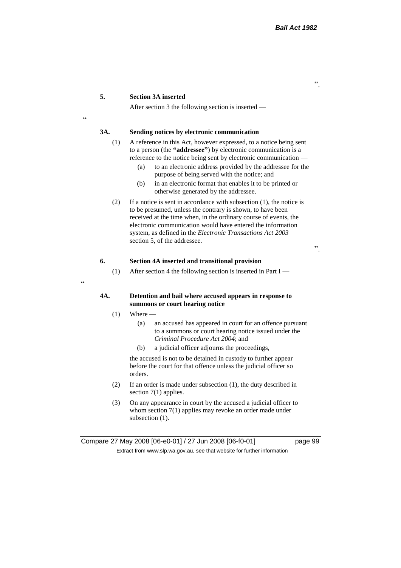#### **5. Section 3A inserted**

After section 3 the following section is inserted —

# <u>،</u>

 $\epsilon$ 

#### **3A. Sending notices by electronic communication**

- (1) A reference in this Act, however expressed, to a notice being sent to a person (the **"addressee"**) by electronic communication is a reference to the notice being sent by electronic communication —
	- (a) to an electronic address provided by the addressee for the purpose of being served with the notice; and
	- (b) in an electronic format that enables it to be printed or otherwise generated by the addressee.
- (2) If a notice is sent in accordance with subsection (1), the notice is to be presumed, unless the contrary is shown, to have been received at the time when, in the ordinary course of events, the electronic communication would have entered the information system, as defined in the *Electronic Transactions Act 2003* section 5, of the addressee.

".

#### **6. Section 4A inserted and transitional provision**

(1) After section 4 the following section is inserted in Part I —

#### **4A. Detention and bail where accused appears in response to summons or court hearing notice**

- $(1)$  Where
	- (a) an accused has appeared in court for an offence pursuant to a summons or court hearing notice issued under the *Criminal Procedure Act 2004*; and
	- (b) a judicial officer adjourns the proceedings,

the accused is not to be detained in custody to further appear before the court for that offence unless the judicial officer so orders.

- (2) If an order is made under subsection (1), the duty described in section 7(1) applies.
- (3) On any appearance in court by the accused a judicial officer to whom section 7(1) applies may revoke an order made under subsection  $(1)$ .

".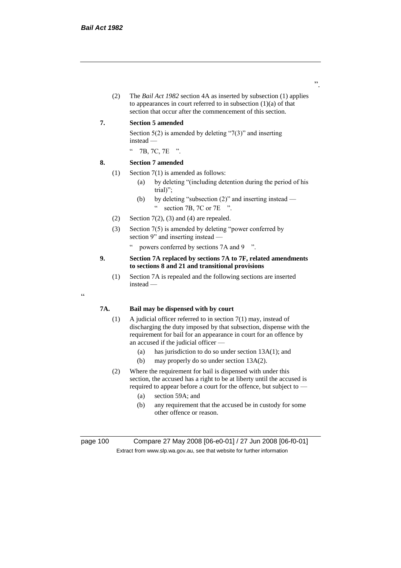(2) The *Bail Act 1982* section 4A as inserted by subsection (1) applies to appearances in court referred to in subsection  $(1)(a)$  of that section that occur after the commencement of this section.

#### **7. Section 5 amended**

Section  $5(2)$  is amended by deleting "7(3)" and inserting instead —

" 7B, 7C, 7E ".

#### **8. Section 7 amended**

- (1) Section 7(1) is amended as follows:
	- (a) by deleting "(including detention during the period of his trial)";
	- (b) by deleting "subsection (2)" and inserting instead " section 7B, 7C or 7E ".
- (2) Section  $7(2)$ , (3) and (4) are repealed.
- (3) Section 7(5) is amended by deleting "power conferred by section 9" and inserting instead —
	- " powers conferred by sections 7A and 9 ".

#### **9. Section 7A replaced by sections 7A to 7F, related amendments to sections 8 and 21 and transitional provisions**

(1) Section 7A is repealed and the following sections are inserted instead —

### **7A. Bail may be dispensed with by court**

- (1) A judicial officer referred to in section 7(1) may, instead of discharging the duty imposed by that subsection, dispense with the requirement for bail for an appearance in court for an offence by an accused if the judicial officer —
	- (a) has jurisdiction to do so under section 13A(1); and
	- (b) may properly do so under section 13A(2).
- (2) Where the requirement for bail is dispensed with under this section, the accused has a right to be at liberty until the accused is required to appear before a court for the offence, but subject to —
	- (a) section 59A; and
	- (b) any requirement that the accused be in custody for some other offence or reason.

"

page 100 Compare 27 May 2008 [06-e0-01] / 27 Jun 2008 [06-f0-01] Extract from www.slp.wa.gov.au, see that website for further information

".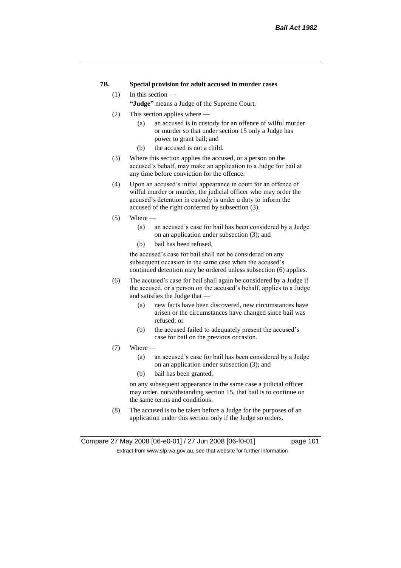### **7B. Special provision for adult accused in murder cases**

#### (1) In this section —

**"Judge"** means a Judge of the Supreme Court.

- (2) This section applies where
	- (a) an accused is in custody for an offence of wilful murder or murder so that under section 15 only a Judge has power to grant bail; and
	- (b) the accused is not a child.
- (3) Where this section applies the accused, or a person on the accused's behalf, may make an application to a Judge for bail at any time before conviction for the offence.
- (4) Upon an accused's initial appearance in court for an offence of wilful murder or murder, the judicial officer who may order the accused's detention in custody is under a duty to inform the accused of the right conferred by subsection (3).
- $(5)$  Where
	- (a) an accused's case for bail has been considered by a Judge on an application under subsection (3); and
	- (b) bail has been refused,

the accused's case for bail shall not be considered on any subsequent occasion in the same case when the accused's continued detention may be ordered unless subsection (6) applies.

- (6) The accused's case for bail shall again be considered by a Judge if the accused, or a person on the accused's behalf, applies to a Judge and satisfies the Judge that —
	- (a) new facts have been discovered, new circumstances have arisen or the circumstances have changed since bail was refused; or
	- (b) the accused failed to adequately present the accused's case for bail on the previous occasion.
- $(7)$  Where  $-$ 
	- (a) an accused's case for bail has been considered by a Judge on an application under subsection (3); and
	- (b) bail has been granted,

on any subsequent appearance in the same case a judicial officer may order, notwithstanding section 15, that bail is to continue on the same terms and conditions.

(8) The accused is to be taken before a Judge for the purposes of an application under this section only if the Judge so orders.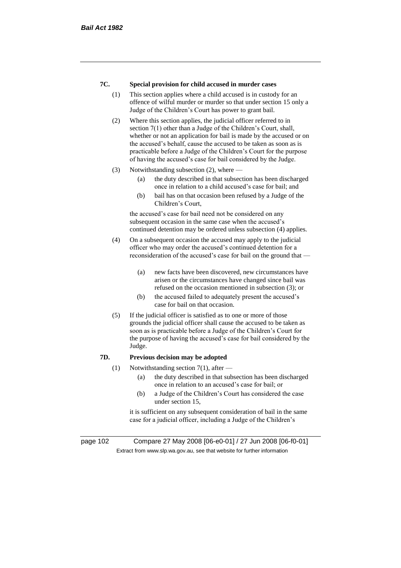#### **7C. Special provision for child accused in murder cases**

- (1) This section applies where a child accused is in custody for an offence of wilful murder or murder so that under section 15 only a Judge of the Children's Court has power to grant bail.
- (2) Where this section applies, the judicial officer referred to in section 7(1) other than a Judge of the Children's Court, shall, whether or not an application for bail is made by the accused or on the accused's behalf, cause the accused to be taken as soon as is practicable before a Judge of the Children's Court for the purpose of having the accused's case for bail considered by the Judge.
- (3) Notwithstanding subsection (2), where
	- (a) the duty described in that subsection has been discharged once in relation to a child accused's case for bail; and
	- (b) bail has on that occasion been refused by a Judge of the Children's Court,

the accused's case for bail need not be considered on any subsequent occasion in the same case when the accused's continued detention may be ordered unless subsection (4) applies.

- (4) On a subsequent occasion the accused may apply to the judicial officer who may order the accused's continued detention for a reconsideration of the accused's case for bail on the ground that —
	- (a) new facts have been discovered, new circumstances have arisen or the circumstances have changed since bail was refused on the occasion mentioned in subsection (3); or
	- (b) the accused failed to adequately present the accused's case for bail on that occasion.
- (5) If the judicial officer is satisfied as to one or more of those grounds the judicial officer shall cause the accused to be taken as soon as is practicable before a Judge of the Children's Court for the purpose of having the accused's case for bail considered by the Judge.

#### **7D. Previous decision may be adopted**

- (1) Notwithstanding section 7(1), after  $-$ 
	- (a) the duty described in that subsection has been discharged once in relation to an accused's case for bail; or
	- (b) a Judge of the Children's Court has considered the case under section 15,

it is sufficient on any subsequent consideration of bail in the same case for a judicial officer, including a Judge of the Children's

page 102 Compare 27 May 2008 [06-e0-01] / 27 Jun 2008 [06-f0-01] Extract from www.slp.wa.gov.au, see that website for further information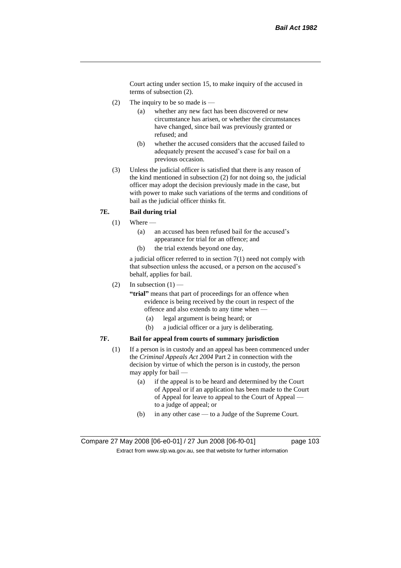Court acting under section 15, to make inquiry of the accused in terms of subsection (2).

- (2) The inquiry to be so made is  $-$ 
	- (a) whether any new fact has been discovered or new circumstance has arisen, or whether the circumstances have changed, since bail was previously granted or refused; and
	- (b) whether the accused considers that the accused failed to adequately present the accused's case for bail on a previous occasion.
- (3) Unless the judicial officer is satisfied that there is any reason of the kind mentioned in subsection (2) for not doing so, the judicial officer may adopt the decision previously made in the case, but with power to make such variations of the terms and conditions of bail as the judicial officer thinks fit.

### **7E. Bail during trial**

- $(1)$  Where
	- (a) an accused has been refused bail for the accused's appearance for trial for an offence; and
	- (b) the trial extends beyond one day,

a judicial officer referred to in section 7(1) need not comply with that subsection unless the accused, or a person on the accused's behalf, applies for bail.

(2) In subsection  $(1)$  —

**"trial"** means that part of proceedings for an offence when evidence is being received by the court in respect of the offence and also extends to any time when —

- (a) legal argument is being heard; or
- (b) a judicial officer or a jury is deliberating.

#### **7F. Bail for appeal from courts of summary jurisdiction**

- (1) If a person is in custody and an appeal has been commenced under the *Criminal Appeals Act 2004* Part 2 in connection with the decision by virtue of which the person is in custody, the person may apply for bail —
	- (a) if the appeal is to be heard and determined by the Court of Appeal or if an application has been made to the Court of Appeal for leave to appeal to the Court of Appeal to a judge of appeal; or
	- (b) in any other case to a Judge of the Supreme Court.

Compare 27 May 2008 [06-e0-01] / 27 Jun 2008 [06-f0-01] page 103 Extract from www.slp.wa.gov.au, see that website for further information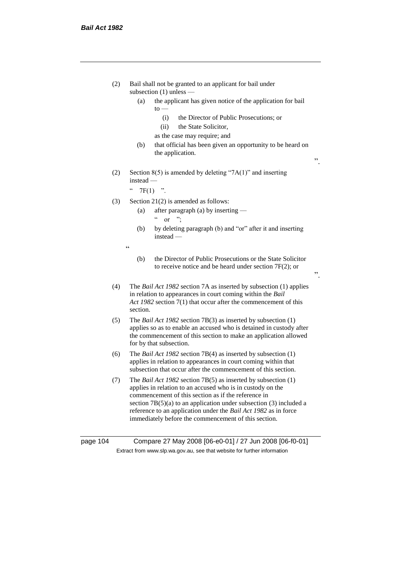| (2)      | Bail shall not be granted to an applicant for bail under<br>subsection $(1)$ unless —                                                                                                                                                                                                                                                                                                 |  |
|----------|---------------------------------------------------------------------------------------------------------------------------------------------------------------------------------------------------------------------------------------------------------------------------------------------------------------------------------------------------------------------------------------|--|
|          | the applicant has given notice of the application for bail<br>(a)<br>$\mathfrak{g}_0$                                                                                                                                                                                                                                                                                                 |  |
|          | the Director of Public Prosecutions; or<br>(i)<br>(ii)<br>the State Solicitor,                                                                                                                                                                                                                                                                                                        |  |
|          | as the case may require; and                                                                                                                                                                                                                                                                                                                                                          |  |
|          | (b)<br>that official has been given an opportunity to be heard on<br>the application.<br>,,                                                                                                                                                                                                                                                                                           |  |
| (2)      | Section $8(5)$ is amended by deleting "7A(1)" and inserting<br>$instead -$                                                                                                                                                                                                                                                                                                            |  |
|          | $\zeta$ $\zeta$<br>$7F(1)$ ".                                                                                                                                                                                                                                                                                                                                                         |  |
| (3)      | Section $21(2)$ is amended as follows:                                                                                                                                                                                                                                                                                                                                                |  |
|          | after paragraph (a) by inserting —<br>(a)<br>$\mathsf{cc}$                                                                                                                                                                                                                                                                                                                            |  |
|          | or $\dddot{ }$<br>by deleting paragraph (b) and "or" after it and inserting<br>(b)<br>instead -                                                                                                                                                                                                                                                                                       |  |
|          | $\subset$                                                                                                                                                                                                                                                                                                                                                                             |  |
|          | the Director of Public Prosecutions or the State Solicitor<br>(b)<br>to receive notice and be heard under section $7F(2)$ ; or<br>,,                                                                                                                                                                                                                                                  |  |
| (4)      | The <i>Bail Act 1982</i> section 7A as inserted by subsection (1) applies<br>in relation to appearances in court coming within the Bail<br>Act 1982 section 7(1) that occur after the commencement of this<br>section.                                                                                                                                                                |  |
| (5)      | The <i>Bail Act 1982</i> section $7B(3)$ as inserted by subsection $(1)$<br>applies so as to enable an accused who is detained in custody after<br>the commencement of this section to make an application allowed<br>for by that subsection.                                                                                                                                         |  |
| (6)      | The <i>Bail Act 1982</i> section $7B(4)$ as inserted by subsection $(1)$<br>applies in relation to appearances in court coming within that<br>subsection that occur after the commencement of this section.                                                                                                                                                                           |  |
| (7)      | The Bail Act 1982 section 7B(5) as inserted by subsection (1)<br>applies in relation to an accused who is in custody on the<br>commencement of this section as if the reference in<br>section $7B(5)(a)$ to an application under subsection (3) included a<br>reference to an application under the Bail Act 1982 as in force<br>immediately before the commencement of this section. |  |
| page 104 | Compare 27 May 2008 [06-e0-01] / 27 Jun 2008 [06-f0-01]                                                                                                                                                                                                                                                                                                                               |  |

Extract from www.slp.wa.gov.au, see that website for further information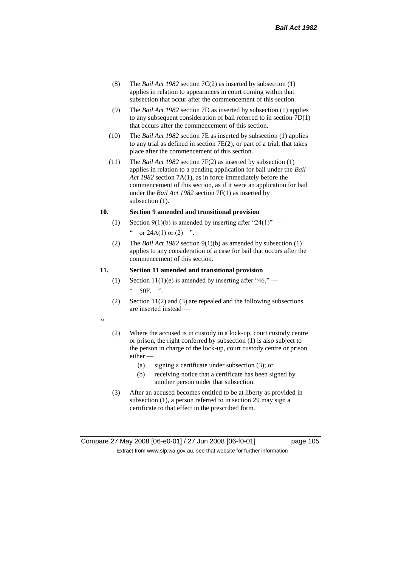- (8) The *Bail Act 1982* section 7C(2) as inserted by subsection (1) applies in relation to appearances in court coming within that subsection that occur after the commencement of this section.
- (9) The *Bail Act 1982* section 7D as inserted by subsection (1) applies to any subsequent consideration of bail referred to in section 7D(1) that occurs after the commencement of this section.
- (10) The *Bail Act 1982* section 7E as inserted by subsection (1) applies to any trial as defined in section 7E(2), or part of a trial, that takes place after the commencement of this section.
- (11) The *Bail Act 1982* section 7F(2) as inserted by subsection (1) applies in relation to a pending application for bail under the *Bail Act 1982* section 7A(1), as in force immediately before the commencement of this section, as if it were an application for bail under the *Bail Act 1982* section 7F(1) as inserted by subsection  $(1)$ .

### **10. Section 9 amended and transitional provision**

- (1) Section 9(1)(b) is amended by inserting after "24(1)" " or  $24A(1)$  or  $(2)$  ".
- (2) The *Bail Act 1982* section 9(1)(b) as amended by subsection (1) applies to any consideration of a case for bail that occurs after the commencement of this section.

#### **11. Section 11 amended and transitional provision**

- (1) Section 11(1)(e) is amended by inserting after "46," 50F, ".
- (2) Section 11(2) and (3) are repealed and the following subsections are inserted instead —

 $\alpha$ 

- (2) Where the accused is in custody in a lock-up, court custody centre or prison, the right conferred by subsection (1) is also subject to the person in charge of the lock-up, court custody centre or prison either —
	- (a) signing a certificate under subsection (3); or
	- (b) receiving notice that a certificate has been signed by another person under that subsection.
- (3) After an accused becomes entitled to be at liberty as provided in subsection (1), a person referred to in section 29 may sign a certificate to that effect in the prescribed form.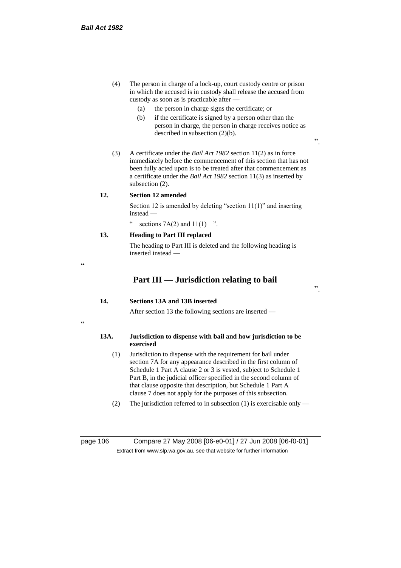- (4) The person in charge of a lock-up, court custody centre or prison in which the accused is in custody shall release the accused from custody as soon as is practicable after —
	- (a) the person in charge signs the certificate; or
	- (b) if the certificate is signed by a person other than the person in charge, the person in charge receives notice as described in subsection (2)(b).
- (3) A certificate under the *Bail Act 1982* section 11(2) as in force immediately before the commencement of this section that has not been fully acted upon is to be treated after that commencement as a certificate under the *Bail Act 1982* section 11(3) as inserted by subsection  $(2)$ .

#### **12. Section 12 amended**

Section 12 is amended by deleting "section 11(1)" and inserting instead —

sections  $7A(2)$  and  $11(1)$  ".

# **13. Heading to Part III replaced**

The heading to Part III is deleted and the following heading is inserted instead —

# **Part III — Jurisdiction relating to bail**

".

".

### **14. Sections 13A and 13B inserted**

After section 13 the following sections are inserted —

#### **13A. Jurisdiction to dispense with bail and how jurisdiction to be exercised**

- (1) Jurisdiction to dispense with the requirement for bail under section 7A for any appearance described in the first column of Schedule 1 Part A clause 2 or 3 is vested, subject to Schedule 1 Part B, in the judicial officer specified in the second column of that clause opposite that description, but Schedule 1 Part A clause 7 does not apply for the purposes of this subsection.
- (2) The jurisdiction referred to in subsection (1) is exercisable only —

page 106 Compare 27 May 2008 [06-e0-01] / 27 Jun 2008 [06-f0-01] Extract from www.slp.wa.gov.au, see that website for further information

"

 $\epsilon$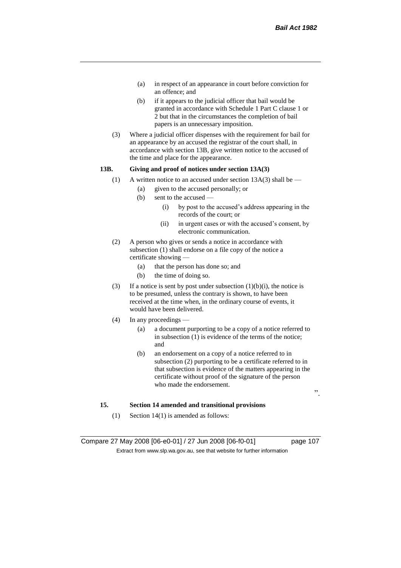- (a) in respect of an appearance in court before conviction for an offence; and
- (b) if it appears to the judicial officer that bail would be granted in accordance with Schedule 1 Part C clause 1 or 2 but that in the circumstances the completion of bail papers is an unnecessary imposition.
- (3) Where a judicial officer dispenses with the requirement for bail for an appearance by an accused the registrar of the court shall, in accordance with section 13B, give written notice to the accused of the time and place for the appearance.

## **13B. Giving and proof of notices under section 13A(3)**

- (1) A written notice to an accused under section  $13A(3)$  shall be
	- (a) given to the accused personally; or
	- (b) sent to the accused
		- (i) by post to the accused's address appearing in the records of the court; or
		- (ii) in urgent cases or with the accused's consent, by electronic communication.
- (2) A person who gives or sends a notice in accordance with subsection (1) shall endorse on a file copy of the notice a certificate showing —
	- (a) that the person has done so; and
	- (b) the time of doing so.
- (3) If a notice is sent by post under subsection  $(1)(b)(i)$ , the notice is to be presumed, unless the contrary is shown, to have been received at the time when, in the ordinary course of events, it would have been delivered.
- (4) In any proceedings
	- (a) a document purporting to be a copy of a notice referred to in subsection (1) is evidence of the terms of the notice; and
	- (b) an endorsement on a copy of a notice referred to in subsection (2) purporting to be a certificate referred to in that subsection is evidence of the matters appearing in the certificate without proof of the signature of the person who made the endorsement.

".

#### **15. Section 14 amended and transitional provisions**

(1) Section 14(1) is amended as follows:

Compare 27 May 2008 [06-e0-01] / 27 Jun 2008 [06-f0-01] page 107 Extract from www.slp.wa.gov.au, see that website for further information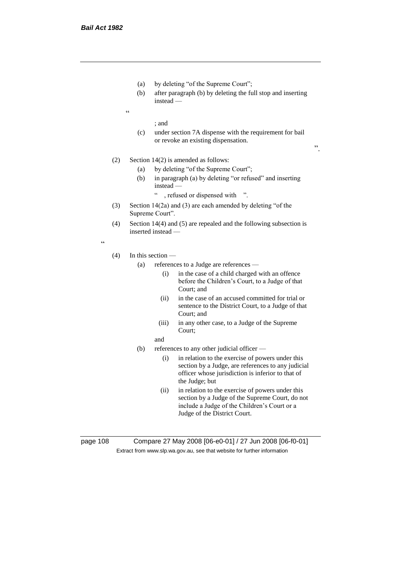- (a) by deleting "of the Supreme Court";
- (b) after paragraph (b) by deleting the full stop and inserting instead —
- $\epsilon$

; and

(c) under section 7A dispense with the requirement for bail or revoke an existing dispensation.

".

- (2) Section 14(2) is amended as follows:
	- (a) by deleting "of the Supreme Court";
	- (b) in paragraph (a) by deleting "or refused" and inserting instead —
		- " , refused or dispensed with ".
- (3) Section 14(2a) and (3) are each amended by deleting "of the Supreme Court".
- (4) Section 14(4) and (5) are repealed and the following subsection is inserted instead —

"

- (4) In this section
	- (a) references to a Judge are references
		- (i) in the case of a child charged with an offence before the Children's Court, to a Judge of that Court; and
		- (ii) in the case of an accused committed for trial or sentence to the District Court, to a Judge of that Court; and
		- (iii) in any other case, to a Judge of the Supreme Court;
		- and
	- (b) references to any other judicial officer
		- (i) in relation to the exercise of powers under this section by a Judge, are references to any judicial officer whose jurisdiction is inferior to that of the Judge; but
		- (ii) in relation to the exercise of powers under this section by a Judge of the Supreme Court, do not include a Judge of the Children's Court or a Judge of the District Court.

page 108 Compare 27 May 2008 [06-e0-01] / 27 Jun 2008 [06-f0-01] Extract from www.slp.wa.gov.au, see that website for further information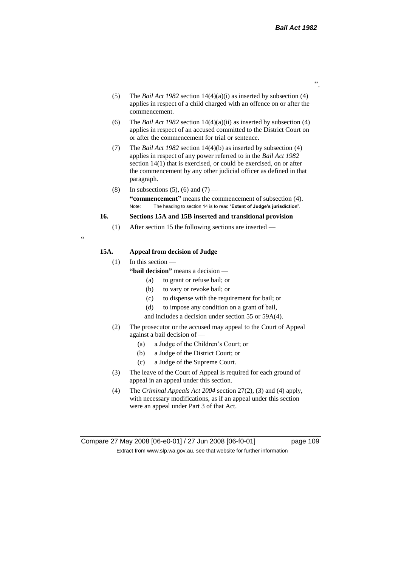- (5) The *Bail Act 1982* section 14(4)(a)(i) as inserted by subsection (4) applies in respect of a child charged with an offence on or after the commencement.
- (6) The *Bail Act 1982* section 14(4)(a)(ii) as inserted by subsection (4) applies in respect of an accused committed to the District Court on or after the commencement for trial or sentence.
- (7) The *Bail Act 1982* section 14(4)(b) as inserted by subsection (4) applies in respect of any power referred to in the *Bail Act 1982* section 14(1) that is exercised, or could be exercised, on or after the commencement by any other judicial officer as defined in that paragraph.
- (8) In subsections (5), (6) and (7) **"commencement"** means the commencement of subsection (4). Note: The heading to section 14 is to read "**Extent of Judge's jurisdiction**".

## **16. Sections 15A and 15B inserted and transitional provision**

(1) After section 15 the following sections are inserted —

"

## **15A. Appeal from decision of Judge**

(1) In this section —

- **"bail decision"** means a decision
	- (a) to grant or refuse bail; or
	- (b) to vary or revoke bail; or
	- (c) to dispense with the requirement for bail; or
	- (d) to impose any condition on a grant of bail,
	- and includes a decision under section 55 or 59A(4).
- (2) The prosecutor or the accused may appeal to the Court of Appeal against a bail decision of —
	- (a) a Judge of the Children's Court; or
	- (b) a Judge of the District Court; or
	- (c) a Judge of the Supreme Court.
- (3) The leave of the Court of Appeal is required for each ground of appeal in an appeal under this section.
- (4) The *Criminal Appeals Act 2004* section 27(2), (3) and (4) apply, with necessary modifications, as if an appeal under this section were an appeal under Part 3 of that Act.

".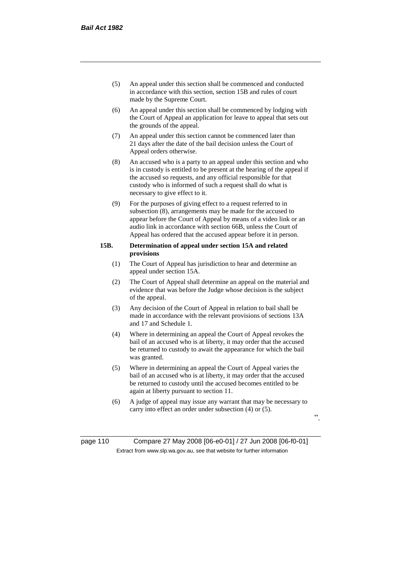- (5) An appeal under this section shall be commenced and conducted in accordance with this section, section 15B and rules of court made by the Supreme Court.
- (6) An appeal under this section shall be commenced by lodging with the Court of Appeal an application for leave to appeal that sets out the grounds of the appeal.
- (7) An appeal under this section cannot be commenced later than 21 days after the date of the bail decision unless the Court of Appeal orders otherwise.
- (8) An accused who is a party to an appeal under this section and who is in custody is entitled to be present at the hearing of the appeal if the accused so requests, and any official responsible for that custody who is informed of such a request shall do what is necessary to give effect to it.
- (9) For the purposes of giving effect to a request referred to in subsection (8), arrangements may be made for the accused to appear before the Court of Appeal by means of a video link or an audio link in accordance with section 66B, unless the Court of Appeal has ordered that the accused appear before it in person.

## **15B. Determination of appeal under section 15A and related provisions**

- (1) The Court of Appeal has jurisdiction to hear and determine an appeal under section 15A.
- (2) The Court of Appeal shall determine an appeal on the material and evidence that was before the Judge whose decision is the subject of the appeal.
- (3) Any decision of the Court of Appeal in relation to bail shall be made in accordance with the relevant provisions of sections 13A and 17 and Schedule 1.
- (4) Where in determining an appeal the Court of Appeal revokes the bail of an accused who is at liberty, it may order that the accused be returned to custody to await the appearance for which the bail was granted.
- (5) Where in determining an appeal the Court of Appeal varies the bail of an accused who is at liberty, it may order that the accused be returned to custody until the accused becomes entitled to be again at liberty pursuant to section 11.
- (6) A judge of appeal may issue any warrant that may be necessary to carry into effect an order under subsection (4) or (5).

".

page 110 Compare 27 May 2008 [06-e0-01] / 27 Jun 2008 [06-f0-01] Extract from www.slp.wa.gov.au, see that website for further information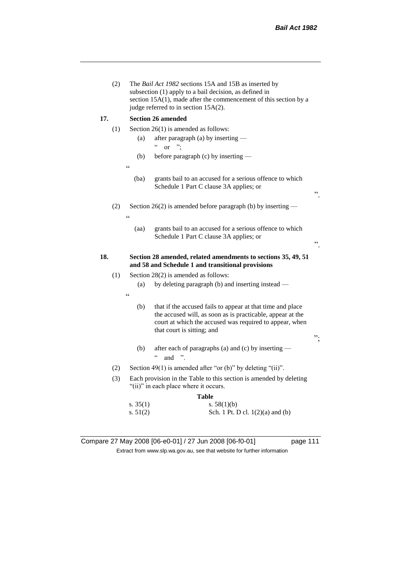|     | (2) |                | The Bail Act 1982 sections 15A and 15B as inserted by<br>subsection (1) apply to a bail decision, as defined in<br>section $15A(1)$ , made after the commencement of this section by a<br>judge referred to in section 15A(2). |    |
|-----|-----|----------------|--------------------------------------------------------------------------------------------------------------------------------------------------------------------------------------------------------------------------------|----|
| 17. |     |                | <b>Section 26 amended</b>                                                                                                                                                                                                      |    |
|     | (1) |                | Section $26(1)$ is amended as follows:                                                                                                                                                                                         |    |
|     |     | (a)            | after paragraph (a) by inserting —<br>$\boldsymbol{\varsigma}$ $\boldsymbol{\varsigma}$<br>$\ddot{\phantom{1}}$<br><sub>or</sub>                                                                                               |    |
|     |     | (b)            | before paragraph (c) by inserting —                                                                                                                                                                                            |    |
|     |     | $\zeta\,\zeta$ |                                                                                                                                                                                                                                |    |
|     |     | (ba)           | grants bail to an accused for a serious offence to which<br>Schedule 1 Part C clause 3A applies; or                                                                                                                            | ,, |
|     | (2) | $\epsilon$     | Section 26(2) is amended before paragraph (b) by inserting $-$                                                                                                                                                                 |    |
|     |     | (aa)           | grants bail to an accused for a serious offence to which<br>Schedule 1 Part C clause 3A applies; or                                                                                                                            | ,, |
|     |     |                |                                                                                                                                                                                                                                |    |
| 18. |     |                | Section 28 amended, related amendments to sections 35, 49, 51<br>and 58 and Schedule 1 and transitional provisions                                                                                                             |    |
|     | (1) |                | Section 28(2) is amended as follows:                                                                                                                                                                                           |    |
|     |     | (a)            | by deleting paragraph (b) and inserting instead —                                                                                                                                                                              |    |
|     |     | $\epsilon$     |                                                                                                                                                                                                                                |    |
|     |     | (b)            | that if the accused fails to appear at that time and place<br>the accused will, as soon as is practicable, appear at the<br>court at which the accused was required to appear, when<br>that court is sitting; and              | ". |
|     |     | (b)            | after each of paragraphs (a) and (c) by inserting —<br>$\boldsymbol{\varsigma}$ $\boldsymbol{\varsigma}$<br>and                                                                                                                |    |
|     | (2) |                | Section $49(1)$ is amended after "or (b)" by deleting "(ii)".                                                                                                                                                                  |    |
|     | (3) |                | Each provision in the Table to this section is amended by deleting<br>"(ii)" in each place where it occurs.                                                                                                                    |    |
|     |     | s. $35(1)$     | Table<br>s. $58(1)(b)$                                                                                                                                                                                                         |    |

Compare 27 May 2008 [06-e0-01] / 27 Jun 2008 [06-f0-01] page 111 Extract from www.slp.wa.gov.au, see that website for further information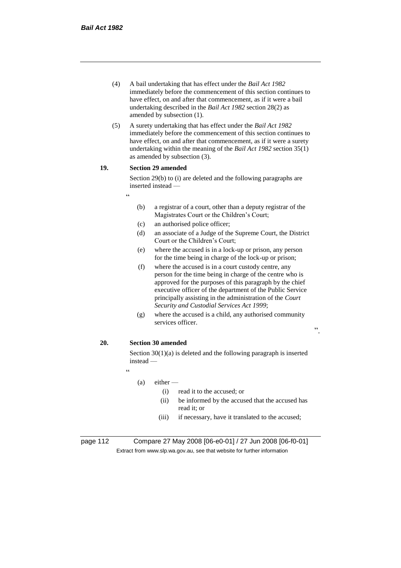- (4) A bail undertaking that has effect under the *Bail Act 1982* immediately before the commencement of this section continues to have effect, on and after that commencement, as if it were a bail undertaking described in the *Bail Act 1982* section 28(2) as amended by subsection (1).
- (5) A surety undertaking that has effect under the *Bail Act 1982* immediately before the commencement of this section continues to have effect, on and after that commencement, as if it were a surety undertaking within the meaning of the *Bail Act 1982* section 35(1) as amended by subsection (3).

## **19. Section 29 amended**

"

Section 29(b) to (i) are deleted and the following paragraphs are inserted instead —

- (b) a registrar of a court, other than a deputy registrar of the Magistrates Court or the Children's Court;
- (c) an authorised police officer;
- (d) an associate of a Judge of the Supreme Court, the District Court or the Children's Court;
- (e) where the accused is in a lock-up or prison, any person for the time being in charge of the lock-up or prison;
- (f) where the accused is in a court custody centre, any person for the time being in charge of the centre who is approved for the purposes of this paragraph by the chief executive officer of the department of the Public Service principally assisting in the administration of the *Court Security and Custodial Services Act 1999*;
- (g) where the accused is a child, any authorised community services officer.

## **20. Section 30 amended**

Section 30(1)(a) is deleted and the following paragraph is inserted instead —

"

## $(a)$  either —

- (i) read it to the accused; or
- (ii) be informed by the accused that the accused has read it; or

".

(iii) if necessary, have it translated to the accused;

page 112 Compare 27 May 2008 [06-e0-01] / 27 Jun 2008 [06-f0-01] Extract from www.slp.wa.gov.au, see that website for further information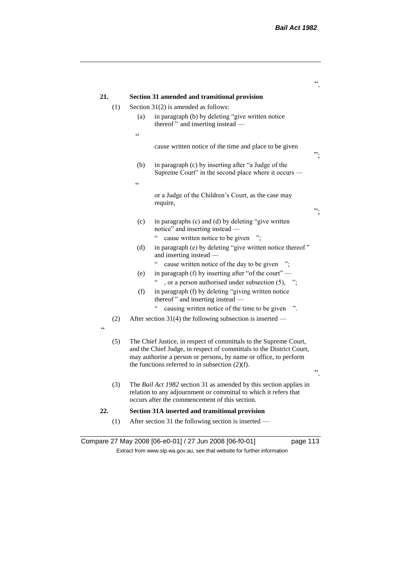| 21.               | Section 31 amended and transitional provision                                                                                                                                                                                                                             |
|-------------------|---------------------------------------------------------------------------------------------------------------------------------------------------------------------------------------------------------------------------------------------------------------------------|
| (1)               | Section $31(2)$ is amended as follows:                                                                                                                                                                                                                                    |
|                   | in paragraph (b) by deleting "give written notice<br>(a)<br>thereof" and inserting instead -                                                                                                                                                                              |
|                   | $\epsilon$                                                                                                                                                                                                                                                                |
|                   | cause written notice of the time and place to be given<br>᠉.                                                                                                                                                                                                              |
|                   | (b)<br>in paragraph (c) by inserting after "a Judge of the<br>Supreme Court" in the second place where it occurs —                                                                                                                                                        |
|                   | $\zeta$ $\zeta$                                                                                                                                                                                                                                                           |
|                   | or a Judge of the Children's Court, as the case may<br>require,<br>".                                                                                                                                                                                                     |
|                   |                                                                                                                                                                                                                                                                           |
|                   | in paragraphs (c) and (d) by deleting "give written<br>(c)<br>notice" and inserting instead -                                                                                                                                                                             |
|                   | $\zeta$ $\zeta$<br>cause written notice to be given                                                                                                                                                                                                                       |
|                   | in paragraph (e) by deleting "give written notice thereof"<br>(d)<br>and inserting instead -                                                                                                                                                                              |
|                   | cause written notice of the day to be given ";                                                                                                                                                                                                                            |
|                   | in paragraph (f) by inserting after "of the court" $-$<br>(e)<br>, or a person authorised under subsection $(5)$ , ";                                                                                                                                                     |
|                   | in paragraph (f) by deleting "giving written notice<br>(f)<br>thereof" and inserting instead —                                                                                                                                                                            |
|                   | $\zeta$ $\zeta$<br>causing written notice of the time to be given                                                                                                                                                                                                         |
| (2)<br>$\epsilon$ | After section 31(4) the following subsection is inserted —                                                                                                                                                                                                                |
| (5)               | The Chief Justice, in respect of committals to the Supreme Court,<br>and the Chief Judge, in respect of committals to the District Court,<br>may authorise a person or persons, by name or office, to perform<br>the functions referred to in subsection $(2)(f)$ .<br>,, |
| (3)               | The Bail Act 1982 section 31 as amended by this section applies in<br>relation to any adjournment or committal to which it refers that<br>occurs after the commencement of this section.                                                                                  |
| 22.               | Section 31A inserted and transitional provision                                                                                                                                                                                                                           |
|                   |                                                                                                                                                                                                                                                                           |

Compare 27 May 2008 [06-e0-01] / 27 Jun 2008 [06-f0-01] page 113 Extract from www.slp.wa.gov.au, see that website for further information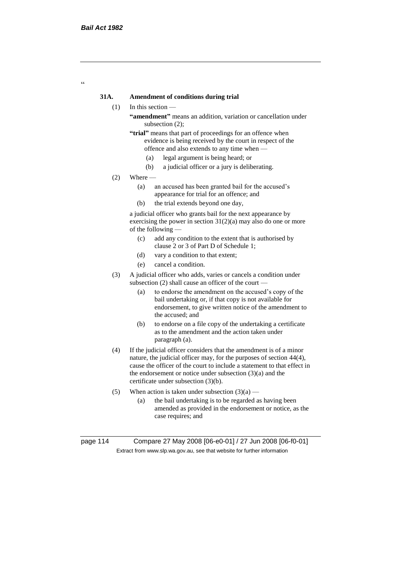$\epsilon$ 

## **31A. Amendment of conditions during trial**

- (1) In this section
	- **"amendment"** means an addition, variation or cancellation under subsection (2);
	- **"trial"** means that part of proceedings for an offence when evidence is being received by the court in respect of the offence and also extends to any time when —
		- (a) legal argument is being heard; or
		- (b) a judicial officer or a jury is deliberating.
- $(2)$  Where
	- (a) an accused has been granted bail for the accused's appearance for trial for an offence; and
	- (b) the trial extends beyond one day,

a judicial officer who grants bail for the next appearance by exercising the power in section  $31(2)(a)$  may also do one or more of the following —

- (c) add any condition to the extent that is authorised by clause 2 or 3 of Part D of Schedule 1;
- (d) vary a condition to that extent;
- (e) cancel a condition.
- (3) A judicial officer who adds, varies or cancels a condition under subsection (2) shall cause an officer of the court —
	- (a) to endorse the amendment on the accused's copy of the bail undertaking or, if that copy is not available for endorsement, to give written notice of the amendment to the accused; and
	- (b) to endorse on a file copy of the undertaking a certificate as to the amendment and the action taken under paragraph (a).
- (4) If the judicial officer considers that the amendment is of a minor nature, the judicial officer may, for the purposes of section 44(4), cause the officer of the court to include a statement to that effect in the endorsement or notice under subsection (3)(a) and the certificate under subsection (3)(b).
- (5) When action is taken under subsection  $(3)(a)$ 
	- (a) the bail undertaking is to be regarded as having been amended as provided in the endorsement or notice, as the case requires; and

page 114 Compare 27 May 2008 [06-e0-01] / 27 Jun 2008 [06-f0-01] Extract from www.slp.wa.gov.au, see that website for further information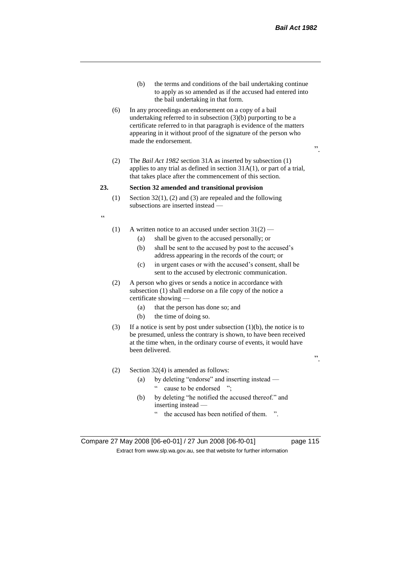- (b) the terms and conditions of the bail undertaking continue to apply as so amended as if the accused had entered into the bail undertaking in that form.
- (6) In any proceedings an endorsement on a copy of a bail undertaking referred to in subsection (3)(b) purporting to be a certificate referred to in that paragraph is evidence of the matters appearing in it without proof of the signature of the person who made the endorsement.
- $\cdot$ ,
- (2) The *Bail Act 1982* section 31A as inserted by subsection (1) applies to any trial as defined in section 31A(1), or part of a trial, that takes place after the commencement of this section.

#### **23. Section 32 amended and transitional provision**

(1) Section 32(1), (2) and (3) are repealed and the following subsections are inserted instead —

 $\epsilon$ 

- (1) A written notice to an accused under section  $31(2)$ 
	- (a) shall be given to the accused personally; or
	- (b) shall be sent to the accused by post to the accused's address appearing in the records of the court; or
	- (c) in urgent cases or with the accused's consent, shall be sent to the accused by electronic communication.
- (2) A person who gives or sends a notice in accordance with subsection (1) shall endorse on a file copy of the notice a certificate showing —
	- (a) that the person has done so; and
	- (b) the time of doing so.
- (3) If a notice is sent by post under subsection  $(1)(b)$ , the notice is to be presumed, unless the contrary is shown, to have been received at the time when, in the ordinary course of events, it would have been delivered.
- (2) Section 32(4) is amended as follows:
	- (a) by deleting "endorse" and inserting instead " cause to be endorsed ";
	- (b) by deleting "he notified the accused thereof." and inserting instead
		- the accused has been notified of them. ".

Compare 27 May 2008 [06-e0-01] / 27 Jun 2008 [06-f0-01] page 115 Extract from www.slp.wa.gov.au, see that website for further information

".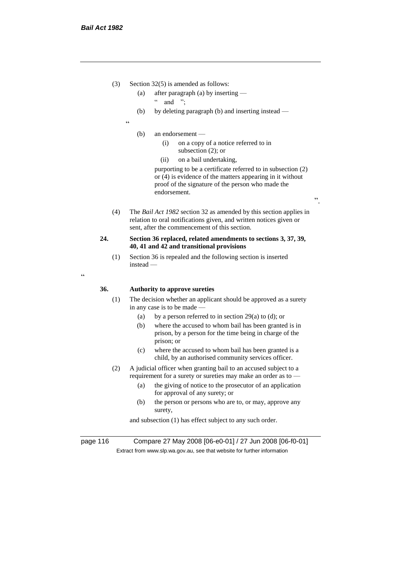- (3) Section 32(5) is amended as follows:
	- (a) after paragraph (a) by inserting
		- $"$  and ":
	- (b) by deleting paragraph (b) and inserting instead —
	- "
		- (b) an endorsement
			- (i) on a copy of a notice referred to in subsection (2); or
			- (ii) on a bail undertaking,

purporting to be a certificate referred to in subsection (2) or (4) is evidence of the matters appearing in it without proof of the signature of the person who made the endorsement.

".

(4) The *Bail Act 1982* section 32 as amended by this section applies in relation to oral notifications given, and written notices given or sent, after the commencement of this section.

## **24. Section 36 replaced, related amendments to sections 3, 37, 39, 40, 41 and 42 and transitional provisions**

(1) Section 36 is repealed and the following section is inserted instead —

 $\epsilon$ 

## **36. Authority to approve sureties**

- (1) The decision whether an applicant should be approved as a surety in any case is to be made —
	- (a) by a person referred to in section 29(a) to (d); or
	- (b) where the accused to whom bail has been granted is in prison, by a person for the time being in charge of the prison; or
	- (c) where the accused to whom bail has been granted is a child, by an authorised community services officer.
- (2) A judicial officer when granting bail to an accused subject to a requirement for a surety or sureties may make an order as to —
	- (a) the giving of notice to the prosecutor of an application for approval of any surety; or
	- (b) the person or persons who are to, or may, approve any surety,

and subsection (1) has effect subject to any such order.

page 116 Compare 27 May 2008 [06-e0-01] / 27 Jun 2008 [06-f0-01] Extract from www.slp.wa.gov.au, see that website for further information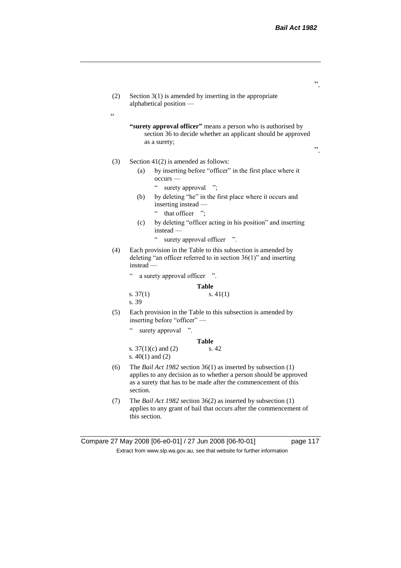- (2) Section 3(1) is amended by inserting in the appropriate alphabetical position —
	- **"surety approval officer"** means a person who is authorised by section 36 to decide whether an applicant should be approved as a surety;

".

".

## (3) Section 41(2) is amended as follows:

 $\epsilon$ 

- (a) by inserting before "officer" in the first place where it occurs —
	- " surety approval ";
- (b) by deleting "he" in the first place where it occurs and inserting instead —
	- " that officer ":
- (c) by deleting "officer acting in his position" and inserting instead —
	- " surety approval officer ".
- (4) Each provision in the Table to this subsection is amended by deleting "an officer referred to in section 36(1)" and inserting instead —
	- " a surety approval officer ".

**Table**

s.  $37(1)$  s.  $41(1)$ s. 39

(5) Each provision in the Table to this subsection is amended by inserting before "officer" —

**Table**

surety approval ".

|                         | Table |
|-------------------------|-------|
| s. $37(1)(c)$ and $(2)$ | s. 42 |
| s. $40(1)$ and $(2)$    |       |

- (6) The *Bail Act 1982* section 36(1) as inserted by subsection (1) applies to any decision as to whether a person should be approved as a surety that has to be made after the commencement of this section.
- (7) The *Bail Act 1982* section 36(2) as inserted by subsection (1) applies to any grant of bail that occurs after the commencement of this section.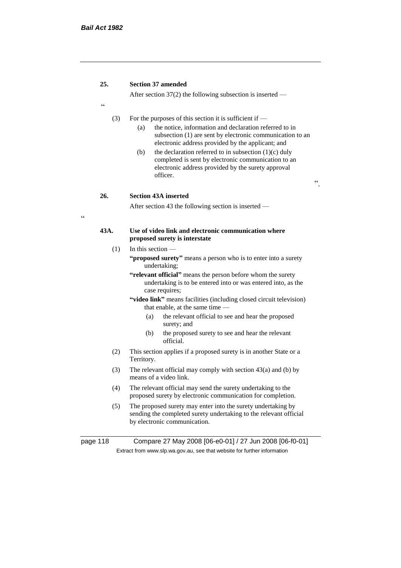$\epsilon$ 

## **25. Section 37 amended**

After section 37(2) the following subsection is inserted —

(3) For the purposes of this section it is sufficient if —

(a) the notice, information and declaration referred to in subsection (1) are sent by electronic communication to an electronic address provided by the applicant; and

".

(b) the declaration referred to in subsection  $(1)(c)$  duly completed is sent by electronic communication to an electronic address provided by the surety approval officer.

**26. Section 43A inserted**

After section 43 the following section is inserted —

## **43A. Use of video link and electronic communication where proposed surety is interstate**

- $(1)$  In this section
	- **"proposed surety"** means a person who is to enter into a surety undertaking;
	- **"relevant official"** means the person before whom the surety undertaking is to be entered into or was entered into, as the case requires;
	- **"video link"** means facilities (including closed circuit television) that enable, at the same time —
		- (a) the relevant official to see and hear the proposed surety; and
		- (b) the proposed surety to see and hear the relevant official.
- (2) This section applies if a proposed surety is in another State or a Territory.
- (3) The relevant official may comply with section 43(a) and (b) by means of a video link.
- (4) The relevant official may send the surety undertaking to the proposed surety by electronic communication for completion.
- (5) The proposed surety may enter into the surety undertaking by sending the completed surety undertaking to the relevant official by electronic communication.

page 118 Compare 27 May 2008 [06-e0-01] / 27 Jun 2008 [06-f0-01] Extract from www.slp.wa.gov.au, see that website for further information

.<br>C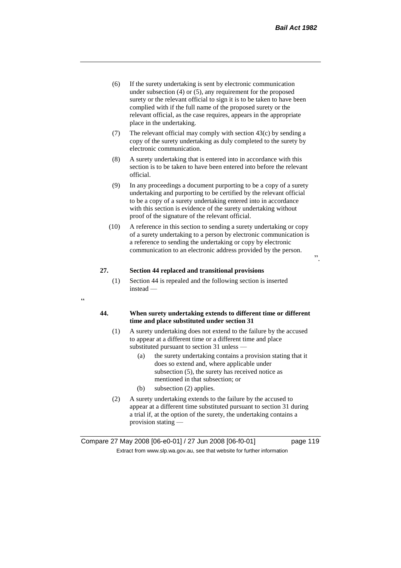".

- (6) If the surety undertaking is sent by electronic communication under subsection (4) or (5), any requirement for the proposed surety or the relevant official to sign it is to be taken to have been complied with if the full name of the proposed surety or the relevant official, as the case requires, appears in the appropriate place in the undertaking.
- (7) The relevant official may comply with section 43(c) by sending a copy of the surety undertaking as duly completed to the surety by electronic communication.
- (8) A surety undertaking that is entered into in accordance with this section is to be taken to have been entered into before the relevant official.
- (9) In any proceedings a document purporting to be a copy of a surety undertaking and purporting to be certified by the relevant official to be a copy of a surety undertaking entered into in accordance with this section is evidence of the surety undertaking without proof of the signature of the relevant official.
- (10) A reference in this section to sending a surety undertaking or copy of a surety undertaking to a person by electronic communication is a reference to sending the undertaking or copy by electronic communication to an electronic address provided by the person.

## **27. Section 44 replaced and transitional provisions**

(1) Section 44 is repealed and the following section is inserted instead —

## "

## **44. When surety undertaking extends to different time or different time and place substituted under section 31**

- (1) A surety undertaking does not extend to the failure by the accused to appear at a different time or a different time and place substituted pursuant to section 31 unless —
	- (a) the surety undertaking contains a provision stating that it does so extend and, where applicable under subsection (5), the surety has received notice as mentioned in that subsection; or
	- (b) subsection (2) applies.
- (2) A surety undertaking extends to the failure by the accused to appear at a different time substituted pursuant to section 31 during a trial if, at the option of the surety, the undertaking contains a provision stating —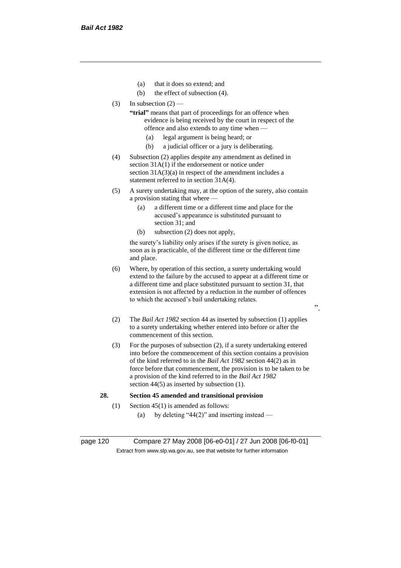- (a) that it does so extend; and
- (b) the effect of subsection (4).
- $(3)$  In subsection  $(2)$ 
	- **"trial"** means that part of proceedings for an offence when evidence is being received by the court in respect of the offence and also extends to any time when —
		- (a) legal argument is being heard; or
		- (b) a judicial officer or a jury is deliberating.
- (4) Subsection (2) applies despite any amendment as defined in section 31A(1) if the endorsement or notice under section 31A(3)(a) in respect of the amendment includes a statement referred to in section 31A(4).
- (5) A surety undertaking may, at the option of the surety, also contain a provision stating that where —
	- (a) a different time or a different time and place for the accused's appearance is substituted pursuant to section 31; and
	- (b) subsection (2) does not apply,

the surety's liability only arises if the surety is given notice, as soon as is practicable, of the different time or the different time and place.

- (6) Where, by operation of this section, a surety undertaking would extend to the failure by the accused to appear at a different time or a different time and place substituted pursuant to section 31, that extension is not affected by a reduction in the number of offences to which the accused's bail undertaking relates.
- (2) The *Bail Act 1982* section 44 as inserted by subsection (1) applies to a surety undertaking whether entered into before or after the commencement of this section.

".

(3) For the purposes of subsection (2), if a surety undertaking entered into before the commencement of this section contains a provision of the kind referred to in the *Bail Act 1982* section 44(2) as in force before that commencement, the provision is to be taken to be a provision of the kind referred to in the *Bail Act 1982*  section 44(5) as inserted by subsection (1).

## **28. Section 45 amended and transitional provision**

- (1) Section 45(1) is amended as follows:
	- (a) by deleting "44(2)" and inserting instead —

page 120 Compare 27 May 2008 [06-e0-01] / 27 Jun 2008 [06-f0-01] Extract from www.slp.wa.gov.au, see that website for further information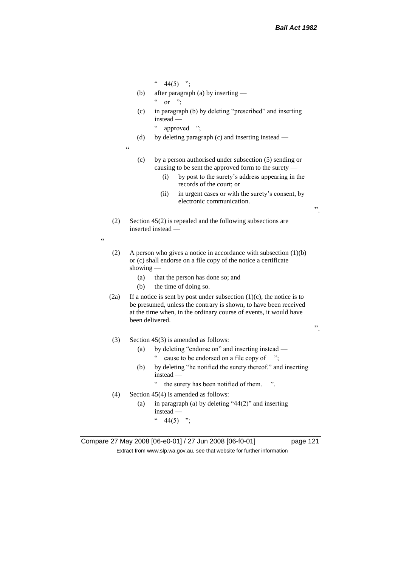- $44(5)$  ";
- (b) after paragraph (a) by inserting  $\alpha$  or ";
- (c) in paragraph (b) by deleting "prescribed" and inserting instead —

" approved ";

(d) by deleting paragraph (c) and inserting instead —

 $\epsilon$ 

"

- (c) by a person authorised under subsection (5) sending or causing to be sent the approved form to the surety —
	- (i) by post to the surety's address appearing in the records of the court; or
	- (ii) in urgent cases or with the surety's consent, by electronic communication.
- (2) Section 45(2) is repealed and the following subsections are inserted instead —
- (2) A person who gives a notice in accordance with subsection (1)(b) or (c) shall endorse on a file copy of the notice a certificate showing —
	- (a) that the person has done so; and
	- (b) the time of doing so.
- (2a) If a notice is sent by post under subsection  $(1)(c)$ , the notice is to be presumed, unless the contrary is shown, to have been received at the time when, in the ordinary course of events, it would have been delivered.

".

".

- (3) Section 45(3) is amended as follows:
	- (a) by deleting "endorse on" and inserting instead
		- " cause to be endorsed on a file copy of ";
	- (b) by deleting "he notified the surety thereof." and inserting instead —
		- " the surety has been notified of them. ".
- (4) Section 45(4) is amended as follows:
	- (a) in paragraph (a) by deleting "44(2)" and inserting instead —  $44(5)$  ";

Compare 27 May 2008 [06-e0-01] / 27 Jun 2008 [06-f0-01] page 121 Extract from www.slp.wa.gov.au, see that website for further information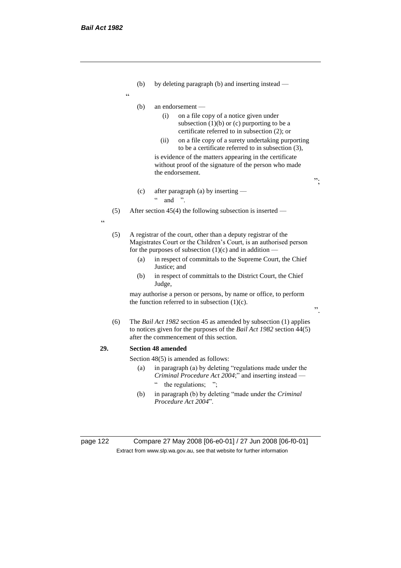- (b) by deleting paragraph (b) and inserting instead —
- "
- (b) an endorsement
	- (i) on a file copy of a notice given under subsection  $(1)(b)$  or  $(c)$  purporting to be a certificate referred to in subsection (2); or
	- (ii) on a file copy of a surety undertaking purporting to be a certificate referred to in subsection (3), is evidence of the matters appearing in the certificate

";

".

without proof of the signature of the person who made the endorsement.

(c) after paragraph (a) by inserting —  $\cdot$  and "

(5) After section 45(4) the following subsection is inserted —

- "
- (5) A registrar of the court, other than a deputy registrar of the Magistrates Court or the Children's Court, is an authorised person for the purposes of subsection  $(1)(c)$  and in addition —
	- (a) in respect of committals to the Supreme Court, the Chief Justice; and
	- (b) in respect of committals to the District Court, the Chief Judge,

may authorise a person or persons, by name or office, to perform the function referred to in subsection  $(1)(c)$ .

(6) The *Bail Act 1982* section 45 as amended by subsection (1) applies to notices given for the purposes of the *Bail Act 1982* section 44(5) after the commencement of this section.

## **29. Section 48 amended**

Section 48(5) is amended as follows:

- (a) in paragraph (a) by deleting "regulations made under the *Criminal Procedure Act 2004*;" and inserting instead — " the regulations; ";
- (b) in paragraph (b) by deleting "made under the *Criminal Procedure Act 2004*".

page 122 Compare 27 May 2008 [06-e0-01] / 27 Jun 2008 [06-f0-01] Extract from www.slp.wa.gov.au, see that website for further information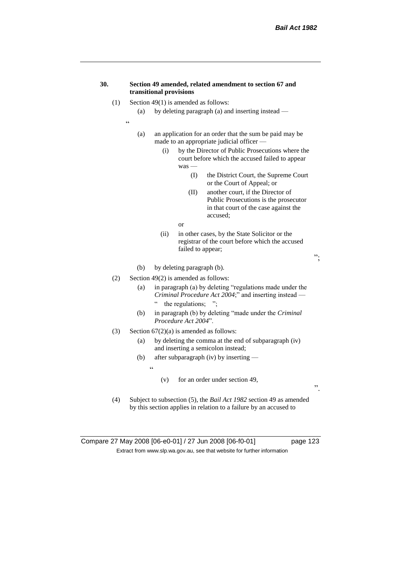## **30. Section 49 amended, related amendment to section 67 and transitional provisions**

- (1) Section 49(1) is amended as follows:
	- (a) by deleting paragraph (a) and inserting instead —
	- "
- (a) an application for an order that the sum be paid may be made to an appropriate judicial officer —
	- (i) by the Director of Public Prosecutions where the court before which the accused failed to appear was —
		- (I) the District Court, the Supreme Court or the Court of Appeal; or
		- (II) another court, if the Director of Public Prosecutions is the prosecutor in that court of the case against the accused;
		- or
	- (ii) in other cases, by the State Solicitor or the registrar of the court before which the accused failed to appear;
- (b) by deleting paragraph (b).
- (2) Section 49(2) is amended as follows:
	- (a) in paragraph (a) by deleting "regulations made under the *Criminal Procedure Act 2004*;" and inserting instead
		- the regulations;  $"$ ;
	- (b) in paragraph (b) by deleting "made under the *Criminal Procedure Act 2004*".
- (3) Section  $67(2)(a)$  is amended as follows:
	- (a) by deleting the comma at the end of subparagraph (iv) and inserting a semicolon instead;
	- (b) after subparagraph (iv) by inserting
		- $\ddot{\epsilon}$
- (v) for an order under section 49,
- (4) Subject to subsection (5), the *Bail Act 1982* section 49 as amended by this section applies in relation to a failure by an accused to

Compare 27 May 2008 [06-e0-01] / 27 Jun 2008 [06-f0-01] page 123 Extract from www.slp.wa.gov.au, see that website for further information

".

";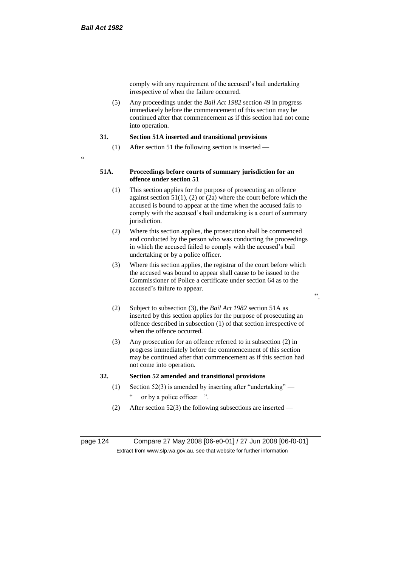comply with any requirement of the accused's bail undertaking irrespective of when the failure occurred.

(5) Any proceedings under the *Bail Act 1982* section 49 in progress immediately before the commencement of this section may be continued after that commencement as if this section had not come into operation.

## **31. Section 51A inserted and transitional provisions**

- (1) After section 51 the following section is inserted —
- $\epsilon$

## **51A. Proceedings before courts of summary jurisdiction for an offence under section 51**

- (1) This section applies for the purpose of prosecuting an offence against section  $51(1)$ , (2) or (2a) where the court before which the accused is bound to appear at the time when the accused fails to comply with the accused's bail undertaking is a court of summary jurisdiction.
- (2) Where this section applies, the prosecution shall be commenced and conducted by the person who was conducting the proceedings in which the accused failed to comply with the accused's bail undertaking or by a police officer.
- (3) Where this section applies, the registrar of the court before which the accused was bound to appear shall cause to be issued to the Commissioner of Police a certificate under section 64 as to the accused's failure to appear.
- ".
- (2) Subject to subsection (3), the *Bail Act 1982* section 51A as inserted by this section applies for the purpose of prosecuting an offence described in subsection (1) of that section irrespective of when the offence occurred.
- (3) Any prosecution for an offence referred to in subsection (2) in progress immediately before the commencement of this section may be continued after that commencement as if this section had not come into operation.

## **32. Section 52 amended and transitional provisions**

- (1) Section 52(3) is amended by inserting after "undertaking" or by a police officer ".
- (2) After section 52(3) the following subsections are inserted —

page 124 Compare 27 May 2008 [06-e0-01] / 27 Jun 2008 [06-f0-01] Extract from www.slp.wa.gov.au, see that website for further information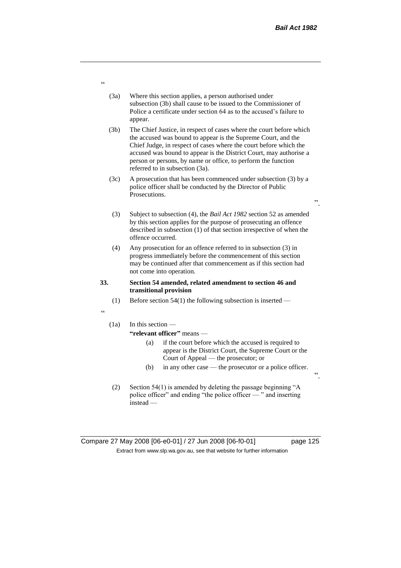".

".

- (3a) Where this section applies, a person authorised under subsection (3b) shall cause to be issued to the Commissioner of Police a certificate under section 64 as to the accused's failure to appear.
- (3b) The Chief Justice, in respect of cases where the court before which the accused was bound to appear is the Supreme Court, and the Chief Judge, in respect of cases where the court before which the accused was bound to appear is the District Court, may authorise a person or persons, by name or office, to perform the function referred to in subsection (3a).
- (3c) A prosecution that has been commenced under subsection (3) by a police officer shall be conducted by the Director of Public Prosecutions.
- (3) Subject to subsection (4), the *Bail Act 1982* section 52 as amended by this section applies for the purpose of prosecuting an offence described in subsection (1) of that section irrespective of when the offence occurred.
- (4) Any prosecution for an offence referred to in subsection (3) in progress immediately before the commencement of this section may be continued after that commencement as if this section had not come into operation.

#### **33. Section 54 amended, related amendment to section 46 and transitional provision**

- (1) Before section 54(1) the following subsection is inserted —
- "

## (1a) In this section — **"relevant officer"** means —

## (a) if the court before which the accused is required to appear is the District Court, the Supreme Court or the Court of Appeal — the prosecutor; or

- (b) in any other case the prosecutor or a police officer.
- (2) Section 54(1) is amended by deleting the passage beginning "A police officer" and ending "the police officer — " and inserting instead —

# Compare 27 May 2008 [06-e0-01] / 27 Jun 2008 [06-f0-01] page 125 Extract from www.slp.wa.gov.au, see that website for further information

"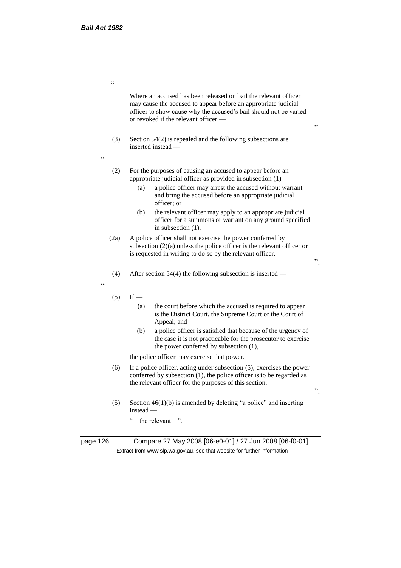$\epsilon$ 

Where an accused has been released on bail the relevant officer may cause the accused to appear before an appropriate judicial officer to show cause why the accused's bail should not be varied or revoked if the relevant officer —

- (3) Section 54(2) is repealed and the following subsections are inserted instead —
- $\ddot{\phantom{0}}$
- (2) For the purposes of causing an accused to appear before an appropriate judicial officer as provided in subsection  $(1)$  —
	- (a) a police officer may arrest the accused without warrant and bring the accused before an appropriate judicial officer; or
	- (b) the relevant officer may apply to an appropriate judicial officer for a summons or warrant on any ground specified in subsection (1).
- (2a) A police officer shall not exercise the power conferred by subsection (2)(a) unless the police officer is the relevant officer or is requested in writing to do so by the relevant officer.
- (4) After section 54(4) the following subsection is inserted —

"

- $(5)$  If
	- (a) the court before which the accused is required to appear is the District Court, the Supreme Court or the Court of Appeal; and
	- (b) a police officer is satisfied that because of the urgency of the case it is not practicable for the prosecutor to exercise the power conferred by subsection (1),

the police officer may exercise that power.

- (6) If a police officer, acting under subsection (5), exercises the power conferred by subsection (1), the police officer is to be regarded as the relevant officer for the purposes of this section.
- (5) Section  $46(1)(b)$  is amended by deleting "a police" and inserting instead —
	- " the relevant ".

page 126 Compare 27 May 2008 [06-e0-01] / 27 Jun 2008 [06-f0-01] Extract from www.slp.wa.gov.au, see that website for further information

".

".

".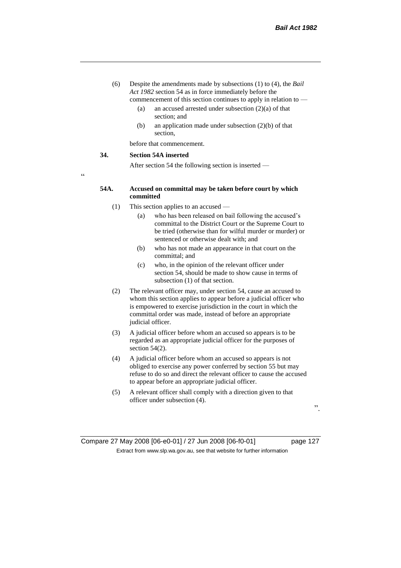- (6) Despite the amendments made by subsections (1) to (4), the *Bail Act 1982* section 54 as in force immediately before the commencement of this section continues to apply in relation to —
	- (a) an accused arrested under subsection (2)(a) of that section; and
	- (b) an application made under subsection (2)(b) of that section,

before that commencement.

### **34. Section 54A inserted**

After section 54 the following section is inserted —

"

## **54A. Accused on committal may be taken before court by which committed**

- (1) This section applies to an accused
	- (a) who has been released on bail following the accused's committal to the District Court or the Supreme Court to be tried (otherwise than for wilful murder or murder) or sentenced or otherwise dealt with; and
	- (b) who has not made an appearance in that court on the committal; and
	- (c) who, in the opinion of the relevant officer under section 54, should be made to show cause in terms of subsection (1) of that section.
- (2) The relevant officer may, under section 54, cause an accused to whom this section applies to appear before a judicial officer who is empowered to exercise jurisdiction in the court in which the committal order was made, instead of before an appropriate judicial officer.
- (3) A judicial officer before whom an accused so appears is to be regarded as an appropriate judicial officer for the purposes of section 54(2).
- (4) A judicial officer before whom an accused so appears is not obliged to exercise any power conferred by section 55 but may refuse to do so and direct the relevant officer to cause the accused to appear before an appropriate judicial officer.
- (5) A relevant officer shall comply with a direction given to that officer under subsection (4).

".

Compare 27 May 2008 [06-e0-01] / 27 Jun 2008 [06-f0-01] page 127 Extract from www.slp.wa.gov.au, see that website for further information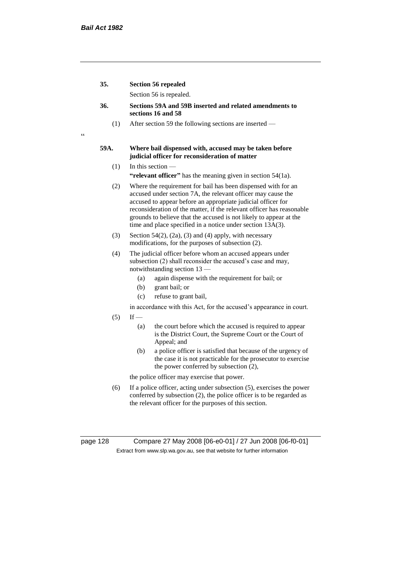$\epsilon$ 

| 35. | <b>Section 56 repealed</b> |
|-----|----------------------------|
|     | Section 56 is repealed.    |

- **36. Sections 59A and 59B inserted and related amendments to sections 16 and 58**
	- (1) After section 59 the following sections are inserted —

## **59A. Where bail dispensed with, accused may be taken before judicial officer for reconsideration of matter**

- $(1)$  In this section **"relevant officer"** has the meaning given in section 54(1a).
- (2) Where the requirement for bail has been dispensed with for an accused under section 7A, the relevant officer may cause the accused to appear before an appropriate judicial officer for reconsideration of the matter, if the relevant officer has reasonable grounds to believe that the accused is not likely to appear at the time and place specified in a notice under section 13A(3).
- (3) Section 54(2), (2a), (3) and (4) apply, with necessary modifications, for the purposes of subsection (2).
- (4) The judicial officer before whom an accused appears under subsection (2) shall reconsider the accused's case and may, notwithstanding section 13 —
	- (a) again dispense with the requirement for bail; or
	- (b) grant bail; or
	- (c) refuse to grant bail,
	- in accordance with this Act, for the accused's appearance in court.
- $(5)$  If
	- (a) the court before which the accused is required to appear is the District Court, the Supreme Court or the Court of Appeal; and
	- (b) a police officer is satisfied that because of the urgency of the case it is not practicable for the prosecutor to exercise the power conferred by subsection (2),

the police officer may exercise that power.

(6) If a police officer, acting under subsection (5), exercises the power conferred by subsection (2), the police officer is to be regarded as the relevant officer for the purposes of this section.

page 128 Compare 27 May 2008 [06-e0-01] / 27 Jun 2008 [06-f0-01] Extract from www.slp.wa.gov.au, see that website for further information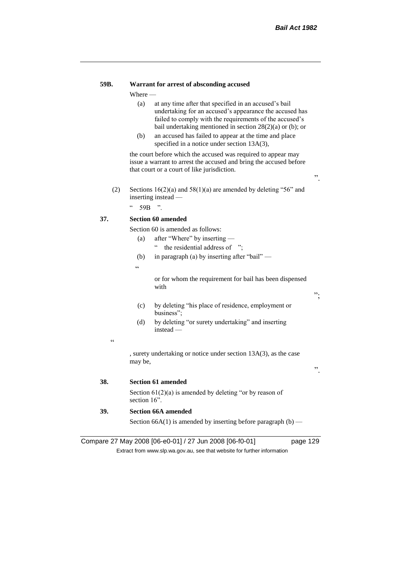## **59B. Warrant for arrest of absconding accused**

Where —

- (a) at any time after that specified in an accused's bail undertaking for an accused's appearance the accused has failed to comply with the requirements of the accused's bail undertaking mentioned in section 28(2)(a) or (b); or
- (b) an accused has failed to appear at the time and place specified in a notice under section 13A(3),

the court before which the accused was required to appear may issue a warrant to arrest the accused and bring the accused before that court or a court of like jurisdiction.

- ".
- (2) Sections  $16(2)(a)$  and  $58(1)(a)$  are amended by deleting "56" and inserting instead —

 $"$  59B ".

## **37. Section 60 amended**

Section 60 is amended as follows:

- (a) after "Where" by inserting " the residential address of ";
- (b) in paragraph (a) by inserting after "bail" —

 $\epsilon$ 

or for whom the requirement for bail has been dispensed with

 $,$ 

".

- (c) by deleting "his place of residence, employment or business";
- (d) by deleting "or surety undertaking" and inserting instead —

.<br>.

, surety undertaking or notice under section 13A(3), as the case may be,

**38. Section 61 amended**

Section 61(2)(a) is amended by deleting "or by reason of section 16<sup>"</sup>.

**39. Section 66A amended**

Section 66A(1) is amended by inserting before paragraph  $(b)$  —

Compare 27 May 2008 [06-e0-01] / 27 Jun 2008 [06-f0-01] page 129

Extract from www.slp.wa.gov.au, see that website for further information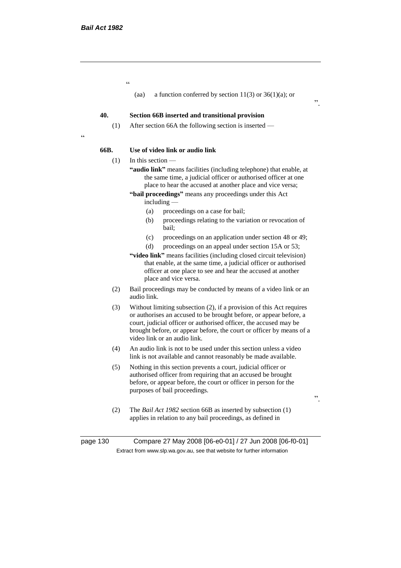.<br>"

(aa) a function conferred by section  $11(3)$  or  $36(1)(a)$ ; or

#### **40. Section 66B inserted and transitional provision**

(1) After section 66A the following section is inserted —

#### **66B. Use of video link or audio link**

 $(1)$  In this section —

 $\epsilon$ 

- **"audio link"** means facilities (including telephone) that enable, at the same time, a judicial officer or authorised officer at one place to hear the accused at another place and vice versa;
- **"bail proceedings"** means any proceedings under this Act including —
	- (a) proceedings on a case for bail;
	- (b) proceedings relating to the variation or revocation of bail;
	- (c) proceedings on an application under section 48 or 49;
	- (d) proceedings on an appeal under section 15A or 53;
- **"video link"** means facilities (including closed circuit television) that enable, at the same time, a judicial officer or authorised officer at one place to see and hear the accused at another place and vice versa.
- (2) Bail proceedings may be conducted by means of a video link or an audio link.
- (3) Without limiting subsection (2), if a provision of this Act requires or authorises an accused to be brought before, or appear before, a court, judicial officer or authorised officer, the accused may be brought before, or appear before, the court or officer by means of a video link or an audio link.
- (4) An audio link is not to be used under this section unless a video link is not available and cannot reasonably be made available.
- (5) Nothing in this section prevents a court, judicial officer or authorised officer from requiring that an accused be brought before, or appear before, the court or officer in person for the purposes of bail proceedings.
- ".

".

(2) The *Bail Act 1982* section 66B as inserted by subsection (1) applies in relation to any bail proceedings, as defined in

page 130 Compare 27 May 2008 [06-e0-01] / 27 Jun 2008 [06-f0-01] Extract from www.slp.wa.gov.au, see that website for further information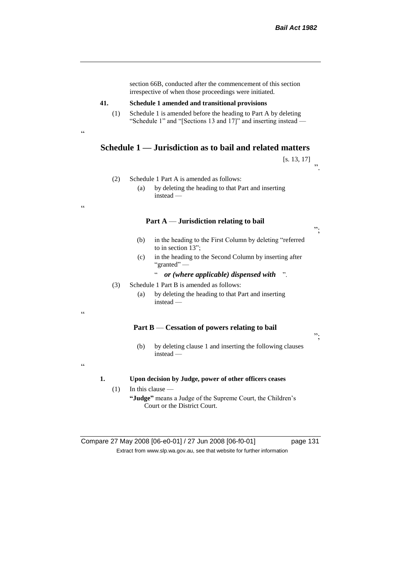|                        | section 66B, conducted after the commencement of this section<br>irrespective of when those proceedings were initiated.           |
|------------------------|-----------------------------------------------------------------------------------------------------------------------------------|
| 41.                    | Schedule 1 amended and transitional provisions                                                                                    |
| (1)<br>$\zeta$ $\zeta$ | Schedule 1 is amended before the heading to Part A by deleting<br>"Schedule 1" and "[Sections 13 and 17]" and inserting instead — |
|                        | Schedule 1 — Jurisdiction as to bail and related matters                                                                          |
|                        | [s. 13, 17]                                                                                                                       |
| (2)                    | Schedule 1 Part A is amended as follows:<br>by deleting the heading to that Part and inserting<br>(a)                             |
| $\epsilon$             | $instead -$                                                                                                                       |
|                        |                                                                                                                                   |
|                        | Part $A$ — Jurisdiction relating to bail                                                                                          |
|                        | (b)<br>in the heading to the First Column by deleting "referred<br>to in section 13";                                             |
|                        | in the heading to the Second Column by inserting after<br>(c)<br>"granted" —                                                      |
|                        | or (where applicable) dispensed with<br>$\cdot$                                                                                   |
| (3)                    | Schedule 1 Part B is amended as follows:                                                                                          |
|                        | by deleting the heading to that Part and inserting<br>(a)<br>instead $-$                                                          |
| $\epsilon$             |                                                                                                                                   |
|                        | Part B — Cessation of powers relating to bail                                                                                     |
|                        | by deleting clause 1 and inserting the following clauses<br>(b)<br>$instead -$                                                    |
| $\epsilon$<br>1.       | Upon decision by Judge, power of other officers ceases                                                                            |
| (1)                    | In this clause -                                                                                                                  |
|                        | "Judge" means a Judge of the Supreme Court, the Children's<br>Court or the District Court.                                        |

Compare 27 May 2008 [06-e0-01] / 27 Jun 2008 [06-f0-01] page 131 Extract from www.slp.wa.gov.au, see that website for further information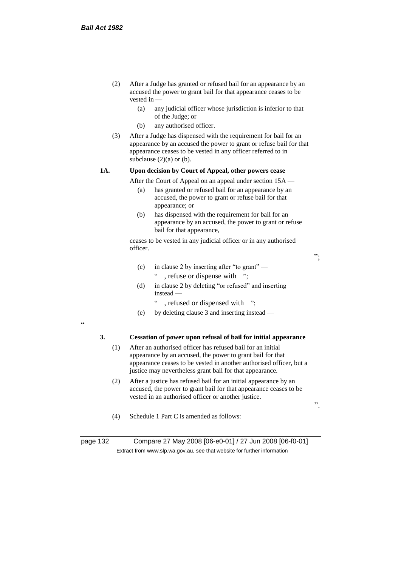- (2) After a Judge has granted or refused bail for an appearance by an accused the power to grant bail for that appearance ceases to be vested in —
	- (a) any judicial officer whose jurisdiction is inferior to that of the Judge; or
	- (b) any authorised officer.
- (3) After a Judge has dispensed with the requirement for bail for an appearance by an accused the power to grant or refuse bail for that appearance ceases to be vested in any officer referred to in subclause  $(2)(a)$  or  $(b)$ .

## **1A. Upon decision by Court of Appeal, other powers cease**

After the Court of Appeal on an appeal under section 15A —

- (a) has granted or refused bail for an appearance by an accused, the power to grant or refuse bail for that appearance; or
- (b) has dispensed with the requirement for bail for an appearance by an accused, the power to grant or refuse bail for that appearance,

ceases to be vested in any judicial officer or in any authorised officer.

";

- (c) in clause 2 by inserting after "to grant"
	- " , refuse or dispense with ";
- (d) in clause 2 by deleting "or refused" and inserting instead —
	- , refused or dispensed with ";
- (e) by deleting clause 3 and inserting instead —

"

## **3. Cessation of power upon refusal of bail for initial appearance**

- (1) After an authorised officer has refused bail for an initial appearance by an accused, the power to grant bail for that appearance ceases to be vested in another authorised officer, but a justice may nevertheless grant bail for that appearance.
- (2) After a justice has refused bail for an initial appearance by an accused, the power to grant bail for that appearance ceases to be vested in an authorised officer or another justice.

".

(4) Schedule 1 Part C is amended as follows:

page 132 Compare 27 May 2008 [06-e0-01] / 27 Jun 2008 [06-f0-01] Extract from www.slp.wa.gov.au, see that website for further information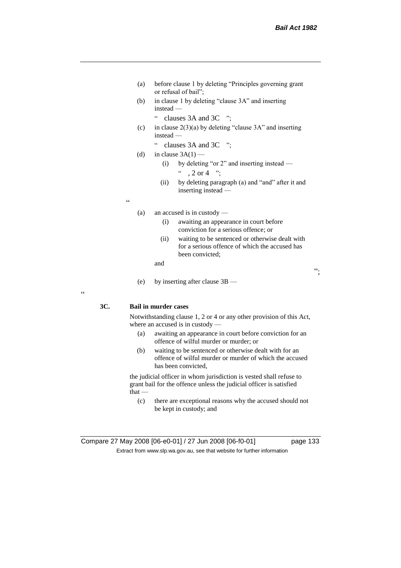";

- (a) before clause 1 by deleting "Principles governing grant or refusal of bail";
- (b) in clause 1 by deleting "clause 3A" and inserting instead —
	- " clauses 3A and 3C ";
- (c) in clause  $2(3)(a)$  by deleting "clause 3A" and inserting instead —
	- " clauses 3A and 3C ";
- (d) in clause  $3A(1)$ 
	- (i) by deleting "or 2" and inserting instead  $, 2 \text{ or } 4$  ";
	- (ii) by deleting paragraph (a) and "and" after it and inserting instead —

 $\epsilon$ 

- (a) an accused is in custody
	- (i) awaiting an appearance in court before conviction for a serious offence; or
	- (ii) waiting to be sentenced or otherwise dealt with for a serious offence of which the accused has been convicted;

and

(e) by inserting after clause 3B —

**3C. Bail in murder cases**

Notwithstanding clause 1, 2 or 4 or any other provision of this Act, where an accused is in custody —

- (a) awaiting an appearance in court before conviction for an offence of wilful murder or murder; or
- (b) waiting to be sentenced or otherwise dealt with for an offence of wilful murder or murder of which the accused has been convicted,

the judicial officer in whom jurisdiction is vested shall refuse to grant bail for the offence unless the judicial officer is satisfied that —

(c) there are exceptional reasons why the accused should not be kept in custody; and

 $\epsilon$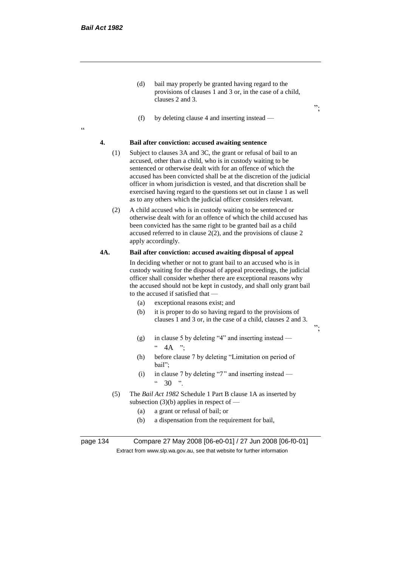.<br>cc

(d) bail may properly be granted having regard to the provisions of clauses 1 and 3 or, in the case of a child, clauses 2 and 3.

";

 $"$ 

(f) by deleting clause 4 and inserting instead —

## **4. Bail after conviction: accused awaiting sentence**

- (1) Subject to clauses 3A and 3C, the grant or refusal of bail to an accused, other than a child, who is in custody waiting to be sentenced or otherwise dealt with for an offence of which the accused has been convicted shall be at the discretion of the judicial officer in whom jurisdiction is vested, and that discretion shall be exercised having regard to the questions set out in clause 1 as well as to any others which the judicial officer considers relevant.
- (2) A child accused who is in custody waiting to be sentenced or otherwise dealt with for an offence of which the child accused has been convicted has the same right to be granted bail as a child accused referred to in clause  $2(2)$ , and the provisions of clause 2 apply accordingly.

## **4A. Bail after conviction: accused awaiting disposal of appeal**

In deciding whether or not to grant bail to an accused who is in custody waiting for the disposal of appeal proceedings, the judicial officer shall consider whether there are exceptional reasons why the accused should not be kept in custody, and shall only grant bail to the accused if satisfied that —

- (a) exceptional reasons exist; and
- (b) it is proper to do so having regard to the provisions of clauses 1 and 3 or, in the case of a child, clauses 2 and 3.
- (g) in clause 5 by deleting "4" and inserting instead  $4A$  ":
- (h) before clause 7 by deleting "Limitation on period of bail";
- (i) in clause 7 by deleting "7" and inserting instead  $\frac{1}{20}$   $\frac{1}{20}$   $\frac{1}{20}$
- (5) The *Bail Act 1982* Schedule 1 Part B clause 1A as inserted by subsection  $(3)(b)$  applies in respect of —
	- (a) a grant or refusal of bail; or
	- (b) a dispensation from the requirement for bail,

page 134 Compare 27 May 2008 [06-e0-01] / 27 Jun 2008 [06-f0-01] Extract from www.slp.wa.gov.au, see that website for further information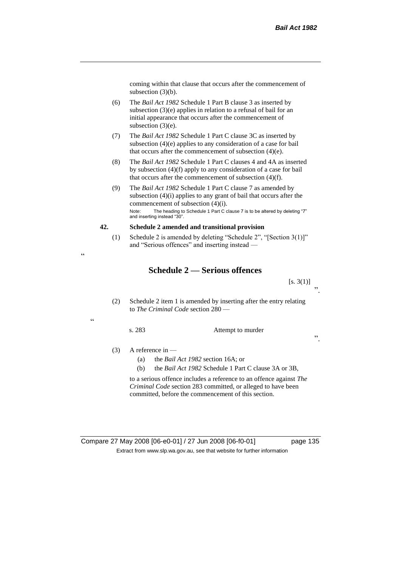coming within that clause that occurs after the commencement of subsection (3)(b).

- (6) The *Bail Act 1982* Schedule 1 Part B clause 3 as inserted by subsection (3)(e) applies in relation to a refusal of bail for an initial appearance that occurs after the commencement of subsection (3)(e).
- (7) The *Bail Act 1982* Schedule 1 Part C clause 3C as inserted by subsection (4)(e) applies to any consideration of a case for bail that occurs after the commencement of subsection (4)(e).
- (8) The *Bail Act 1982* Schedule 1 Part C clauses 4 and 4A as inserted by subsection (4)(f) apply to any consideration of a case for bail that occurs after the commencement of subsection (4)(f).
- (9) The *Bail Act 1982* Schedule 1 Part C clause 7 as amended by subsection (4)(i) applies to any grant of bail that occurs after the commencement of subsection (4)(i). Note: The heading to Schedule 1 Part C clause 7 is to be altered by deleting "7" and inserting instead "30".

## **42. Schedule 2 amended and transitional provision**

(1) Schedule 2 is amended by deleting "Schedule 2", "[Section 3(1)]" and "Serious offences" and inserting instead —

# **Schedule 2 — Serious offences**

 $[s. 3(1)]$ ".

(2) Schedule 2 item 1 is amended by inserting after the entry relating to *The Criminal Code* section 280 —

 $\epsilon$ 

.<br>.

s. 283 Attempt to murder

".

(3) A reference in —

- (a) the *Bail Act 1982* section 16A; or
- (b) the *Bail Act 1982* Schedule 1 Part C clause 3A or 3B,

to a serious offence includes a reference to an offence against *The Criminal Code* section 283 committed, or alleged to have been committed, before the commencement of this section.

Compare 27 May 2008 [06-e0-01] / 27 Jun 2008 [06-f0-01] page 135 Extract from www.slp.wa.gov.au, see that website for further information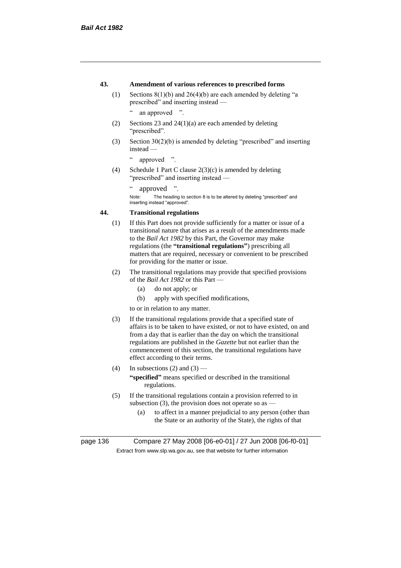## **43. Amendment of various references to prescribed forms**

(1) Sections 8(1)(b) and 26(4)(b) are each amended by deleting "a prescribed" and inserting instead —

" an approved ".

- (2) Sections 23 and 24(1)(a) are each amended by deleting "prescribed".
- (3) Section 30(2)(b) is amended by deleting "prescribed" and inserting instead —

" approved ".

(4) Schedule 1 Part C clause 2(3)(c) is amended by deleting "prescribed" and inserting instead —

" approved ".

Note: The heading to section 8 is to be altered by deleting "prescribed" and inserting instead "approved".

## **44. Transitional regulations**

- (1) If this Part does not provide sufficiently for a matter or issue of a transitional nature that arises as a result of the amendments made to the *Bail Act 1982* by this Part, the Governor may make regulations (the **"transitional regulations"**) prescribing all matters that are required, necessary or convenient to be prescribed for providing for the matter or issue.
- (2) The transitional regulations may provide that specified provisions of the *Bail Act 1982* or this Part —
	- (a) do not apply; or
	- (b) apply with specified modifications,

to or in relation to any matter.

- (3) If the transitional regulations provide that a specified state of affairs is to be taken to have existed, or not to have existed, on and from a day that is earlier than the day on which the transitional regulations are published in the *Gazette* but not earlier than the commencement of this section, the transitional regulations have effect according to their terms.
- (4) In subsections (2) and (3) **"specified"** means specified or described in the transitional regulations.
- (5) If the transitional regulations contain a provision referred to in subsection (3), the provision does not operate so as  $-$ 
	- (a) to affect in a manner prejudicial to any person (other than the State or an authority of the State), the rights of that

page 136 Compare 27 May 2008 [06-e0-01] / 27 Jun 2008 [06-f0-01] Extract from www.slp.wa.gov.au, see that website for further information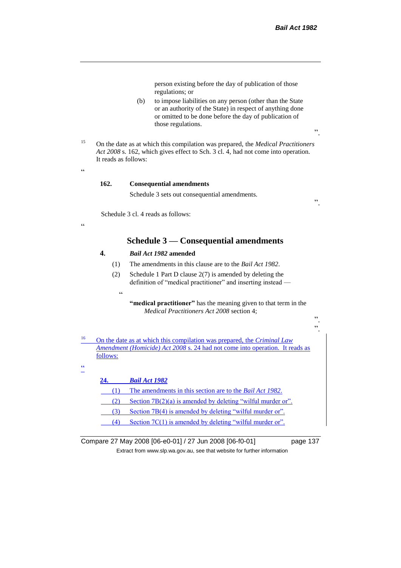person existing before the day of publication of those regulations; or

- (b) to impose liabilities on any person (other than the State or an authority of the State) in respect of anything done or omitted to be done before the day of publication of those regulations.
- <sup>15</sup> On the date as at which this compilation was prepared, the *Medical Practitioners Act 2008* s. 162, which gives effect to Sch. 3 cl. 4, had not come into operation. It reads as follows:

# $\alpha$

 $\epsilon$ 

## **162. Consequential amendments**

Schedule 3 sets out consequential amendments.

".

 ". ".

".

Schedule 3 cl. 4 reads as follows:

# **Schedule 3 — Consequential amendments**

## **4.** *Bail Act 1982* **amended**

- (1) The amendments in this clause are to the *Bail Act 1982*.
- (2) Schedule 1 Part D clause 2(7) is amended by deleting the definition of "medical practitioner" and inserting instead —
	- $\epsilon$

**"medical practitioner"** has the meaning given to that term in the *Medical Practitioners Act 2008* section 4;

<sup>16</sup> On the date as at which this compilation was prepared, the *Criminal Law Amendment (Homicide) Act 2008* s. 24 had not come into operation. It reads as follows:

## .<br>44

| 24. | <b>Bail Act 1982</b>                                             |
|-----|------------------------------------------------------------------|
| (1) | The amendments in this section are to the <i>Bail Act 1982</i> . |
| (2) | Section $7B(2)(a)$ is amended by deleting "wilful murder or".    |
| (3) | Section 7B(4) is amended by deleting "wilful murder or".         |
| (4) | Section $7C(1)$ is amended by deleting "wilful murder or".       |

Compare 27 May 2008 [06-e0-01] / 27 Jun 2008 [06-f0-01] page 137 Extract from www.slp.wa.gov.au, see that website for further information